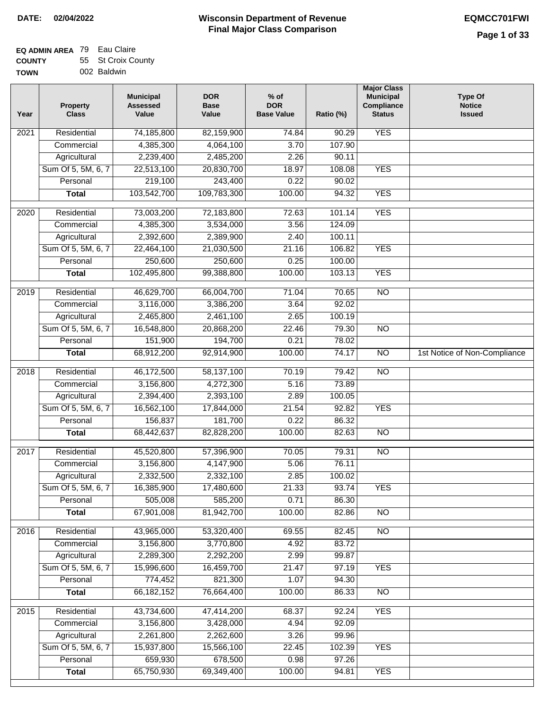|  | 002 Baldwin |  |
|--|-------------|--|
|  |             |  |

| Year              | <b>Property</b><br><b>Class</b> | <b>Municipal</b><br><b>Assessed</b><br>Value | <b>DOR</b><br><b>Base</b><br>Value | $%$ of<br><b>DOR</b><br><b>Base Value</b> | Ratio (%)         | <b>Major Class</b><br><b>Municipal</b><br><b>Compliance</b><br><b>Status</b> | <b>Type Of</b><br><b>Notice</b><br><b>Issued</b> |
|-------------------|---------------------------------|----------------------------------------------|------------------------------------|-------------------------------------------|-------------------|------------------------------------------------------------------------------|--------------------------------------------------|
| 2021              | Residential                     | 74,185,800                                   | 82,159,900                         | $\frac{1}{74.84}$                         | $\frac{1}{90.29}$ | <b>YES</b>                                                                   |                                                  |
|                   | Commercial                      | 4,385,300                                    | 4,064,100                          | 3.70                                      | 107.90            |                                                                              |                                                  |
|                   | Agricultural                    | 2,239,400                                    | 2,485,200                          | 2.26                                      | 90.11             |                                                                              |                                                  |
|                   | Sum Of 5, 5M, 6, 7              | 22,513,100                                   | 20,830,700                         | 18.97                                     | 108.08            | <b>YES</b>                                                                   |                                                  |
|                   | Personal                        | 219,100                                      | 243,400                            | 0.22                                      | 90.02             |                                                                              |                                                  |
|                   | <b>Total</b>                    | 103,542,700                                  | 109,783,300                        | 100.00                                    | 94.32             | <b>YES</b>                                                                   |                                                  |
| 2020              | Residential                     | 73,003,200                                   | 72,183,800                         | 72.63                                     | 101.14            | <b>YES</b>                                                                   |                                                  |
|                   | Commercial                      | 4,385,300                                    | 3,534,000                          | 3.56                                      | 124.09            |                                                                              |                                                  |
|                   | Agricultural                    | 2,392,600                                    | 2,389,900                          | 2.40                                      | 100.11            |                                                                              |                                                  |
|                   | Sum Of 5, 5M, 6, 7              | 22,464,100                                   | 21,030,500                         | 21.16                                     | 106.82            | <b>YES</b>                                                                   |                                                  |
|                   | Personal                        | 250,600                                      | 250,600                            | 0.25                                      | 100.00            |                                                                              |                                                  |
|                   | <b>Total</b>                    | 102,495,800                                  | 99,388,800                         | 100.00                                    | 103.13            | <b>YES</b>                                                                   |                                                  |
| 2019              | Residential                     | 46,629,700                                   | 66,004,700                         | 71.04                                     | 70.65             | <b>NO</b>                                                                    |                                                  |
|                   | Commercial                      | 3,116,000                                    | 3,386,200                          | 3.64                                      | 92.02             |                                                                              |                                                  |
|                   | Agricultural                    | 2,465,800                                    | 2,461,100                          | 2.65                                      | 100.19            |                                                                              |                                                  |
|                   | Sum Of 5, 5M, 6, 7              | 16,548,800                                   | 20,868,200                         | 22.46                                     | 79.30             | $\overline{NO}$                                                              |                                                  |
|                   | Personal                        | 151,900                                      | 194,700                            | 0.21                                      | 78.02             |                                                                              |                                                  |
|                   | <b>Total</b>                    | 68,912,200                                   | 92,914,900                         | 100.00                                    | 74.17             | $\overline{NO}$                                                              | 1st Notice of Non-Compliance                     |
|                   |                                 |                                              |                                    |                                           |                   |                                                                              |                                                  |
| 2018              | Residential                     | 46,172,500                                   | 58,137,100                         | 70.19                                     | 79.42             | $\overline{NO}$                                                              |                                                  |
|                   | Commercial                      | 3,156,800                                    | 4,272,300                          | 5.16                                      | 73.89             |                                                                              |                                                  |
|                   | Agricultural                    | 2,394,400                                    | 2,393,100                          | 2.89                                      | 100.05            |                                                                              |                                                  |
|                   | Sum Of 5, 5M, 6, 7              | 16,562,100                                   | 17,844,000                         | 21.54                                     | 92.82             | <b>YES</b>                                                                   |                                                  |
|                   | Personal                        | 156,837                                      | 181,700                            | 0.22                                      | 86.32             |                                                                              |                                                  |
|                   | <b>Total</b>                    | 68,442,637                                   | 82,828,200                         | 100.00                                    | 82.63             | <b>NO</b>                                                                    |                                                  |
| 2017              | Residential                     | 45,520,800                                   | 57,396,900                         | 70.05                                     | 79.31             | N <sub>O</sub>                                                               |                                                  |
|                   | Commercial                      | 3,156,800                                    | 4,147,900                          | 5.06                                      | 76.11             |                                                                              |                                                  |
|                   | Agricultural                    | 2,332,500                                    | 2,332,100                          | 2.85                                      | 100.02            |                                                                              |                                                  |
|                   | Sum Of 5, 5M, 6, 7              | 16,385,900                                   | 17,480,600                         | 21.33                                     | 93.74             | YES                                                                          |                                                  |
|                   | Personal                        | 505,008                                      | 585,200                            | 0.71                                      | 86.30             |                                                                              |                                                  |
|                   | <b>Total</b>                    | 67,901,008                                   | 81,942,700                         | 100.00                                    | 82.86             | $\overline{N}$                                                               |                                                  |
| 2016              | Residential                     | 43,965,000                                   | 53,320,400                         | 69.55                                     | 82.45             | N <sub>O</sub>                                                               |                                                  |
|                   | Commercial                      | 3,156,800                                    | 3,770,800                          | 4.92                                      | 83.72             |                                                                              |                                                  |
|                   | Agricultural                    | 2,289,300                                    | 2,292,200                          | 2.99                                      | 99.87             |                                                                              |                                                  |
|                   | Sum Of 5, 5M, 6, 7              | 15,996,600                                   | 16,459,700                         | 21.47                                     | 97.19             | <b>YES</b>                                                                   |                                                  |
|                   | Personal                        | 774,452                                      | 821,300                            | 1.07                                      | 94.30             |                                                                              |                                                  |
|                   | <b>Total</b>                    | 66, 182, 152                                 | 76,664,400                         | 100.00                                    | 86.33             | N <sub>O</sub>                                                               |                                                  |
| $\overline{2015}$ | Residential                     | 43,734,600                                   | 47,414,200                         | 68.37                                     | 92.24             | <b>YES</b>                                                                   |                                                  |
|                   | Commercial                      | 3,156,800                                    | 3,428,000                          | 4.94                                      | 92.09             |                                                                              |                                                  |
|                   | Agricultural                    | 2,261,800                                    | 2,262,600                          | 3.26                                      | 99.96             |                                                                              |                                                  |
|                   | Sum Of 5, 5M, 6, 7              | 15,937,800                                   | 15,566,100                         | 22.45                                     | 102.39            | <b>YES</b>                                                                   |                                                  |
|                   | Personal                        | 659,930                                      | 678,500                            | 0.98                                      | 97.26             |                                                                              |                                                  |
|                   | <b>Total</b>                    | 65,750,930                                   | 69,349,400                         | 100.00                                    | 94.81             | <b>YES</b>                                                                   |                                                  |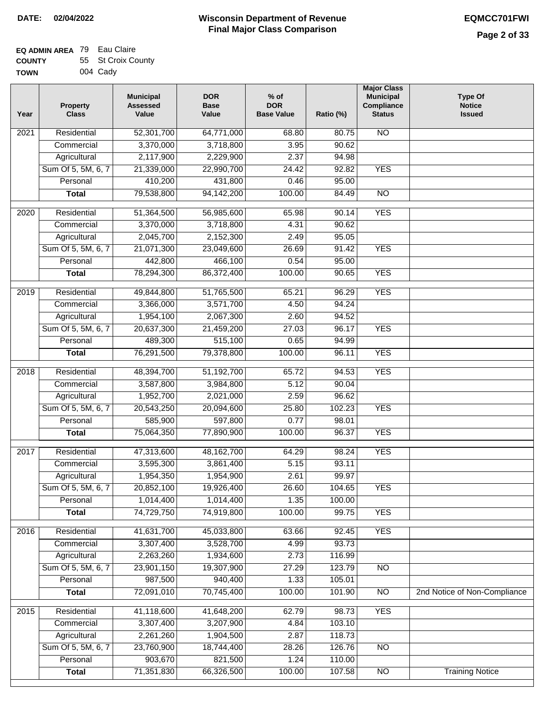#### **EQ ADMIN AREA** 79 Eau Claire **COUNTY TOWN** 55 St Croix County 004 Cady

| Year             | <b>Property</b><br><b>Class</b>    | <b>Municipal</b><br><b>Assessed</b><br>Value | <b>DOR</b><br><b>Base</b><br>Value | $%$ of<br><b>DOR</b><br><b>Base Value</b> | Ratio (%)        | <b>Major Class</b><br><b>Municipal</b><br>Compliance<br><b>Status</b> | <b>Type Of</b><br><b>Notice</b><br><b>Issued</b> |
|------------------|------------------------------------|----------------------------------------------|------------------------------------|-------------------------------------------|------------------|-----------------------------------------------------------------------|--------------------------------------------------|
| 2021             | Residential                        | 52,301,700                                   | 64,771,000                         | 68.80                                     | 80.75            | $\overline{NO}$                                                       |                                                  |
|                  | Commercial                         | 3,370,000                                    | 3,718,800                          | 3.95                                      | 90.62            |                                                                       |                                                  |
|                  | Agricultural                       | 2,117,900                                    | 2,229,900                          | 2.37                                      | 94.98            |                                                                       |                                                  |
|                  | Sum Of 5, 5M, 6, 7                 | 21,339,000                                   | 22,990,700                         | 24.42                                     | 92.82            | <b>YES</b>                                                            |                                                  |
|                  | Personal                           | 410,200                                      | 431,800                            | 0.46                                      | 95.00            |                                                                       |                                                  |
|                  | <b>Total</b>                       | 79,538,800                                   | 94, 142, 200                       | 100.00                                    | 84.49            | $\overline{NO}$                                                       |                                                  |
| 2020             | Residential                        | 51,364,500                                   | 56,985,600                         | 65.98                                     | 90.14            | <b>YES</b>                                                            |                                                  |
|                  | Commercial                         | 3,370,000                                    | 3,718,800                          | 4.31                                      | 90.62            |                                                                       |                                                  |
|                  | Agricultural                       | 2,045,700                                    | 2,152,300                          | 2.49                                      | 95.05            |                                                                       |                                                  |
|                  | Sum Of 5, 5M, 6, 7                 | 21,071,300                                   | 23,049,600                         | 26.69                                     | 91.42            | <b>YES</b>                                                            |                                                  |
|                  | Personal                           | 442,800                                      | 466,100                            | 0.54                                      | 95.00            |                                                                       |                                                  |
|                  | <b>Total</b>                       | 78,294,300                                   | 86,372,400                         | 100.00                                    | 90.65            | <b>YES</b>                                                            |                                                  |
|                  |                                    |                                              |                                    |                                           |                  |                                                                       |                                                  |
| $\frac{1}{2019}$ | Residential                        | 49,844,800                                   | 51,765,500                         | 65.21                                     | 96.29            | <b>YES</b>                                                            |                                                  |
|                  | Commercial                         | 3,366,000                                    | 3,571,700                          | 4.50                                      | 94.24            |                                                                       |                                                  |
|                  | Agricultural                       | 1,954,100                                    | 2,067,300                          | 2.60                                      | 94.52            |                                                                       |                                                  |
|                  | Sum Of 5, 5M, 6, 7                 | 20,637,300                                   | 21,459,200                         | 27.03                                     | 96.17            | <b>YES</b>                                                            |                                                  |
|                  | Personal                           | 489,300                                      | 515,100                            | 0.65                                      | 94.99            |                                                                       |                                                  |
|                  | <b>Total</b>                       | 76,291,500                                   | 79,378,800                         | 100.00                                    | 96.11            | <b>YES</b>                                                            |                                                  |
| 2018             | Residential                        | 48,394,700                                   | 51,192,700                         | 65.72                                     | 94.53            | <b>YES</b>                                                            |                                                  |
|                  | Commercial                         | 3,587,800                                    | 3,984,800                          | 5.12                                      | 90.04            |                                                                       |                                                  |
|                  | Agricultural                       | 1,952,700                                    | 2,021,000                          | 2.59                                      | 96.62            |                                                                       |                                                  |
|                  | Sum Of 5, 5M, 6, 7                 | 20,543,250                                   | 20,094,600                         | 25.80                                     | 102.23           | <b>YES</b>                                                            |                                                  |
|                  | Personal                           | 585,900                                      | 597,800                            | 0.77                                      | 98.01            |                                                                       |                                                  |
|                  | <b>Total</b>                       | 75,064,350                                   | 77,890,900                         | 100.00                                    | 96.37            | <b>YES</b>                                                            |                                                  |
| 2017             | Residential                        | 47,313,600                                   | 48,162,700                         | 64.29                                     | 98.24            | <b>YES</b>                                                            |                                                  |
|                  | Commercial                         | 3,595,300                                    | 3,861,400                          | 5.15                                      | 93.11            |                                                                       |                                                  |
|                  | Agricultural                       | 1,954,350                                    | 1,954,900                          | 2.61                                      | 99.97            |                                                                       |                                                  |
|                  | Sum Of 5, 5M, 6, 7                 | 20,852,100                                   | 19,926,400                         | 26.60                                     | 104.65           | <b>YES</b>                                                            |                                                  |
|                  | Personal                           | 1,014,400                                    | 1,014,400                          | 1.35                                      | 100.00           |                                                                       |                                                  |
|                  | <b>Total</b>                       | 74,729,750                                   | 74,919,800                         | 100.00                                    | 99.75            | <b>YES</b>                                                            |                                                  |
| 2016             | Residential                        | 41,631,700                                   | 45,033,800                         | 63.66                                     | 92.45            | <b>YES</b>                                                            |                                                  |
|                  | Commercial                         | 3,307,400                                    | 3,528,700                          | 4.99                                      | 93.73            |                                                                       |                                                  |
|                  | Agricultural                       | 2,263,260                                    | 1,934,600                          | 2.73                                      | 116.99           |                                                                       |                                                  |
|                  | Sum Of 5, 5M, 6, 7                 | 23,901,150                                   | 19,307,900                         | 27.29                                     | 123.79           | N <sub>O</sub>                                                        |                                                  |
|                  | Personal                           | 987,500                                      | 940,400                            | 1.33                                      | 105.01           |                                                                       |                                                  |
|                  | <b>Total</b>                       | 72,091,010                                   | 70,745,400                         | 100.00                                    | 101.90           | $\overline{NO}$                                                       | 2nd Notice of Non-Compliance                     |
| 2015             | Residential                        |                                              |                                    | 62.79                                     | 98.73            | <b>YES</b>                                                            |                                                  |
|                  |                                    | 41,118,600<br>3,307,400                      | 41,648,200<br>3,207,900            |                                           | 103.10           |                                                                       |                                                  |
|                  | Commercial                         |                                              |                                    | 4.84                                      |                  |                                                                       |                                                  |
|                  | Agricultural<br>Sum Of 5, 5M, 6, 7 | 2,261,260                                    | 1,904,500                          | 2.87                                      | 118.73           |                                                                       |                                                  |
|                  | Personal                           | 23,760,900<br>903,670                        | 18,744,400<br>821,500              | 28.26<br>1.24                             | 126.76<br>110.00 | <b>NO</b>                                                             |                                                  |
|                  | <b>Total</b>                       | 71,351,830                                   | 66,326,500                         | 100.00                                    | 107.58           | NO                                                                    | <b>Training Notice</b>                           |
|                  |                                    |                                              |                                    |                                           |                  |                                                                       |                                                  |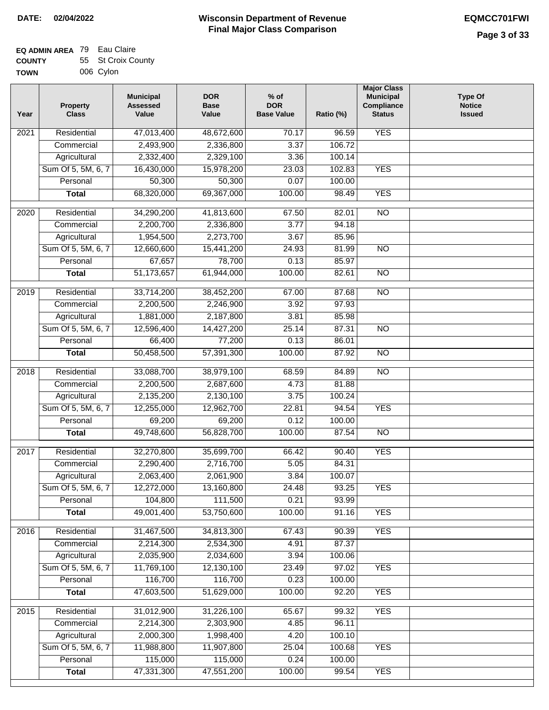#### **EQ ADMIN AREA** 79 Eau Claire **COUNTY TOWN** 55 St Croix County 006 Cylon

| Year | <b>Property</b><br><b>Class</b>    | <b>Municipal</b><br><b>Assessed</b><br>Value | <b>DOR</b><br><b>Base</b><br>Value | $%$ of<br><b>DOR</b><br><b>Base Value</b> | Ratio (%) | <b>Major Class</b><br><b>Municipal</b><br>Compliance<br><b>Status</b> | <b>Type Of</b><br><b>Notice</b><br><b>Issued</b> |
|------|------------------------------------|----------------------------------------------|------------------------------------|-------------------------------------------|-----------|-----------------------------------------------------------------------|--------------------------------------------------|
| 2021 | Residential                        | 47,013,400                                   | 48,672,600                         | 70.17                                     | 96.59     | <b>YES</b>                                                            |                                                  |
|      | Commercial                         | 2,493,900                                    | 2,336,800                          | 3.37                                      | 106.72    |                                                                       |                                                  |
|      | Agricultural                       | 2,332,400                                    | 2,329,100                          | 3.36                                      | 100.14    |                                                                       |                                                  |
|      | Sum Of 5, 5M, 6, 7                 | 16,430,000                                   | 15,978,200                         | 23.03                                     | 102.83    | <b>YES</b>                                                            |                                                  |
|      | Personal                           | 50,300                                       | 50,300                             | 0.07                                      | 100.00    |                                                                       |                                                  |
|      | <b>Total</b>                       | 68,320,000                                   | 69,367,000                         | 100.00                                    | 98.49     | <b>YES</b>                                                            |                                                  |
| 2020 | Residential                        | 34,290,200                                   | 41,813,600                         | 67.50                                     | 82.01     | $\overline{NO}$                                                       |                                                  |
|      | Commercial                         | 2,200,700                                    | 2,336,800                          | 3.77                                      | 94.18     |                                                                       |                                                  |
|      | Agricultural                       | 1,954,500                                    | 2,273,700                          | 3.67                                      | 85.96     |                                                                       |                                                  |
|      | Sum Of 5, 5M, 6, 7                 | 12,660,600                                   | 15,441,200                         | 24.93                                     | 81.99     | $\overline{NO}$                                                       |                                                  |
|      | Personal                           | 67,657                                       | 78,700                             | 0.13                                      | 85.97     |                                                                       |                                                  |
|      | <b>Total</b>                       | 51, 173, 657                                 | 61,944,000                         | 100.00                                    | 82.61     | $\overline{NO}$                                                       |                                                  |
| 2019 | Residential                        | 33,714,200                                   | 38,452,200                         | 67.00                                     | 87.68     | $\overline{3}$                                                        |                                                  |
|      | Commercial                         | 2,200,500                                    | 2,246,900                          | 3.92                                      | 97.93     |                                                                       |                                                  |
|      |                                    | 1,881,000                                    | 2,187,800                          | 3.81                                      | 85.98     |                                                                       |                                                  |
|      | Agricultural<br>Sum Of 5, 5M, 6, 7 | 12,596,400                                   | 14,427,200                         | 25.14                                     | 87.31     | $\overline{NO}$                                                       |                                                  |
|      | Personal                           | 66,400                                       | 77,200                             | 0.13                                      | 86.01     |                                                                       |                                                  |
|      | <b>Total</b>                       | 50,458,500                                   | 57,391,300                         | 100.00                                    | 87.92     | $\overline{NO}$                                                       |                                                  |
|      |                                    |                                              |                                    |                                           |           |                                                                       |                                                  |
| 2018 | Residential                        | 33,088,700                                   | 38,979,100                         | 68.59                                     | 84.89     | $\overline{10}$                                                       |                                                  |
|      | Commercial                         | 2,200,500                                    | 2,687,600                          | 4.73                                      | 81.88     |                                                                       |                                                  |
|      | Agricultural                       | 2,135,200                                    | 2,130,100                          | 3.75                                      | 100.24    |                                                                       |                                                  |
|      | Sum Of 5, 5M, 6, 7                 | 12,255,000                                   | 12,962,700                         | 22.81                                     | 94.54     | <b>YES</b>                                                            |                                                  |
|      | Personal                           | 69,200                                       | 69,200                             | 0.12                                      | 100.00    |                                                                       |                                                  |
|      | <b>Total</b>                       | 49,748,600                                   | 56,828,700                         | 100.00                                    | 87.54     | <b>NO</b>                                                             |                                                  |
| 2017 | Residential                        | 32,270,800                                   | 35,699,700                         | 66.42                                     | 90.40     | <b>YES</b>                                                            |                                                  |
|      | Commercial                         | 2,290,400                                    | 2,716,700                          | 5.05                                      | 84.31     |                                                                       |                                                  |
|      | Agricultural                       | 2,063,400                                    | 2,061,900                          | 3.84                                      | 100.07    |                                                                       |                                                  |
|      | Sum Of 5, 5M, 6, 7                 | 12,272,000                                   | 13,160,800                         | 24.48                                     | 93.25     | <b>YES</b>                                                            |                                                  |
|      | Personal                           | 104,800                                      | 111,500                            | 0.21                                      | 93.99     |                                                                       |                                                  |
|      | <b>Total</b>                       | 49,001,400                                   | 53,750,600                         | 100.00                                    | 91.16     | <b>YES</b>                                                            |                                                  |
| 2016 | Residential                        | 31,467,500                                   | 34,813,300                         | 67.43                                     | 90.39     | <b>YES</b>                                                            |                                                  |
|      | Commercial                         | 2,214,300                                    | 2,534,300                          | 4.91                                      | 87.37     |                                                                       |                                                  |
|      | Agricultural                       | 2,035,900                                    | 2,034,600                          | 3.94                                      | 100.06    |                                                                       |                                                  |
|      | Sum Of 5, 5M, 6, 7                 | 11,769,100                                   | 12,130,100                         | 23.49                                     | 97.02     | <b>YES</b>                                                            |                                                  |
|      | Personal                           | 116,700                                      | 116,700                            | 0.23                                      | 100.00    |                                                                       |                                                  |
|      | <b>Total</b>                       | 47,603,500                                   | 51,629,000                         | 100.00                                    | 92.20     | <b>YES</b>                                                            |                                                  |
| 2015 | Residential                        | 31,012,900                                   | 31,226,100                         | 65.67                                     | 99.32     | <b>YES</b>                                                            |                                                  |
|      | Commercial                         | 2,214,300                                    | 2,303,900                          | 4.85                                      | 96.11     |                                                                       |                                                  |
|      | Agricultural                       | 2,000,300                                    | 1,998,400                          | 4.20                                      | 100.10    |                                                                       |                                                  |
|      | Sum Of 5, 5M, 6, 7                 | 11,988,800                                   | 11,907,800                         | 25.04                                     | 100.68    | <b>YES</b>                                                            |                                                  |
|      | Personal                           | 115,000                                      | 115,000                            | 0.24                                      | 100.00    |                                                                       |                                                  |
|      | <b>Total</b>                       | 47,331,300                                   | 47,551,200                         | 100.00                                    | 99.54     | <b>YES</b>                                                            |                                                  |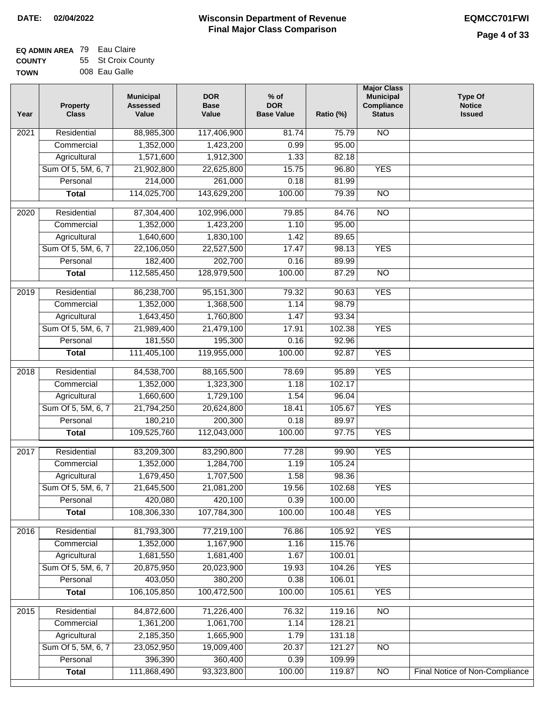|  | 008 Eau Galle |  |
|--|---------------|--|
|  |               |  |

| Year              | <b>Property</b><br><b>Class</b> | <b>Municipal</b><br><b>Assessed</b><br>Value | <b>DOR</b><br><b>Base</b><br>Value | $%$ of<br><b>DOR</b><br><b>Base Value</b> | Ratio (%) | <b>Major Class</b><br><b>Municipal</b><br>Compliance<br><b>Status</b> | <b>Type Of</b><br><b>Notice</b><br><b>Issued</b> |
|-------------------|---------------------------------|----------------------------------------------|------------------------------------|-------------------------------------------|-----------|-----------------------------------------------------------------------|--------------------------------------------------|
| 2021              | Residential                     | 88,985,300                                   | 117,406,900                        | 81.74                                     | 75.79     | N <sub>O</sub>                                                        |                                                  |
|                   | Commercial                      | 1,352,000                                    | 1,423,200                          | 0.99                                      | 95.00     |                                                                       |                                                  |
|                   | Agricultural                    | 1,571,600                                    | 1,912,300                          | 1.33                                      | 82.18     |                                                                       |                                                  |
|                   | Sum Of 5, 5M, 6, 7              | 21,902,800                                   | 22,625,800                         | 15.75                                     | 96.80     | <b>YES</b>                                                            |                                                  |
|                   | Personal                        | 214,000                                      | 261,000                            | 0.18                                      | 81.99     |                                                                       |                                                  |
|                   | <b>Total</b>                    | 114,025,700                                  | 143,629,200                        | 100.00                                    | 79.39     | $\overline{NO}$                                                       |                                                  |
| 2020              | Residential                     | 87,304,400                                   | 102,996,000                        | 79.85                                     | 84.76     | $\overline{3}$                                                        |                                                  |
|                   | Commercial                      | 1,352,000                                    | 1,423,200                          | 1.10                                      | 95.00     |                                                                       |                                                  |
|                   | Agricultural                    | 1,640,600                                    | 1,830,100                          | 1.42                                      | 89.65     |                                                                       |                                                  |
|                   | Sum Of 5, 5M, 6, 7              | 22,106,050                                   | 22,527,500                         | 17.47                                     | 98.13     | <b>YES</b>                                                            |                                                  |
|                   | Personal                        | 182,400                                      | 202,700                            | 0.16                                      | 89.99     |                                                                       |                                                  |
|                   | <b>Total</b>                    | 112,585,450                                  | 128,979,500                        | 100.00                                    | 87.29     | $\overline{NO}$                                                       |                                                  |
|                   |                                 |                                              |                                    |                                           |           |                                                                       |                                                  |
| 2019              | Residential                     | 86,238,700                                   | 95, 151, 300                       | 79.32                                     | 90.63     | <b>YES</b>                                                            |                                                  |
|                   | Commercial                      | 1,352,000                                    | 1,368,500                          | 1.14                                      | 98.79     |                                                                       |                                                  |
|                   | Agricultural                    | 1,643,450                                    | 1,760,800                          | 1.47                                      | 93.34     |                                                                       |                                                  |
|                   | Sum Of 5, 5M, 6, 7              | 21,989,400                                   | 21,479,100                         | 17.91                                     | 102.38    | <b>YES</b>                                                            |                                                  |
|                   | Personal                        | 181,550                                      | 195,300                            | 0.16                                      | 92.96     |                                                                       |                                                  |
|                   | <b>Total</b>                    | 111,405,100                                  | 119,955,000                        | 100.00                                    | 92.87     | <b>YES</b>                                                            |                                                  |
| $\overline{2018}$ | Residential                     | 84,538,700                                   | 88,165,500                         | 78.69                                     | 95.89     | <b>YES</b>                                                            |                                                  |
|                   | Commercial                      | 1,352,000                                    | 1,323,300                          | 1.18                                      | 102.17    |                                                                       |                                                  |
|                   | Agricultural                    | 1,660,600                                    | 1,729,100                          | 1.54                                      | 96.04     |                                                                       |                                                  |
|                   | Sum Of 5, 5M, 6, 7              | 21,794,250                                   | 20,624,800                         | 18.41                                     | 105.67    | <b>YES</b>                                                            |                                                  |
|                   | Personal                        | 180,210                                      | 200,300                            | 0.18                                      | 89.97     |                                                                       |                                                  |
|                   | <b>Total</b>                    | 109,525,760                                  | 112,043,000                        | 100.00                                    | 97.75     | <b>YES</b>                                                            |                                                  |
| 2017              | Residential                     | 83,209,300                                   | 83,290,800                         | 77.28                                     | 99.90     | <b>YES</b>                                                            |                                                  |
|                   | Commercial                      | 1,352,000                                    | 1,284,700                          | 1.19                                      | 105.24    |                                                                       |                                                  |
|                   | Agricultural                    | 1,679,450                                    | 1,707,500                          | 1.58                                      | 98.36     |                                                                       |                                                  |
|                   | Sum Of 5, 5M, 6, 7              | 21,645,500                                   | 21,081,200                         | 19.56                                     | 102.68    | <b>YES</b>                                                            |                                                  |
|                   | Personal                        | 420,080                                      | 420,100                            | 0.39                                      | 100.00    |                                                                       |                                                  |
|                   | <b>Total</b>                    | 108,306,330                                  | 107,784,300                        | 100.00                                    | 100.48    | <b>YES</b>                                                            |                                                  |
|                   |                                 |                                              |                                    |                                           |           |                                                                       |                                                  |
| 2016              | Residential                     | 81,793,300                                   | 77,219,100                         | 76.86                                     | 105.92    | <b>YES</b>                                                            |                                                  |
|                   | Commercial                      | 1,352,000                                    | 1,167,900                          | 1.16                                      | 115.76    |                                                                       |                                                  |
|                   | Agricultural                    | 1,681,550                                    | 1,681,400                          | 1.67                                      | 100.01    |                                                                       |                                                  |
|                   | Sum Of 5, 5M, 6, 7              | 20,875,950                                   | 20,023,900                         | 19.93                                     | 104.26    | <b>YES</b>                                                            |                                                  |
|                   | Personal                        | 403,050                                      | 380,200                            | 0.38                                      | 106.01    |                                                                       |                                                  |
|                   | <b>Total</b>                    | 106,105,850                                  | 100,472,500                        | 100.00                                    | 105.61    | <b>YES</b>                                                            |                                                  |
| 2015              | Residential                     | 84,872,600                                   | 71,226,400                         | 76.32                                     | 119.16    | N <sub>O</sub>                                                        |                                                  |
|                   | Commercial                      | 1,361,200                                    | 1,061,700                          | 1.14                                      | 128.21    |                                                                       |                                                  |
|                   | Agricultural                    | 2,185,350                                    | 1,665,900                          | 1.79                                      | 131.18    |                                                                       |                                                  |
|                   | Sum Of 5, 5M, 6, 7              | 23,052,950                                   | 19,009,400                         | 20.37                                     | 121.27    | <b>NO</b>                                                             |                                                  |
|                   | Personal                        | 396,390                                      | 360,400                            | 0.39                                      | 109.99    |                                                                       |                                                  |
|                   | <b>Total</b>                    | 111,868,490                                  | 93,323,800                         | 100.00                                    | 119.87    | N <sub>O</sub>                                                        | Final Notice of Non-Compliance                   |
|                   |                                 |                                              |                                    |                                           |           |                                                                       |                                                  |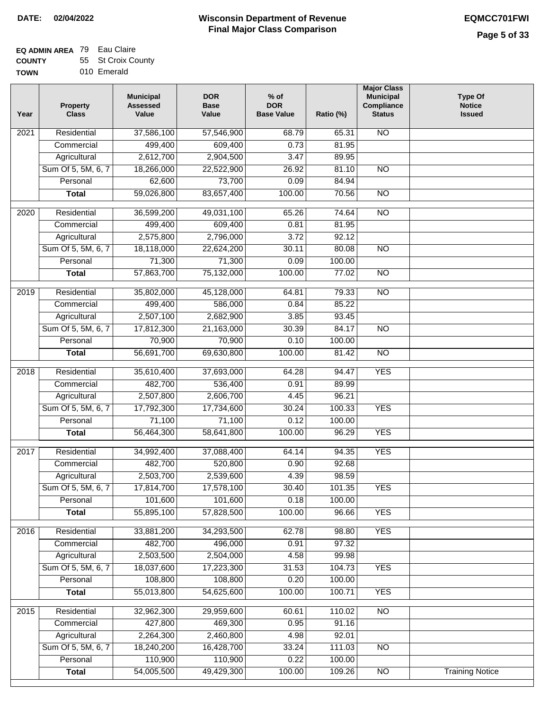| --------    |             |
|-------------|-------------|
| <b>TOWN</b> | 010 Emerald |

| Year | <b>Property</b><br><b>Class</b> | <b>Municipal</b><br><b>Assessed</b><br>Value | <b>DOR</b><br><b>Base</b><br>Value | $%$ of<br><b>DOR</b><br><b>Base Value</b> | Ratio (%) | <b>Major Class</b><br><b>Municipal</b><br>Compliance<br><b>Status</b> | <b>Type Of</b><br><b>Notice</b><br><b>Issued</b> |
|------|---------------------------------|----------------------------------------------|------------------------------------|-------------------------------------------|-----------|-----------------------------------------------------------------------|--------------------------------------------------|
| 2021 | Residential                     | 37,586,100                                   | 57,546,900                         | 68.79                                     | 65.31     | $\overline{NO}$                                                       |                                                  |
|      | Commercial                      | 499,400                                      | 609,400                            | 0.73                                      | 81.95     |                                                                       |                                                  |
|      | Agricultural                    | 2,612,700                                    | 2,904,500                          | 3.47                                      | 89.95     |                                                                       |                                                  |
|      | Sum Of 5, 5M, 6, 7              | 18,266,000                                   | 22,522,900                         | 26.92                                     | 81.10     | $\overline{NO}$                                                       |                                                  |
|      | Personal                        | 62,600                                       | 73,700                             | 0.09                                      | 84.94     |                                                                       |                                                  |
|      | <b>Total</b>                    | 59,026,800                                   | 83,657,400                         | 100.00                                    | 70.56     | $\overline{NO}$                                                       |                                                  |
| 2020 | Residential                     | 36,599,200                                   | 49,031,100                         | 65.26                                     | 74.64     | $\overline{NO}$                                                       |                                                  |
|      | Commercial                      | 499,400                                      | 609,400                            | 0.81                                      | 81.95     |                                                                       |                                                  |
|      | Agricultural                    | 2,575,800                                    | 2,796,000                          | 3.72                                      | 92.12     |                                                                       |                                                  |
|      | Sum Of 5, 5M, 6, 7              | 18,118,000                                   | 22,624,200                         | 30.11                                     | 80.08     | $\overline{NO}$                                                       |                                                  |
|      | Personal                        | 71,300                                       | 71,300                             | 0.09                                      | 100.00    |                                                                       |                                                  |
|      | <b>Total</b>                    | 57,863,700                                   | 75,132,000                         | 100.00                                    | 77.02     | $\overline{NO}$                                                       |                                                  |
|      |                                 |                                              |                                    |                                           |           |                                                                       |                                                  |
| 2019 | Residential                     | 35,802,000                                   | 45,128,000                         | 64.81                                     | 79.33     | N <sub>O</sub>                                                        |                                                  |
|      | Commercial                      | 499,400                                      | 586,000                            | 0.84                                      | 85.22     |                                                                       |                                                  |
|      | Agricultural                    | 2,507,100                                    | 2,682,900                          | 3.85                                      | 93.45     |                                                                       |                                                  |
|      | Sum Of 5, 5M, 6, 7              | 17,812,300                                   | 21,163,000                         | 30.39                                     | 84.17     | $\overline{N}$                                                        |                                                  |
|      | Personal                        | 70,900                                       | 70,900                             | 0.10                                      | 100.00    |                                                                       |                                                  |
|      | <b>Total</b>                    | 56,691,700                                   | 69,630,800                         | 100.00                                    | 81.42     | <b>NO</b>                                                             |                                                  |
| 2018 | Residential                     | 35,610,400                                   | 37,693,000                         | 64.28                                     | 94.47     | <b>YES</b>                                                            |                                                  |
|      | Commercial                      | 482,700                                      | 536,400                            | 0.91                                      | 89.99     |                                                                       |                                                  |
|      | Agricultural                    | 2,507,800                                    | 2,606,700                          | 4.45                                      | 96.21     |                                                                       |                                                  |
|      | Sum Of 5, 5M, 6, 7              | 17,792,300                                   | 17,734,600                         | 30.24                                     | 100.33    | <b>YES</b>                                                            |                                                  |
|      | Personal                        | 71,100                                       | 71,100                             | 0.12                                      | 100.00    |                                                                       |                                                  |
|      | <b>Total</b>                    | 56,464,300                                   | 58,641,800                         | 100.00                                    | 96.29     | <b>YES</b>                                                            |                                                  |
| 2017 | Residential                     | 34,992,400                                   | 37,088,400                         | 64.14                                     | 94.35     | <b>YES</b>                                                            |                                                  |
|      | Commercial                      | 482,700                                      | 520,800                            | 0.90                                      | 92.68     |                                                                       |                                                  |
|      | Agricultural                    | 2,503,700                                    | 2,539,600                          | 4.39                                      | 98.59     |                                                                       |                                                  |
|      | Sum Of 5, 5M, 6, 7              | 17,814,700                                   | 17,578,100                         | 30.40                                     | 101.35    | <b>YES</b>                                                            |                                                  |
|      | Personal                        | 101,600                                      | 101,600                            | 0.18                                      | 100.00    |                                                                       |                                                  |
|      | <b>Total</b>                    | 55,895,100                                   | 57,828,500                         | 100.00                                    | 96.66     | <b>YES</b>                                                            |                                                  |
| 2016 | Residential                     | 33,881,200                                   | 34,293,500                         | 62.78                                     | 98.80     | <b>YES</b>                                                            |                                                  |
|      | Commercial                      | 482,700                                      | 496,000                            | 0.91                                      | 97.32     |                                                                       |                                                  |
|      | Agricultural                    | 2,503,500                                    | 2,504,000                          | 4.58                                      | 99.98     |                                                                       |                                                  |
|      | Sum Of 5, 5M, 6, 7              | 18,037,600                                   | 17,223,300                         | 31.53                                     | 104.73    | <b>YES</b>                                                            |                                                  |
|      | Personal                        | 108,800                                      | 108,800                            | 0.20                                      | 100.00    |                                                                       |                                                  |
|      | <b>Total</b>                    | 55,013,800                                   | 54,625,600                         | 100.00                                    | 100.71    | <b>YES</b>                                                            |                                                  |
|      |                                 |                                              |                                    |                                           |           |                                                                       |                                                  |
| 2015 | Residential                     | 32,962,300                                   | 29,959,600                         | 60.61                                     | 110.02    | N <sub>O</sub>                                                        |                                                  |
|      | Commercial                      | 427,800                                      | 469,300                            | 0.95                                      | 91.16     |                                                                       |                                                  |
|      | Agricultural                    | 2,264,300                                    | 2,460,800                          | 4.98                                      | 92.01     |                                                                       |                                                  |
|      | Sum Of 5, 5M, 6, 7              | 18,240,200                                   | 16,428,700                         | 33.24                                     | 111.03    | <b>NO</b>                                                             |                                                  |
|      | Personal                        | 110,900                                      | 110,900                            | 0.22                                      | 100.00    |                                                                       |                                                  |
|      | <b>Total</b>                    | 54,005,500                                   | 49,429,300                         | 100.00                                    | 109.26    | $\overline{NO}$                                                       | <b>Training Notice</b>                           |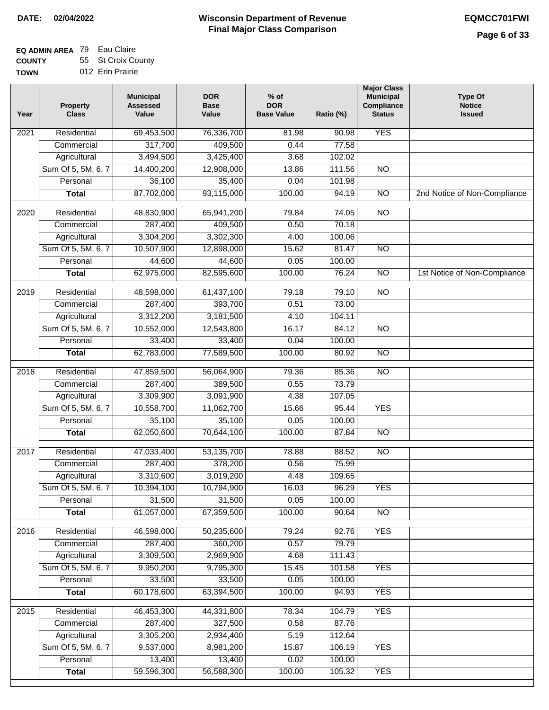#### **EQ ADMIN AREA** 79 Eau Claire **COUNTY** 55 St Croix County

**TOWN** 012 Erin Prairie

| Year              | <b>Property</b><br><b>Class</b> | <b>Municipal</b><br><b>Assessed</b><br>Value | <b>DOR</b><br><b>Base</b><br>Value | % of<br><b>DOR</b><br><b>Base Value</b> | Ratio (%) | <b>Major Class</b><br><b>Municipal</b><br>Compliance<br><b>Status</b> | <b>Type Of</b><br><b>Notice</b><br><b>Issued</b> |
|-------------------|---------------------------------|----------------------------------------------|------------------------------------|-----------------------------------------|-----------|-----------------------------------------------------------------------|--------------------------------------------------|
| 2021              | Residential                     | 69,453,500                                   | 76,336,700                         | 81.98                                   | 90.98     | <b>YES</b>                                                            |                                                  |
|                   | Commercial                      | 317,700                                      | 409,500                            | 0.44                                    | 77.58     |                                                                       |                                                  |
|                   | Agricultural                    | 3,494,500                                    | 3,425,400                          | 3.68                                    | 102.02    |                                                                       |                                                  |
|                   | Sum Of 5, 5M, 6, 7              | 14,400,200                                   | 12,908,000                         | 13.86                                   | 111.56    | $\overline{NO}$                                                       |                                                  |
|                   | Personal                        | 36,100                                       | 35,400                             | 0.04                                    | 101.98    |                                                                       |                                                  |
|                   | <b>Total</b>                    | 87,702,000                                   | 93,115,000                         | 100.00                                  | 94.19     | $\overline{NO}$                                                       | 2nd Notice of Non-Compliance                     |
| $\overline{2020}$ | Residential                     | 48,830,900                                   | 65,941,200                         | 79.84                                   | 74.05     | $\overline{NO}$                                                       |                                                  |
|                   | Commercial                      | 287,400                                      | 409,500                            | 0.50                                    | 70.18     |                                                                       |                                                  |
|                   | Agricultural                    | 3,304,200                                    | 3,302,300                          | 4.00                                    | 100.06    |                                                                       |                                                  |
|                   | Sum Of 5, 5M, 6, 7              | 10,507,900                                   | 12,898,000                         | 15.62                                   | 81.47     | <b>NO</b>                                                             |                                                  |
|                   | Personal                        | 44,600                                       | 44,600                             | 0.05                                    | 100.00    |                                                                       |                                                  |
|                   | <b>Total</b>                    | 62,975,000                                   | 82,595,600                         | 100.00                                  | 76.24     | $\overline{NO}$                                                       | 1st Notice of Non-Compliance                     |
| 2019              | Residential                     | 48,598,000                                   | 61,437,100                         | 79.18                                   | 79.10     | $\overline{NO}$                                                       |                                                  |
|                   | Commercial                      | 287,400                                      | 393,700                            | 0.51                                    | 73.00     |                                                                       |                                                  |
|                   | Agricultural                    | 3,312,200                                    | 3,181,500                          | 4.10                                    | 104.11    |                                                                       |                                                  |
|                   | Sum Of 5, 5M, 6, 7              | 10,552,000                                   | 12,543,800                         | 16.17                                   | 84.12     | $\overline{NO}$                                                       |                                                  |
|                   | Personal                        | 33,400                                       | 33,400                             | 0.04                                    | 100.00    |                                                                       |                                                  |
|                   | <b>Total</b>                    | 62,783,000                                   | 77,589,500                         | 100.00                                  | 80.92     | $\overline{NO}$                                                       |                                                  |
| 2018              | Residential                     | 47,859,500                                   | 56,064,900                         | 79.36                                   | 85.36     | $\overline{NO}$                                                       |                                                  |
|                   | Commercial                      | 287,400                                      | 389,500                            | 0.55                                    | 73.79     |                                                                       |                                                  |
|                   | Agricultural                    | 3,309,900                                    | 3,091,900                          | 4.38                                    | 107.05    |                                                                       |                                                  |
|                   | Sum Of 5, 5M, 6, 7              | 10,558,700                                   | 11,062,700                         | 15.66                                   | 95.44     | <b>YES</b>                                                            |                                                  |
|                   | Personal                        | 35,100                                       | 35,100                             | 0.05                                    | 100.00    |                                                                       |                                                  |
|                   | <b>Total</b>                    | 62,050,600                                   | 70,644,100                         | 100.00                                  | 87.84     | $\overline{10}$                                                       |                                                  |
| 2017              | Residential                     | 47,033,400                                   | 53,135,700                         | 78.88                                   | 88.52     | <b>NO</b>                                                             |                                                  |
|                   | Commercial                      | 287,400                                      | 378,200                            | 0.56                                    | 75.99     |                                                                       |                                                  |
|                   | Agricultural                    | 3,310,600                                    | 3,019,200                          | 4.48                                    | 109.65    |                                                                       |                                                  |
|                   | Sum Of 5, 5M, 6, 7              | 10,394,100                                   | 10,794,900                         | 16.03                                   | 96.29     | <b>YES</b>                                                            |                                                  |
|                   | Personal                        | 31,500                                       | 31,500                             | 0.05                                    | 100.00    |                                                                       |                                                  |
|                   | <b>Total</b>                    | 61,057,000                                   | 67,359,500                         | 100.00                                  | 90.64     | <b>NO</b>                                                             |                                                  |
| 2016              | Residential                     | 46,598,000                                   | 50,235,600                         | 79.24                                   | 92.76     | <b>YES</b>                                                            |                                                  |
|                   | Commercial                      | 287,400                                      | 360,200                            | 0.57                                    | 79.79     |                                                                       |                                                  |
|                   | Agricultural                    | 3,309,500                                    | 2,969,900                          | 4.68                                    | 111.43    |                                                                       |                                                  |
|                   | Sum Of 5, 5M, 6, 7              | 9,950,200                                    | 9,795,300                          | 15.45                                   | 101.58    | <b>YES</b>                                                            |                                                  |
|                   | Personal                        | 33,500                                       | 33,500                             | 0.05                                    | 100.00    |                                                                       |                                                  |
|                   | <b>Total</b>                    | 60,178,600                                   | 63,394,500                         | 100.00                                  | 94.93     | <b>YES</b>                                                            |                                                  |
| 2015              | Residential                     | 46,453,300                                   | 44,331,800                         | 78.34                                   | 104.79    | <b>YES</b>                                                            |                                                  |
|                   | Commercial                      | 287,400                                      | 327,500                            | 0.58                                    | 87.76     |                                                                       |                                                  |
|                   | Agricultural                    | 3,305,200                                    | 2,934,400                          | 5.19                                    | 112.64    |                                                                       |                                                  |
|                   | Sum Of 5, 5M, 6, 7              | 9,537,000                                    | 8,981,200                          | 15.87                                   | 106.19    | <b>YES</b>                                                            |                                                  |
|                   | Personal                        | 13,400                                       | 13,400                             | 0.02                                    | 100.00    |                                                                       |                                                  |
|                   | <b>Total</b>                    | 59,596,300                                   | 56,588,300                         | 100.00                                  | 105.32    | <b>YES</b>                                                            |                                                  |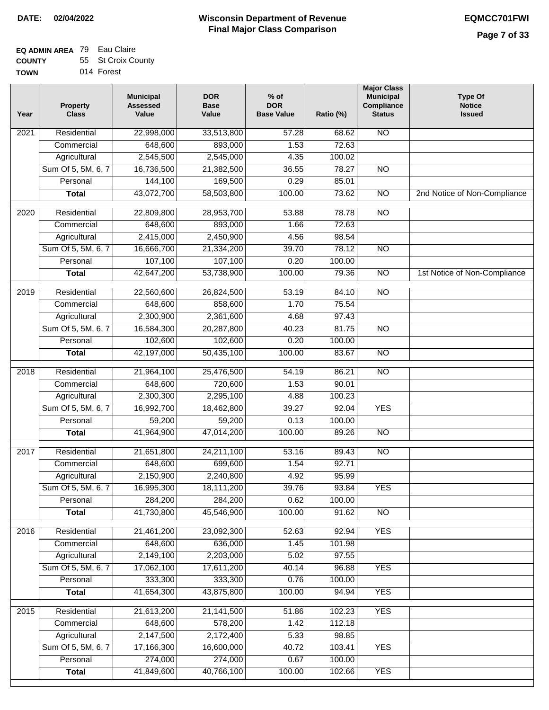| <b>TOWN</b> | 014 Forest |
|-------------|------------|

| Year              | <b>Property</b><br><b>Class</b> | <b>Municipal</b><br><b>Assessed</b><br>Value | <b>DOR</b><br><b>Base</b><br>Value | % of<br><b>DOR</b><br><b>Base Value</b> | Ratio (%) | <b>Major Class</b><br><b>Municipal</b><br>Compliance<br><b>Status</b> | <b>Type Of</b><br><b>Notice</b><br><b>Issued</b> |
|-------------------|---------------------------------|----------------------------------------------|------------------------------------|-----------------------------------------|-----------|-----------------------------------------------------------------------|--------------------------------------------------|
| $\overline{202}1$ | Residential                     | 22,998,000                                   | 33,513,800                         | 57.28                                   | 68.62     | <b>NO</b>                                                             |                                                  |
|                   | Commercial                      | 648,600                                      | 893,000                            | 1.53                                    | 72.63     |                                                                       |                                                  |
|                   | Agricultural                    | 2,545,500                                    | 2,545,000                          | 4.35                                    | 100.02    |                                                                       |                                                  |
|                   | Sum Of 5, 5M, 6, 7              | 16,736,500                                   | 21,382,500                         | 36.55                                   | 78.27     | $\overline{NO}$                                                       |                                                  |
|                   | Personal                        | 144,100                                      | 169,500                            | 0.29                                    | 85.01     |                                                                       |                                                  |
|                   | <b>Total</b>                    | 43,072,700                                   | 58,503,800                         | 100.00                                  | 73.62     | $\overline{NO}$                                                       | 2nd Notice of Non-Compliance                     |
| $\overline{2020}$ | Residential                     | 22,809,800                                   | 28,953,700                         | 53.88                                   | 78.78     | $\overline{NO}$                                                       |                                                  |
|                   | Commercial                      | 648,600                                      | 893,000                            | 1.66                                    | 72.63     |                                                                       |                                                  |
|                   | Agricultural                    | 2,415,000                                    | 2,450,900                          | 4.56                                    | 98.54     |                                                                       |                                                  |
|                   | Sum Of 5, 5M, 6, 7              | 16,666,700                                   | 21,334,200                         | 39.70                                   | 78.12     | $\overline{NO}$                                                       |                                                  |
|                   | Personal                        | 107,100                                      | 107,100                            | 0.20                                    | 100.00    |                                                                       |                                                  |
|                   | <b>Total</b>                    | 42,647,200                                   | 53,738,900                         | 100.00                                  | 79.36     | N <sub>O</sub>                                                        | 1st Notice of Non-Compliance                     |
| 2019              | Residential                     | 22,560,600                                   | 26,824,500                         | 53.19                                   | 84.10     | $\overline{3}$                                                        |                                                  |
|                   | Commercial                      | 648,600                                      | 858,600                            | 1.70                                    | 75.54     |                                                                       |                                                  |
|                   | Agricultural                    | 2,300,900                                    | 2,361,600                          | 4.68                                    | 97.43     |                                                                       |                                                  |
|                   | Sum Of 5, 5M, 6, 7              | 16,584,300                                   | 20,287,800                         | 40.23                                   | 81.75     | $\overline{NO}$                                                       |                                                  |
|                   | Personal                        | 102,600                                      | 102,600                            | 0.20                                    | 100.00    |                                                                       |                                                  |
|                   | <b>Total</b>                    | 42,197,000                                   | 50,435,100                         | 100.00                                  | 83.67     | $\overline{NO}$                                                       |                                                  |
| 2018              | Residential                     | 21,964,100                                   | 25,476,500                         | 54.19                                   | 86.21     | $\overline{10}$                                                       |                                                  |
|                   | Commercial                      | 648,600                                      | 720,600                            | 1.53                                    | 90.01     |                                                                       |                                                  |
|                   | Agricultural                    | 2,300,300                                    | 2,295,100                          | 4.88                                    | 100.23    |                                                                       |                                                  |
|                   | Sum Of 5, 5M, 6, 7              | 16,992,700                                   | 18,462,800                         | 39.27                                   | 92.04     | <b>YES</b>                                                            |                                                  |
|                   | Personal                        | 59,200                                       | 59,200                             | 0.13                                    | 100.00    |                                                                       |                                                  |
|                   | <b>Total</b>                    | 41,964,900                                   | 47,014,200                         | 100.00                                  | 89.26     | <b>NO</b>                                                             |                                                  |
| $\overline{2017}$ | Residential                     | 21,651,800                                   | 24,211,100                         | 53.16                                   | 89.43     | <b>NO</b>                                                             |                                                  |
|                   | Commercial                      | 648,600                                      | 699,600                            | 1.54                                    | 92.71     |                                                                       |                                                  |
|                   | Agricultural                    | 2,150,900                                    | 2,240,800                          | 4.92                                    | 95.99     |                                                                       |                                                  |
|                   | Sum Of 5, 5M, 6, 7              | 16,995,300                                   | 18,111,200                         | 39.76                                   | 93.84     | <b>YES</b>                                                            |                                                  |
|                   | Personal                        | 284,200                                      | 284,200                            | 0.62                                    | 100.00    |                                                                       |                                                  |
|                   | <b>Total</b>                    | 41,730,800                                   | 45,546,900                         | 100.00                                  | 91.62     | <b>NO</b>                                                             |                                                  |
| 2016              | Residential                     | 21,461,200                                   | 23,092,300                         | 52.63                                   | 92.94     | <b>YES</b>                                                            |                                                  |
|                   | Commercial                      | 648,600                                      | 636,000                            | 1.45                                    | 101.98    |                                                                       |                                                  |
|                   | Agricultural                    | 2,149,100                                    | 2,203,000                          | 5.02                                    | 97.55     |                                                                       |                                                  |
|                   | Sum Of 5, 5M, 6, 7              | 17,062,100                                   | 17,611,200                         | 40.14                                   | 96.88     | <b>YES</b>                                                            |                                                  |
|                   | Personal                        | 333,300                                      | 333,300                            | 0.76                                    | 100.00    |                                                                       |                                                  |
|                   | <b>Total</b>                    | 41,654,300                                   | 43,875,800                         | 100.00                                  | 94.94     | <b>YES</b>                                                            |                                                  |
| 2015              | Residential                     | 21,613,200                                   | 21, 141, 500                       | 51.86                                   | 102.23    | <b>YES</b>                                                            |                                                  |
|                   | Commercial                      | 648,600                                      | 578,200                            | 1.42                                    | 112.18    |                                                                       |                                                  |
|                   | Agricultural                    | 2,147,500                                    | 2,172,400                          | 5.33                                    | 98.85     |                                                                       |                                                  |
|                   | Sum Of 5, 5M, 6, 7              | 17,166,300                                   | 16,600,000                         | 40.72                                   | 103.41    | <b>YES</b>                                                            |                                                  |
|                   | Personal                        | 274,000                                      | 274,000                            | 0.67                                    | 100.00    |                                                                       |                                                  |
|                   | <b>Total</b>                    | 41,849,600                                   | 40,766,100                         | 100.00                                  | 102.66    | <b>YES</b>                                                            |                                                  |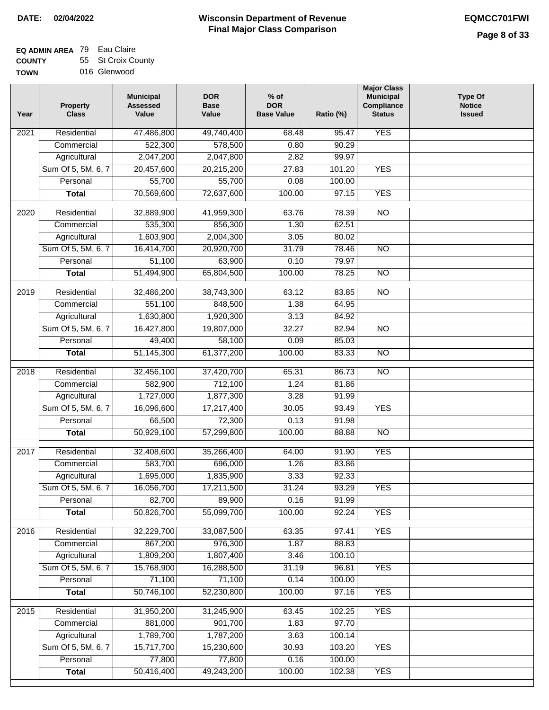#### **Wisconsin Department of Revenue Final Major Class Comparison DATE: 02/04/2022 EQMCC701FWI**

٦

#### **EQ ADMIN AREA** 79 Eau Claire **COUNTY** 55 St Croix County

| ------      |              |
|-------------|--------------|
| <b>TOWN</b> | 016 Glenwood |

| Year | <b>Property</b><br><b>Class</b> | <b>Municipal</b><br><b>Assessed</b><br>Value | <b>DOR</b><br><b>Base</b><br>Value | $%$ of<br><b>DOR</b><br><b>Base Value</b> | Ratio (%)        | <b>Major Class</b><br><b>Municipal</b><br>Compliance<br><b>Status</b> | <b>Type Of</b><br><b>Notice</b><br><b>Issued</b> |
|------|---------------------------------|----------------------------------------------|------------------------------------|-------------------------------------------|------------------|-----------------------------------------------------------------------|--------------------------------------------------|
| 2021 | Residential                     | 47,486,800                                   | 49,740,400                         | 68.48                                     | 95.47            | <b>YES</b>                                                            |                                                  |
|      | Commercial                      | 522,300                                      | 578,500                            | 0.80                                      | 90.29            |                                                                       |                                                  |
|      | Agricultural                    | 2,047,200                                    | 2,047,800                          | 2.82                                      | 99.97            |                                                                       |                                                  |
|      | Sum Of 5, 5M, 6, 7              | 20,457,600                                   | 20,215,200                         | 27.83                                     | 101.20           | <b>YES</b>                                                            |                                                  |
|      | Personal                        | 55,700                                       | 55,700                             | 0.08                                      | 100.00           |                                                                       |                                                  |
|      | <b>Total</b>                    | 70,569,600                                   | 72,637,600                         | 100.00                                    | 97.15            | <b>YES</b>                                                            |                                                  |
| 2020 | Residential                     | 32,889,900                                   | 41,959,300                         | 63.76                                     | 78.39            | $\overline{NO}$                                                       |                                                  |
|      | Commercial                      | 535,300                                      | 856,300                            | 1.30                                      | 62.51            |                                                                       |                                                  |
|      | Agricultural                    | 1,603,900                                    | 2,004,300                          | 3.05                                      | 80.02            |                                                                       |                                                  |
|      | Sum Of 5, 5M, 6, 7              | 16,414,700                                   | 20,920,700                         | 31.79                                     | 78.46            | <b>NO</b>                                                             |                                                  |
|      | Personal                        | 51,100                                       | 63,900                             | 0.10                                      | 79.97            |                                                                       |                                                  |
|      | <b>Total</b>                    | 51,494,900                                   | 65,804,500                         | 100.00                                    | 78.25            | <b>NO</b>                                                             |                                                  |
|      |                                 |                                              |                                    |                                           |                  |                                                                       |                                                  |
| 2019 | Residential                     | 32,486,200                                   | 38,743,300                         | 63.12                                     | 83.85            | $\overline{NO}$                                                       |                                                  |
|      | Commercial                      | 551,100                                      | 848,500                            | 1.38                                      | 64.95            |                                                                       |                                                  |
|      | Agricultural                    | 1,630,800                                    | 1,920,300                          | 3.13                                      | 84.92            |                                                                       |                                                  |
|      | Sum Of 5, 5M, 6, 7              | 16,427,800                                   | 19,807,000                         | 32.27                                     | 82.94            | $\overline{NO}$                                                       |                                                  |
|      | Personal                        | 49,400                                       | 58,100                             | 0.09                                      | 85.03            |                                                                       |                                                  |
|      | <b>Total</b>                    | 51,145,300                                   | 61,377,200                         | 100.00                                    | 83.33            | $\overline{NO}$                                                       |                                                  |
| 2018 | Residential                     | 32,456,100                                   | 37,420,700                         | 65.31                                     | 86.73            | $\overline{NO}$                                                       |                                                  |
|      | Commercial                      | 582,900                                      | 712,100                            | 1.24                                      | 81.86            |                                                                       |                                                  |
|      | Agricultural                    | 1,727,000                                    | 1,877,300                          | 3.28                                      | 91.99            |                                                                       |                                                  |
|      | Sum Of 5, 5M, 6, 7              | 16,096,600                                   | 17,217,400                         | 30.05                                     | 93.49            | <b>YES</b>                                                            |                                                  |
|      | Personal                        | 66,500                                       | 72,300                             | 0.13                                      | 91.98            |                                                                       |                                                  |
|      | <b>Total</b>                    | 50,929,100                                   | 57,299,800                         | 100.00                                    | 88.88            | $\overline{NO}$                                                       |                                                  |
|      |                                 |                                              |                                    |                                           |                  |                                                                       |                                                  |
| 2017 | Residential                     | 32,408,600                                   | 35,266,400                         | 64.00                                     | 91.90            | <b>YES</b>                                                            |                                                  |
|      | Commercial                      | 583,700                                      | 696,000                            | 1.26                                      | 83.86            |                                                                       |                                                  |
|      | Agricultural                    | 1,695,000                                    | 1,835,900                          | 3.33                                      | 92.33            |                                                                       |                                                  |
|      | Sum Of 5, 5M, 6, 7              | 16,056,700                                   | 17,211,500                         | 31.24                                     | 93.29            | <b>YES</b>                                                            |                                                  |
|      | Personal                        | 82,700                                       | 89,900                             | 0.16                                      | 91.99            |                                                                       |                                                  |
|      | <b>Total</b>                    | 50,826,700                                   | 55,099,700                         | 100.00                                    | 92.24            | <b>YES</b>                                                            |                                                  |
| 2016 | Residential                     | 32,229,700                                   | 33,087,500                         | 63.35                                     | 97.41            | <b>YES</b>                                                            |                                                  |
|      | Commercial                      | 867,200                                      | 976,300                            | 1.87                                      | 88.83            |                                                                       |                                                  |
|      | Agricultural                    | 1,809,200                                    | 1,807,400                          | 3.46                                      | 100.10           |                                                                       |                                                  |
|      | Sum Of 5, 5M, 6, 7              | 15,768,900                                   | 16,288,500                         | 31.19                                     | 96.81            | <b>YES</b>                                                            |                                                  |
|      | Personal                        | 71,100                                       | 71,100                             | 0.14                                      | 100.00           |                                                                       |                                                  |
|      | <b>Total</b>                    | 50,746,100                                   | 52,230,800                         | 100.00                                    | 97.16            | <b>YES</b>                                                            |                                                  |
|      |                                 |                                              |                                    |                                           |                  |                                                                       |                                                  |
| 2015 | Residential                     | 31,950,200                                   | 31,245,900                         | 63.45                                     | 102.25           | <b>YES</b>                                                            |                                                  |
|      | Commercial                      | 881,000                                      | 901,700                            | 1.83                                      | 97.70            |                                                                       |                                                  |
|      | Agricultural                    | 1,789,700                                    | 1,787,200                          | 3.63                                      | 100.14           |                                                                       |                                                  |
|      | Sum Of 5, 5M, 6, 7              | 15,717,700                                   | 15,230,600                         | 30.93                                     | 103.20           | <b>YES</b>                                                            |                                                  |
|      | Personal<br><b>Total</b>        | 77,800<br>50,416,400                         | 77,800<br>49,243,200               | 0.16<br>100.00                            | 100.00<br>102.38 | <b>YES</b>                                                            |                                                  |
|      |                                 |                                              |                                    |                                           |                  |                                                                       |                                                  |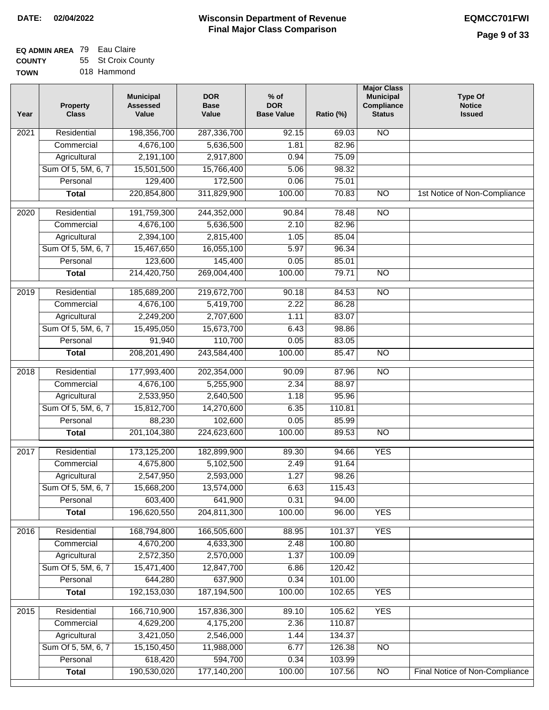#### **EQ ADMIN AREA** 79 Eau Claire **COUNTY** 55 St Croix County

| <b>TOWN</b> | 018 Hammond |
|-------------|-------------|
|             |             |

| Year | <b>Property</b><br><b>Class</b> | <b>Municipal</b><br><b>Assessed</b><br>Value | <b>DOR</b><br><b>Base</b><br>Value | $%$ of<br><b>DOR</b><br><b>Base Value</b> | Ratio (%) | <b>Major Class</b><br><b>Municipal</b><br>Compliance<br><b>Status</b> | <b>Type Of</b><br><b>Notice</b><br><b>Issued</b> |
|------|---------------------------------|----------------------------------------------|------------------------------------|-------------------------------------------|-----------|-----------------------------------------------------------------------|--------------------------------------------------|
| 2021 | Residential                     | 198,356,700                                  | 287,336,700                        | 92.15                                     | 69.03     | $\overline{NO}$                                                       |                                                  |
|      | Commercial                      | 4,676,100                                    | 5,636,500                          | 1.81                                      | 82.96     |                                                                       |                                                  |
|      | Agricultural                    | 2,191,100                                    | 2,917,800                          | 0.94                                      | 75.09     |                                                                       |                                                  |
|      | Sum Of 5, 5M, 6, 7              | 15,501,500                                   | 15,766,400                         | 5.06                                      | 98.32     |                                                                       |                                                  |
|      | Personal                        | 129,400                                      | 172,500                            | 0.06                                      | 75.01     |                                                                       |                                                  |
|      | <b>Total</b>                    | 220,854,800                                  | 311,829,900                        | 100.00                                    | 70.83     | $\overline{NO}$                                                       | 1st Notice of Non-Compliance                     |
| 2020 | Residential                     | 191,759,300                                  | 244,352,000                        | 90.84                                     | 78.48     | $\overline{NO}$                                                       |                                                  |
|      | Commercial                      | 4,676,100                                    | 5,636,500                          | 2.10                                      | 82.96     |                                                                       |                                                  |
|      | Agricultural                    | 2,394,100                                    | 2,815,400                          | 1.05                                      | 85.04     |                                                                       |                                                  |
|      | Sum Of 5, 5M, 6, 7              | 15,467,650                                   | 16,055,100                         | 5.97                                      | 96.34     |                                                                       |                                                  |
|      | Personal                        | 123,600                                      | 145,400                            | 0.05                                      | 85.01     |                                                                       |                                                  |
|      | <b>Total</b>                    | 214,420,750                                  | 269,004,400                        | 100.00                                    | 79.71     | $\overline{NO}$                                                       |                                                  |
|      |                                 |                                              |                                    |                                           |           |                                                                       |                                                  |
| 2019 | Residential                     | 185,689,200                                  | 219,672,700                        | 90.18                                     | 84.53     | $\overline{NO}$                                                       |                                                  |
|      | Commercial                      | 4,676,100                                    | 5,419,700                          | 2.22                                      | 86.28     |                                                                       |                                                  |
|      | Agricultural                    | 2,249,200                                    | 2,707,600                          | 1.11                                      | 83.07     |                                                                       |                                                  |
|      | Sum Of 5, 5M, 6, 7              | 15,495,050                                   | 15,673,700                         | 6.43                                      | 98.86     |                                                                       |                                                  |
|      | Personal                        | 91,940                                       | 110,700                            | 0.05                                      | 83.05     |                                                                       |                                                  |
|      | <b>Total</b>                    | 208, 201, 490                                | 243,584,400                        | 100.00                                    | 85.47     | <b>NO</b>                                                             |                                                  |
| 2018 | Residential                     | 177,993,400                                  | 202,354,000                        | 90.09                                     | 87.96     | $\overline{10}$                                                       |                                                  |
|      | Commercial                      | 4,676,100                                    | 5,255,900                          | 2.34                                      | 88.97     |                                                                       |                                                  |
|      | Agricultural                    | 2,533,950                                    | 2,640,500                          | 1.18                                      | 95.96     |                                                                       |                                                  |
|      | Sum Of 5, 5M, 6, 7              | 15,812,700                                   | 14,270,600                         | 6.35                                      | 110.81    |                                                                       |                                                  |
|      | Personal                        | 88,230                                       | 102,600                            | 0.05                                      | 85.99     |                                                                       |                                                  |
|      | <b>Total</b>                    | 201,104,380                                  | 224,623,600                        | 100.00                                    | 89.53     | $\overline{10}$                                                       |                                                  |
| 2017 | Residential                     | 173,125,200                                  | 182,899,900                        | 89.30                                     | 94.66     | <b>YES</b>                                                            |                                                  |
|      | Commercial                      | 4,675,800                                    | 5,102,500                          | 2.49                                      | 91.64     |                                                                       |                                                  |
|      | Agricultural                    | 2,547,950                                    | 2,593,000                          | 1.27                                      | 98.26     |                                                                       |                                                  |
|      | Sum Of 5, 5M, 6, 7              | 15,668,200                                   | 13,574,000                         | 6.63                                      | 115.43    |                                                                       |                                                  |
|      | Personal                        | 603,400                                      | 641,900                            | 0.31                                      | 94.00     |                                                                       |                                                  |
|      | <b>Total</b>                    | 196,620,550                                  | 204,811,300                        | 100.00                                    | 96.00     | <b>YES</b>                                                            |                                                  |
| 2016 | Residential                     | 168,794,800                                  | 166,505,600                        | 88.95                                     | 101.37    | <b>YES</b>                                                            |                                                  |
|      | Commercial                      | 4,670,200                                    | 4,633,300                          | 2.48                                      | 100.80    |                                                                       |                                                  |
|      | Agricultural                    | 2,572,350                                    | 2,570,000                          | 1.37                                      | 100.09    |                                                                       |                                                  |
|      | Sum Of 5, 5M, 6, 7              | 15,471,400                                   | 12,847,700                         | 6.86                                      | 120.42    |                                                                       |                                                  |
|      | Personal                        | 644,280                                      | 637,900                            | 0.34                                      | 101.00    |                                                                       |                                                  |
|      | <b>Total</b>                    | 192, 153, 030                                | 187, 194, 500                      | 100.00                                    | 102.65    | <b>YES</b>                                                            |                                                  |
|      |                                 |                                              |                                    |                                           |           |                                                                       |                                                  |
| 2015 | Residential                     | 166,710,900                                  | 157,836,300                        | 89.10                                     | 105.62    | <b>YES</b>                                                            |                                                  |
|      | Commercial                      | 4,629,200                                    | 4,175,200                          | 2.36                                      | 110.87    |                                                                       |                                                  |
|      | Agricultural                    | 3,421,050                                    | 2,546,000                          | 1.44                                      | 134.37    |                                                                       |                                                  |
|      | Sum Of 5, 5M, 6, 7              | 15,150,450                                   | 11,988,000                         | 6.77                                      | 126.38    | NO                                                                    |                                                  |
|      | Personal                        | 618,420                                      | 594,700                            | 0.34                                      | 103.99    |                                                                       |                                                  |
|      | <b>Total</b>                    | 190,530,020                                  | 177,140,200                        | 100.00                                    | 107.56    | $\overline{NO}$                                                       | Final Notice of Non-Compliance                   |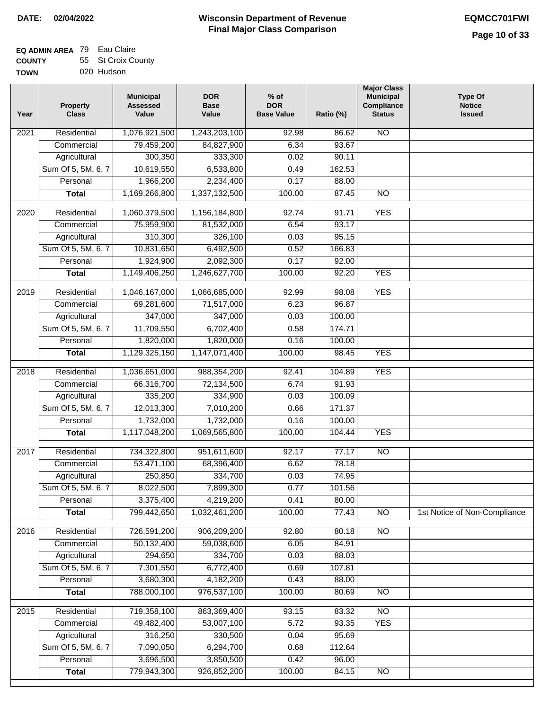| TOWN | 020 Hudson |
|------|------------|

| Year              | <b>Property</b><br><b>Class</b> | <b>Municipal</b><br><b>Assessed</b><br>Value | <b>DOR</b><br><b>Base</b><br>Value | % of<br><b>DOR</b><br><b>Base Value</b> | Ratio (%) | <b>Major Class</b><br><b>Municipal</b><br>Compliance<br><b>Status</b> | <b>Type Of</b><br><b>Notice</b><br><b>Issued</b> |
|-------------------|---------------------------------|----------------------------------------------|------------------------------------|-----------------------------------------|-----------|-----------------------------------------------------------------------|--------------------------------------------------|
| $\overline{202}1$ | Residential                     | 1,076,921,500                                | 1,243,203,100                      | 92.98                                   | 86.62     | <b>NO</b>                                                             |                                                  |
|                   | Commercial                      | 79,459,200                                   | 84,827,900                         | 6.34                                    | 93.67     |                                                                       |                                                  |
|                   | Agricultural                    | 300,350                                      | 333,300                            | 0.02                                    | 90.11     |                                                                       |                                                  |
|                   | Sum Of 5, 5M, 6, 7              | 10,619,550                                   | 6,533,800                          | 0.49                                    | 162.53    |                                                                       |                                                  |
|                   | Personal                        | 1,966,200                                    | 2,234,400                          | 0.17                                    | 88.00     |                                                                       |                                                  |
|                   | <b>Total</b>                    | 1,169,266,800                                | 1,337,132,500                      | 100.00                                  | 87.45     | $\overline{NO}$                                                       |                                                  |
| $\overline{2020}$ | Residential                     | 1,060,379,500                                | 1,156,184,800                      | 92.74                                   | 91.71     | <b>YES</b>                                                            |                                                  |
|                   | Commercial                      | 75,959,900                                   | 81,532,000                         | 6.54                                    | 93.17     |                                                                       |                                                  |
|                   | Agricultural                    | 310,300                                      | 326,100                            | 0.03                                    | 95.15     |                                                                       |                                                  |
|                   | Sum Of 5, 5M, 6, 7              | 10,831,650                                   | 6,492,500                          | 0.52                                    | 166.83    |                                                                       |                                                  |
|                   | Personal                        | 1,924,900                                    | 2,092,300                          | 0.17                                    | 92.00     |                                                                       |                                                  |
|                   | <b>Total</b>                    | 1,149,406,250                                | 1,246,627,700                      | 100.00                                  | 92.20     | <b>YES</b>                                                            |                                                  |
|                   |                                 |                                              |                                    |                                         |           |                                                                       |                                                  |
| 2019              | Residential                     | 1,046,167,000                                | 1,066,685,000                      | 92.99                                   | 98.08     | <b>YES</b>                                                            |                                                  |
|                   | Commercial                      | 69,281,600                                   | 71,517,000                         | 6.23                                    | 96.87     |                                                                       |                                                  |
|                   | Agricultural                    | 347,000                                      | 347,000                            | 0.03                                    | 100.00    |                                                                       |                                                  |
|                   | Sum Of 5, 5M, 6, 7              | 11,709,550                                   | 6,702,400                          | 0.58                                    | 174.71    |                                                                       |                                                  |
|                   | Personal                        | 1,820,000                                    | 1,820,000                          | 0.16                                    | 100.00    |                                                                       |                                                  |
|                   | <b>Total</b>                    | 1,129,325,150                                | 1,147,071,400                      | 100.00                                  | 98.45     | <b>YES</b>                                                            |                                                  |
| 2018              | Residential                     | 1,036,651,000                                | 988,354,200                        | 92.41                                   | 104.89    | <b>YES</b>                                                            |                                                  |
|                   | Commercial                      | 66,316,700                                   | 72,134,500                         | 6.74                                    | 91.93     |                                                                       |                                                  |
|                   | Agricultural                    | 335,200                                      | 334,900                            | 0.03                                    | 100.09    |                                                                       |                                                  |
|                   | Sum Of 5, 5M, 6, 7              | 12,013,300                                   | 7,010,200                          | 0.66                                    | 171.37    |                                                                       |                                                  |
|                   | Personal                        | 1,732,000                                    | 1,732,000                          | 0.16                                    | 100.00    |                                                                       |                                                  |
|                   | <b>Total</b>                    | 1,117,048,200                                | 1,069,565,800                      | 100.00                                  | 104.44    | <b>YES</b>                                                            |                                                  |
| $\overline{2017}$ | Residential                     | 734,322,800                                  | 951,611,600                        | 92.17                                   | 77.17     | $\overline{NO}$                                                       |                                                  |
|                   | Commercial                      | 53,471,100                                   | 68,396,400                         | 6.62                                    | 78.18     |                                                                       |                                                  |
|                   | Agricultural                    | 250,850                                      | 334,700                            | 0.03                                    | 74.95     |                                                                       |                                                  |
|                   | Sum Of 5, 5M, 6, 7              | 8,022,500                                    | 7,899,300                          | 0.77                                    | 101.56    |                                                                       |                                                  |
|                   | Personal                        | 3,375,400                                    | 4,219,200                          | 0.41                                    | 80.00     |                                                                       |                                                  |
|                   | <b>Total</b>                    | 799,442,650                                  | 1,032,461,200                      | 100.00                                  | 77.43     | <b>NO</b>                                                             | 1st Notice of Non-Compliance                     |
| 2016              | Residential                     | 726,591,200                                  | 906,209,200                        | 92.80                                   | 80.18     | N <sub>O</sub>                                                        |                                                  |
|                   | Commercial                      | 50,132,400                                   | 59,038,600                         | 6.05                                    | 84.91     |                                                                       |                                                  |
|                   | Agricultural                    | 294,650                                      | 334,700                            | 0.03                                    | 88.03     |                                                                       |                                                  |
|                   | Sum Of 5, 5M, 6, 7              | 7,301,550                                    | 6,772,400                          | 0.69                                    | 107.81    |                                                                       |                                                  |
|                   | Personal                        | 3,680,300                                    | 4,182,200                          | 0.43                                    | 88.00     |                                                                       |                                                  |
|                   | <b>Total</b>                    | 788,000,100                                  | 976,537,100                        | 100.00                                  | 80.69     | <b>NO</b>                                                             |                                                  |
|                   |                                 |                                              |                                    |                                         |           |                                                                       |                                                  |
| 2015              | Residential                     | 719,358,100                                  | 863,369,400                        | 93.15                                   | 83.32     | <b>NO</b>                                                             |                                                  |
|                   | Commercial                      | 49,482,400                                   | 53,007,100                         | 5.72                                    | 93.35     | <b>YES</b>                                                            |                                                  |
|                   | Agricultural                    | 316,250                                      | 330,500                            | 0.04                                    | 95.69     |                                                                       |                                                  |
|                   | Sum Of 5, 5M, 6, 7              | 7,090,050                                    | 6,294,700                          | 0.68                                    | 112.64    |                                                                       |                                                  |
|                   | Personal                        | 3,696,500                                    | 3,850,500                          | 0.42                                    | 96.00     |                                                                       |                                                  |
|                   | <b>Total</b>                    | 779,943,300                                  | 926,852,200                        | 100.00                                  | 84.15     | N <sub>O</sub>                                                        |                                                  |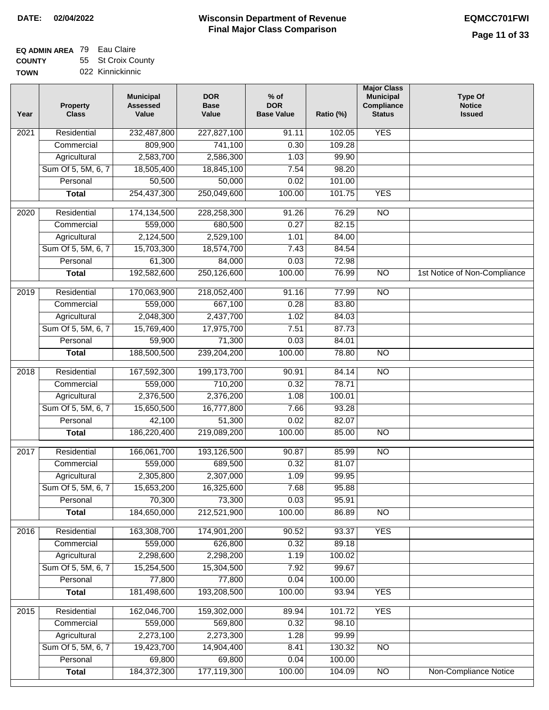#### **EQ ADMIN AREA** 79 Eau Claire **COUNTY** 55 St Croix County

**TOWN** 022 Kinnickinnic

| Year              | <b>Property</b><br><b>Class</b> | <b>Municipal</b><br><b>Assessed</b><br>Value | <b>DOR</b><br><b>Base</b><br>Value | % of<br><b>DOR</b><br><b>Base Value</b> | Ratio (%) | <b>Major Class</b><br><b>Municipal</b><br>Compliance<br><b>Status</b> | <b>Type Of</b><br><b>Notice</b><br><b>Issued</b> |
|-------------------|---------------------------------|----------------------------------------------|------------------------------------|-----------------------------------------|-----------|-----------------------------------------------------------------------|--------------------------------------------------|
| $\overline{202}1$ | Residential                     | 232,487,800                                  | 227,827,100                        | $\frac{1}{91.11}$                       | 102.05    | <b>YES</b>                                                            |                                                  |
|                   | Commercial                      | 809,900                                      | 741,100                            | 0.30                                    | 109.28    |                                                                       |                                                  |
|                   | Agricultural                    | 2,583,700                                    | 2,586,300                          | 1.03                                    | 99.90     |                                                                       |                                                  |
|                   | Sum Of 5, 5M, 6, 7              | 18,505,400                                   | 18,845,100                         | 7.54                                    | 98.20     |                                                                       |                                                  |
|                   | Personal                        | 50,500                                       | 50,000                             | 0.02                                    | 101.00    |                                                                       |                                                  |
|                   | <b>Total</b>                    | 254,437,300                                  | 250,049,600                        | 100.00                                  | 101.75    | <b>YES</b>                                                            |                                                  |
| $\overline{2020}$ | Residential                     | 174,134,500                                  | 228,258,300                        | 91.26                                   | 76.29     | $\overline{NO}$                                                       |                                                  |
|                   | Commercial                      | 559,000                                      | 680,500                            | 0.27                                    | 82.15     |                                                                       |                                                  |
|                   | Agricultural                    | 2,124,500                                    | 2,529,100                          | 1.01                                    | 84.00     |                                                                       |                                                  |
|                   | Sum Of 5, 5M, 6, 7              | 15,703,300                                   | 18,574,700                         | 7.43                                    | 84.54     |                                                                       |                                                  |
|                   | Personal                        | 61,300                                       | 84,000                             | 0.03                                    | 72.98     |                                                                       |                                                  |
|                   | <b>Total</b>                    | 192,582,600                                  | 250,126,600                        | 100.00                                  | 76.99     | $\overline{NO}$                                                       | 1st Notice of Non-Compliance                     |
| 2019              | Residential                     | 170,063,900                                  | 218,052,400                        | 91.16                                   | 77.99     | $\overline{3}$                                                        |                                                  |
|                   | Commercial                      | 559,000                                      | 667,100                            | 0.28                                    | 83.80     |                                                                       |                                                  |
|                   | Agricultural                    | 2,048,300                                    | 2,437,700                          | 1.02                                    | 84.03     |                                                                       |                                                  |
|                   | Sum Of 5, 5M, 6, 7              | 15,769,400                                   | 17,975,700                         | 7.51                                    | 87.73     |                                                                       |                                                  |
|                   | Personal                        | 59,900                                       | 71,300                             | 0.03                                    | 84.01     |                                                                       |                                                  |
|                   | <b>Total</b>                    | 188,500,500                                  | 239,204,200                        | 100.00                                  | 78.80     | $\overline{NO}$                                                       |                                                  |
| 2018              | Residential                     | 167,592,300                                  | 199, 173, 700                      | 90.91                                   | 84.14     | $\overline{10}$                                                       |                                                  |
|                   | Commercial                      | 559,000                                      | 710,200                            | 0.32                                    | 78.71     |                                                                       |                                                  |
|                   | Agricultural                    | 2,376,500                                    | 2,376,200                          | 1.08                                    | 100.01    |                                                                       |                                                  |
|                   | Sum Of 5, 5M, 6, 7              | 15,650,500                                   | 16,777,800                         | 7.66                                    | 93.28     |                                                                       |                                                  |
|                   | Personal                        | 42,100                                       | 51,300                             | 0.02                                    | 82.07     |                                                                       |                                                  |
|                   | <b>Total</b>                    | 186,220,400                                  | 219,089,200                        | 100.00                                  | 85.00     | <b>NO</b>                                                             |                                                  |
|                   |                                 |                                              |                                    |                                         |           |                                                                       |                                                  |
| $\overline{20}17$ | Residential                     | 166,061,700                                  | 193,126,500                        | 90.87                                   | 85.99     | <b>NO</b>                                                             |                                                  |
|                   | Commercial                      | 559,000                                      | 689,500                            | 0.32                                    | 81.07     |                                                                       |                                                  |
|                   | Agricultural                    | 2,305,800                                    | 2,307,000                          | 1.09                                    | 99.95     |                                                                       |                                                  |
|                   | Sum Of 5, 5M, 6, 7              | 15,653,200                                   | 16,325,600                         | 7.68                                    | 95.88     |                                                                       |                                                  |
|                   | Personal                        | 70,300                                       | 73,300                             | 0.03                                    | 95.91     |                                                                       |                                                  |
|                   | <b>Total</b>                    | 184,650,000                                  | 212,521,900                        | 100.00                                  | 86.89     | <b>NO</b>                                                             |                                                  |
| 2016              | Residential                     | 163,308,700                                  | 174,901,200                        | 90.52                                   | 93.37     | <b>YES</b>                                                            |                                                  |
|                   | Commercial                      | 559,000                                      | 626,800                            | 0.32                                    | 89.18     |                                                                       |                                                  |
|                   | Agricultural                    | 2,298,600                                    | 2,298,200                          | 1.19                                    | 100.02    |                                                                       |                                                  |
|                   | Sum Of 5, 5M, 6, 7              | 15,254,500                                   | 15,304,500                         | 7.92                                    | 99.67     |                                                                       |                                                  |
|                   | Personal                        | 77,800                                       | 77,800                             | 0.04                                    | 100.00    |                                                                       |                                                  |
|                   | <b>Total</b>                    | 181,498,600                                  | 193,208,500                        | 100.00                                  | 93.94     | <b>YES</b>                                                            |                                                  |
| 2015              | Residential                     | 162,046,700                                  | 159,302,000                        | 89.94                                   | 101.72    | <b>YES</b>                                                            |                                                  |
|                   | Commercial                      | 559,000                                      | 569,800                            | 0.32                                    | 98.10     |                                                                       |                                                  |
|                   | Agricultural                    | 2,273,100                                    | 2,273,300                          | 1.28                                    | 99.99     |                                                                       |                                                  |
|                   | Sum Of 5, 5M, 6, 7              | 19,423,700                                   | 14,904,400                         | 8.41                                    | 130.32    | <b>NO</b>                                                             |                                                  |
|                   | Personal                        | 69,800                                       | 69,800                             | 0.04                                    | 100.00    |                                                                       |                                                  |
|                   | <b>Total</b>                    | 184,372,300                                  | 177,119,300                        | 100.00                                  | 104.09    | N <sub>O</sub>                                                        | <b>Non-Compliance Notice</b>                     |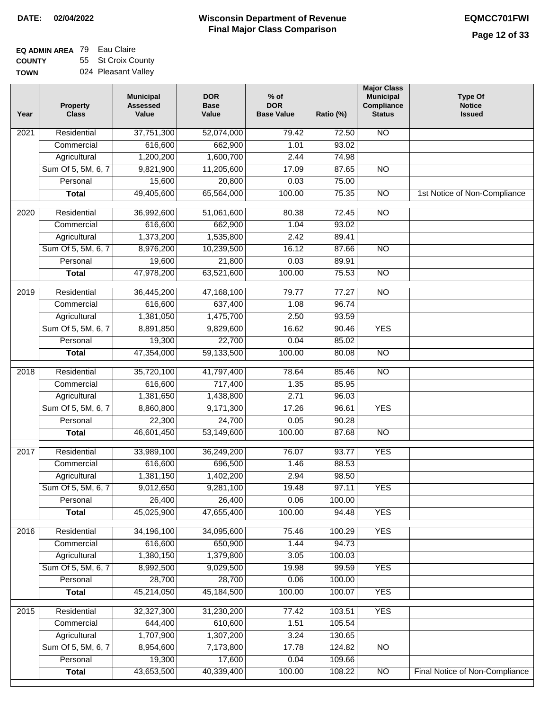| Year              | <b>Property</b><br><b>Class</b> | <b>Municipal</b><br><b>Assessed</b><br>Value | <b>DOR</b><br><b>Base</b><br>Value | % of<br><b>DOR</b><br><b>Base Value</b> | Ratio (%) | <b>Major Class</b><br><b>Municipal</b><br>Compliance<br><b>Status</b> | <b>Type Of</b><br><b>Notice</b><br><b>Issued</b> |
|-------------------|---------------------------------|----------------------------------------------|------------------------------------|-----------------------------------------|-----------|-----------------------------------------------------------------------|--------------------------------------------------|
| 2021              | Residential                     | 37,751,300                                   | 52,074,000                         | 79.42                                   | 72.50     | N <sub>O</sub>                                                        |                                                  |
|                   | Commercial                      | 616,600                                      | 662,900                            | 1.01                                    | 93.02     |                                                                       |                                                  |
|                   | Agricultural                    | 1,200,200                                    | 1,600,700                          | 2.44                                    | 74.98     |                                                                       |                                                  |
|                   | Sum Of 5, 5M, 6, 7              | 9,821,900                                    | 11,205,600                         | 17.09                                   | 87.65     | $\overline{NO}$                                                       |                                                  |
|                   | Personal                        | 15,600                                       | 20,800                             | 0.03                                    | 75.00     |                                                                       |                                                  |
|                   | <b>Total</b>                    | 49,405,600                                   | 65,564,000                         | 100.00                                  | 75.35     | $\overline{NO}$                                                       | 1st Notice of Non-Compliance                     |
| 2020              | Residential                     | 36,992,600                                   | 51,061,600                         | 80.38                                   | 72.45     | $\overline{NO}$                                                       |                                                  |
|                   | Commercial                      | 616,600                                      | 662,900                            | 1.04                                    | 93.02     |                                                                       |                                                  |
|                   | Agricultural                    | 1,373,200                                    | 1,535,800                          | 2.42                                    | 89.41     |                                                                       |                                                  |
|                   | Sum Of 5, 5M, 6, 7              | 8,976,200                                    | 10,239,500                         | 16.12                                   | 87.66     | $\overline{NO}$                                                       |                                                  |
|                   | Personal                        | 19,600                                       | 21,800                             | 0.03                                    | 89.91     |                                                                       |                                                  |
|                   | <b>Total</b>                    | 47,978,200                                   | 63,521,600                         | 100.00                                  | 75.53     | <b>NO</b>                                                             |                                                  |
|                   |                                 |                                              |                                    |                                         |           |                                                                       |                                                  |
| 2019              | Residential                     | 36,445,200                                   | 47,168,100                         | 79.77                                   | 77.27     | <b>NO</b>                                                             |                                                  |
|                   | Commercial                      | 616,600                                      | 637,400                            | 1.08                                    | 96.74     |                                                                       |                                                  |
|                   | Agricultural                    | 1,381,050                                    | 1,475,700                          | 2.50                                    | 93.59     |                                                                       |                                                  |
|                   | Sum Of 5, 5M, 6, 7              | 8,891,850                                    | 9,829,600                          | 16.62                                   | 90.46     | <b>YES</b>                                                            |                                                  |
|                   | Personal                        | 19,300                                       | 22,700                             | 0.04                                    | 85.02     |                                                                       |                                                  |
|                   | <b>Total</b>                    | 47,354,000                                   | 59,133,500                         | 100.00                                  | 80.08     | $\overline{N}$                                                        |                                                  |
| $\overline{2018}$ | Residential                     | 35,720,100                                   | 41,797,400                         | 78.64                                   | 85.46     | $\overline{NO}$                                                       |                                                  |
|                   | Commercial                      | 616,600                                      | 717,400                            | 1.35                                    | 85.95     |                                                                       |                                                  |
|                   | Agricultural                    | 1,381,650                                    | 1,438,800                          | 2.71                                    | 96.03     |                                                                       |                                                  |
|                   | Sum Of 5, 5M, 6, 7              | 8,860,800                                    | 9,171,300                          | 17.26                                   | 96.61     | <b>YES</b>                                                            |                                                  |
|                   | Personal                        | 22,300                                       | 24,700                             | 0.05                                    | 90.28     |                                                                       |                                                  |
|                   | <b>Total</b>                    | 46,601,450                                   | 53,149,600                         | 100.00                                  | 87.68     | <b>NO</b>                                                             |                                                  |
| 2017              | Residential                     | 33,989,100                                   | 36,249,200                         | 76.07                                   | 93.77     | <b>YES</b>                                                            |                                                  |
|                   | Commercial                      | 616,600                                      | 696,500                            | 1.46                                    | 88.53     |                                                                       |                                                  |
|                   | Agricultural                    | 1,381,150                                    | 1,402,200                          | 2.94                                    | 98.50     |                                                                       |                                                  |
|                   | Sum Of 5, 5M, 6, 7              | 9,012,650                                    | 9,281,100                          | 19.48                                   | 97.11     | YES                                                                   |                                                  |
|                   | Personal                        | 26,400                                       | 26,400                             | 0.06                                    | 100.00    |                                                                       |                                                  |
|                   | <b>Total</b>                    | 45,025,900                                   | 47,655,400                         | 100.00                                  | 94.48     | <b>YES</b>                                                            |                                                  |
| 2016              | Residential                     | 34,196,100                                   | 34,095,600                         | 75.46                                   | 100.29    | <b>YES</b>                                                            |                                                  |
|                   | Commercial                      | 616,600                                      | 650,900                            | 1.44                                    | 94.73     |                                                                       |                                                  |
|                   | Agricultural                    | 1,380,150                                    | 1,379,800                          | 3.05                                    | 100.03    |                                                                       |                                                  |
|                   | Sum Of 5, 5M, 6, 7              | 8,992,500                                    | 9,029,500                          | 19.98                                   | 99.59     | <b>YES</b>                                                            |                                                  |
|                   | Personal                        | 28,700                                       | 28,700                             | 0.06                                    | 100.00    |                                                                       |                                                  |
|                   | <b>Total</b>                    | 45,214,050                                   | 45,184,500                         | 100.00                                  | 100.07    | <b>YES</b>                                                            |                                                  |
| 2015              | Residential                     | 32,327,300                                   | 31,230,200                         | 77.42                                   | 103.51    | <b>YES</b>                                                            |                                                  |
|                   | Commercial                      | 644,400                                      | 610,600                            | 1.51                                    | 105.54    |                                                                       |                                                  |
|                   | Agricultural                    | 1,707,900                                    | 1,307,200                          | 3.24                                    | 130.65    |                                                                       |                                                  |
|                   | Sum Of 5, 5M, 6, 7              | 8,954,600                                    | 7,173,800                          | 17.78                                   | 124.82    | N <sub>O</sub>                                                        |                                                  |
|                   | Personal                        | 19,300                                       | 17,600                             | 0.04                                    | 109.66    |                                                                       |                                                  |
|                   | <b>Total</b>                    | 43,653,500                                   | 40,339,400                         | 100.00                                  | 108.22    | N <sub>O</sub>                                                        | Final Notice of Non-Compliance                   |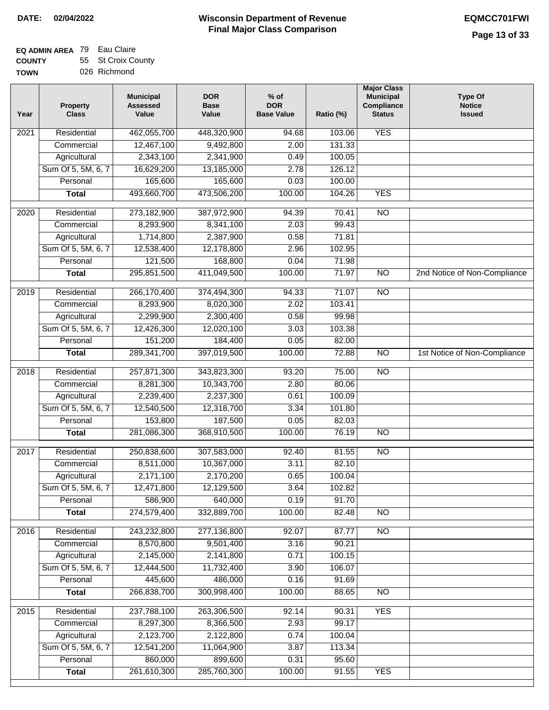| <b>TOWN</b> | 026 Richmond |
|-------------|--------------|
|             |              |

| Year             | <b>Property</b><br><b>Class</b> | <b>Municipal</b><br><b>Assessed</b><br>Value | <b>DOR</b><br><b>Base</b><br>Value | $%$ of<br><b>DOR</b><br><b>Base Value</b> | Ratio (%)       | <b>Major Class</b><br><b>Municipal</b><br>Compliance<br><b>Status</b> | <b>Type Of</b><br><b>Notice</b><br><b>Issued</b> |
|------------------|---------------------------------|----------------------------------------------|------------------------------------|-------------------------------------------|-----------------|-----------------------------------------------------------------------|--------------------------------------------------|
| 2021             | Residential                     | 462,055,700                                  | 448,320,900                        | 94.68                                     | 103.06          | <b>YES</b>                                                            |                                                  |
|                  | Commercial                      | 12,467,100                                   | 9,492,800                          | 2.00                                      | 131.33          |                                                                       |                                                  |
|                  | Agricultural                    | 2,343,100                                    | 2,341,900                          | 0.49                                      | 100.05          |                                                                       |                                                  |
|                  | Sum Of 5, 5M, 6, 7              | 16,629,200                                   | 13,185,000                         | 2.78                                      | 126.12          |                                                                       |                                                  |
|                  | Personal                        | 165,600                                      | 165,600                            | 0.03                                      | 100.00          |                                                                       |                                                  |
|                  | <b>Total</b>                    | 493,660,700                                  | 473,506,200                        | 100.00                                    | 104.26          | <b>YES</b>                                                            |                                                  |
| 2020             | Residential                     | 273,182,900                                  | 387,972,900                        | 94.39                                     | 70.41           | $\overline{NO}$                                                       |                                                  |
|                  | Commercial                      | 8,293,900                                    | 8,341,100                          | 2.03                                      | 99.43           |                                                                       |                                                  |
|                  | Agricultural                    | 1,714,800                                    | 2,387,900                          | 0.58                                      | 71.81           |                                                                       |                                                  |
|                  | Sum Of 5, 5M, 6, 7              | 12,538,400                                   | 12,178,800                         | 2.96                                      | 102.95          |                                                                       |                                                  |
|                  | Personal                        | 121,500                                      | 168,800                            | 0.04                                      | 71.98           |                                                                       |                                                  |
|                  | <b>Total</b>                    | 295,851,500                                  | 411,049,500                        | 100.00                                    | 71.97           | $\overline{NO}$                                                       | 2nd Notice of Non-Compliance                     |
|                  |                                 |                                              |                                    |                                           |                 |                                                                       |                                                  |
| 2019             | Residential                     | 266,170,400                                  | 374,494,300                        | 94.33                                     | 71.07           | $\overline{NO}$                                                       |                                                  |
|                  | Commercial                      | 8,293,900                                    | 8,020,300                          | 2.02                                      | 103.41          |                                                                       |                                                  |
|                  | Agricultural                    | 2,299,900                                    | 2,300,400                          | 0.58                                      | 99.98           |                                                                       |                                                  |
|                  | Sum Of 5, 5M, 6, 7              | 12,426,300                                   | 12,020,100                         | 3.03                                      | 103.38          |                                                                       |                                                  |
|                  | Personal                        | 151,200                                      | 184,400                            | 0.05                                      | 82.00           |                                                                       |                                                  |
|                  | <b>Total</b>                    | 289,341,700                                  | 397,019,500                        | 100.00                                    | 72.88           | N <sub>O</sub>                                                        | 1st Notice of Non-Compliance                     |
| 2018             | Residential                     | 257,871,300                                  | 343,823,300                        | 93.20                                     | 75.00           | $\overline{NO}$                                                       |                                                  |
|                  | Commercial                      | 8,281,300                                    | 10,343,700                         | 2.80                                      | 80.06           |                                                                       |                                                  |
|                  | Agricultural                    | 2,239,400                                    | 2,237,300                          | 0.61                                      | 100.09          |                                                                       |                                                  |
|                  | Sum Of 5, 5M, 6, 7              | 12,540,500                                   | 12,318,700                         | 3.34                                      | 101.80          |                                                                       |                                                  |
|                  | Personal                        | 153,800                                      | 187,500                            | 0.05                                      | 82.03           |                                                                       |                                                  |
|                  | <b>Total</b>                    | 281,086,300                                  | 368,910,500                        | 100.00                                    | 76.19           | $\overline{NO}$                                                       |                                                  |
| 2017             | Residential                     | 250,838,600                                  | 307,583,000                        | 92.40                                     | 81.55           | N <sub>O</sub>                                                        |                                                  |
|                  | Commercial                      | 8,511,000                                    | 10,367,000                         | 3.11                                      | 82.10           |                                                                       |                                                  |
|                  | Agricultural                    | 2,171,100                                    | 2,170,200                          | 0.65                                      | 100.04          |                                                                       |                                                  |
|                  | Sum Of 5, 5M, 6, 7              | 12,471,800                                   | 12,129,500                         | 3.64                                      | 102.82          |                                                                       |                                                  |
|                  | Personal                        | 586,900                                      | 640,000                            | 0.19                                      | 91.70           |                                                                       |                                                  |
|                  | <b>Total</b>                    | 274,579,400                                  | 332,889,700                        | 100.00                                    | 82.48           | $\overline{N}$                                                        |                                                  |
| 2016             | Residential                     | 243,232,800                                  | 277,136,800                        | 92.07                                     | 87.77           | N <sub>O</sub>                                                        |                                                  |
|                  | Commercial                      | 8,570,800                                    | 9,501,400                          | 3.16                                      | 90.21           |                                                                       |                                                  |
|                  | Agricultural                    | 2,145,000                                    | 2,141,800                          | 0.71                                      | 100.15          |                                                                       |                                                  |
|                  | Sum Of 5, 5M, 6, 7              | 12,444,500                                   | 11,732,400                         | 3.90                                      | 106.07          |                                                                       |                                                  |
|                  | Personal                        | 445,600                                      | 486,000                            | 0.16                                      | 91.69           |                                                                       |                                                  |
|                  | <b>Total</b>                    | 266,838,700                                  | 300,998,400                        | 100.00                                    | 88.65           | $\overline{NO}$                                                       |                                                  |
|                  |                                 |                                              |                                    |                                           |                 |                                                                       |                                                  |
| $\frac{2015}{ }$ | Residential                     | 237,788,100                                  | 263,306,500                        | 92.14                                     | 90.31           | <b>YES</b>                                                            |                                                  |
|                  | Commercial                      | 8,297,300                                    | 8,366,500                          | 2.93                                      | 99.17           |                                                                       |                                                  |
|                  | Agricultural                    | 2,123,700                                    | 2,122,800                          | 0.74                                      | 100.04          |                                                                       |                                                  |
|                  | Sum Of 5, 5M, 6, 7<br>Personal  | 12,541,200<br>860,000                        | 11,064,900<br>899,600              | 3.87<br>0.31                              | 113.34<br>95.60 |                                                                       |                                                  |
|                  | <b>Total</b>                    | 261,610,300                                  | 285,760,300                        | 100.00                                    | 91.55           | <b>YES</b>                                                            |                                                  |
|                  |                                 |                                              |                                    |                                           |                 |                                                                       |                                                  |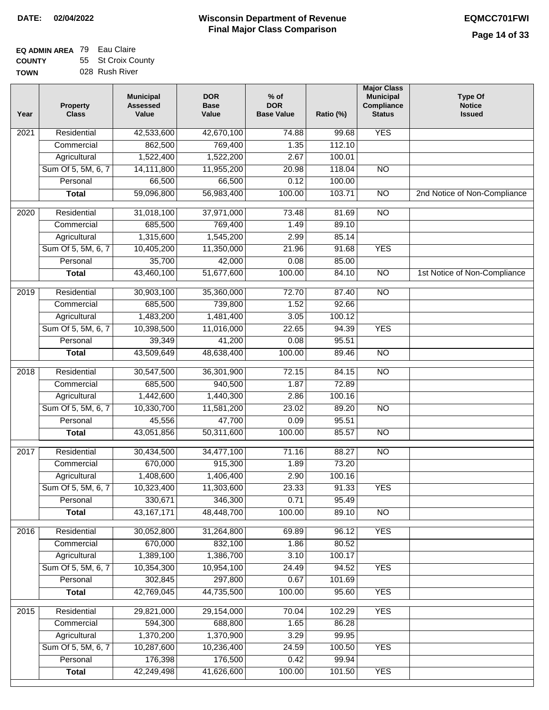#### **EQ ADMIN AREA** 79 Eau Claire **COUNTY** 55 St Croix County

**TOWN** 028 Rush River

| Year              | <b>Property</b><br><b>Class</b> | <b>Municipal</b><br><b>Assessed</b><br>Value | <b>DOR</b><br><b>Base</b><br>Value | $%$ of<br><b>DOR</b><br><b>Base Value</b> | Ratio (%) | <b>Major Class</b><br><b>Municipal</b><br>Compliance<br><b>Status</b> | <b>Type Of</b><br><b>Notice</b><br><b>Issued</b> |
|-------------------|---------------------------------|----------------------------------------------|------------------------------------|-------------------------------------------|-----------|-----------------------------------------------------------------------|--------------------------------------------------|
| 2021              | Residential                     | 42,533,600                                   | 42,670,100                         | 74.88                                     | 99.68     | <b>YES</b>                                                            |                                                  |
|                   | Commercial                      | 862,500                                      | 769,400                            | 1.35                                      | 112.10    |                                                                       |                                                  |
|                   | Agricultural                    | 1,522,400                                    | 1,522,200                          | 2.67                                      | 100.01    |                                                                       |                                                  |
|                   | Sum Of 5, 5M, 6, 7              | 14,111,800                                   | 11,955,200                         | 20.98                                     | 118.04    | $\overline{NO}$                                                       |                                                  |
|                   | Personal                        | 66,500                                       | 66,500                             | 0.12                                      | 100.00    |                                                                       |                                                  |
|                   | <b>Total</b>                    | 59,096,800                                   | 56,983,400                         | 100.00                                    | 103.71    | $\overline{NO}$                                                       | 2nd Notice of Non-Compliance                     |
| $\overline{2020}$ | Residential                     | 31,018,100                                   | 37,971,000                         | 73.48                                     | 81.69     | $\overline{10}$                                                       |                                                  |
|                   | Commercial                      | 685,500                                      | 769,400                            | 1.49                                      | 89.10     |                                                                       |                                                  |
|                   | Agricultural                    | 1,315,600                                    | 1,545,200                          | 2.99                                      | 85.14     |                                                                       |                                                  |
|                   | Sum Of 5, 5M, 6, 7              | 10,405,200                                   | 11,350,000                         | 21.96                                     | 91.68     | <b>YES</b>                                                            |                                                  |
|                   | Personal                        | 35,700                                       | 42,000                             | 0.08                                      | 85.00     |                                                                       |                                                  |
|                   | <b>Total</b>                    | 43,460,100                                   | 51,677,600                         | 100.00                                    | 84.10     | $\overline{NO}$                                                       | 1st Notice of Non-Compliance                     |
|                   |                                 |                                              |                                    |                                           |           |                                                                       |                                                  |
| $\frac{2019}{ }$  | Residential                     | 30,903,100                                   | 35,360,000                         | 72.70                                     | 87.40     | $\overline{NO}$                                                       |                                                  |
|                   | Commercial                      | 685,500                                      | 739,800                            | 1.52                                      | 92.66     |                                                                       |                                                  |
|                   | Agricultural                    | 1,483,200                                    | 1,481,400                          | 3.05                                      | 100.12    |                                                                       |                                                  |
|                   | Sum Of 5, 5M, 6, 7              | 10,398,500                                   | 11,016,000                         | 22.65                                     | 94.39     | <b>YES</b>                                                            |                                                  |
|                   | Personal                        | 39,349                                       | 41,200                             | 0.08                                      | 95.51     |                                                                       |                                                  |
|                   | <b>Total</b>                    | 43,509,649                                   | 48,638,400                         | 100.00                                    | 89.46     | $\overline{NO}$                                                       |                                                  |
| 2018              | Residential                     | 30,547,500                                   | 36,301,900                         | 72.15                                     | 84.15     | $\overline{NO}$                                                       |                                                  |
|                   | Commercial                      | 685,500                                      | 940,500                            | 1.87                                      | 72.89     |                                                                       |                                                  |
|                   | Agricultural                    | 1,442,600                                    | 1,440,300                          | 2.86                                      | 100.16    |                                                                       |                                                  |
|                   | Sum Of 5, 5M, 6, 7              | 10,330,700                                   | 11,581,200                         | 23.02                                     | 89.20     | <b>NO</b>                                                             |                                                  |
|                   | Personal                        | 45,556                                       | 47,700                             | 0.09                                      | 95.51     |                                                                       |                                                  |
|                   | <b>Total</b>                    | 43,051,856                                   | 50,311,600                         | 100.00                                    | 85.57     | $\overline{10}$                                                       |                                                  |
| 2017              | Residential                     | 30,434,500                                   | 34,477,100                         | 71.16                                     | 88.27     | <b>NO</b>                                                             |                                                  |
|                   | Commercial                      | 670,000                                      | 915,300                            | 1.89                                      | 73.20     |                                                                       |                                                  |
|                   | Agricultural                    | 1,408,600                                    | 1,406,400                          | 2.90                                      | 100.16    |                                                                       |                                                  |
|                   | Sum Of 5, 5M, 6, 7              | 10,323,400                                   | 11,303,600                         | 23.33                                     | 91.33     | <b>YES</b>                                                            |                                                  |
|                   | Personal                        | 330,671                                      | 346,300                            | 0.71                                      | 95.49     |                                                                       |                                                  |
|                   | <b>Total</b>                    | 43, 167, 171                                 | 48,448,700                         | 100.00                                    | 89.10     | $\overline{30}$                                                       |                                                  |
|                   |                                 |                                              |                                    |                                           |           |                                                                       |                                                  |
| 2016              | Residential                     | 30,052,800                                   | 31,264,800                         | 69.89                                     | 96.12     | <b>YES</b>                                                            |                                                  |
|                   | Commercial                      | 670,000                                      | 832,100                            | 1.86                                      | 80.52     |                                                                       |                                                  |
|                   | Agricultural                    | 1,389,100                                    | 1,386,700                          | 3.10                                      | 100.17    |                                                                       |                                                  |
|                   | Sum Of 5, 5M, 6, 7              | 10,354,300                                   | 10,954,100                         | 24.49                                     | 94.52     | <b>YES</b>                                                            |                                                  |
|                   | Personal                        | 302,845                                      | 297,800                            | 0.67                                      | 101.69    |                                                                       |                                                  |
|                   | <b>Total</b>                    | 42,769,045                                   | 44,735,500                         | 100.00                                    | 95.60     | <b>YES</b>                                                            |                                                  |
| 2015              | Residential                     | 29,821,000                                   | 29,154,000                         | 70.04                                     | 102.29    | <b>YES</b>                                                            |                                                  |
|                   | Commercial                      | 594,300                                      | 688,800                            | 1.65                                      | 86.28     |                                                                       |                                                  |
|                   | Agricultural                    | 1,370,200                                    | 1,370,900                          | 3.29                                      | 99.95     |                                                                       |                                                  |
|                   | Sum Of 5, 5M, 6, 7              | 10,287,600                                   | 10,236,400                         | 24.59                                     | 100.50    | <b>YES</b>                                                            |                                                  |
|                   | Personal                        | 176,398                                      | 176,500                            | 0.42                                      | 99.94     |                                                                       |                                                  |
|                   | <b>Total</b>                    | 42,249,498                                   | 41,626,600                         | 100.00                                    | 101.50    | <b>YES</b>                                                            |                                                  |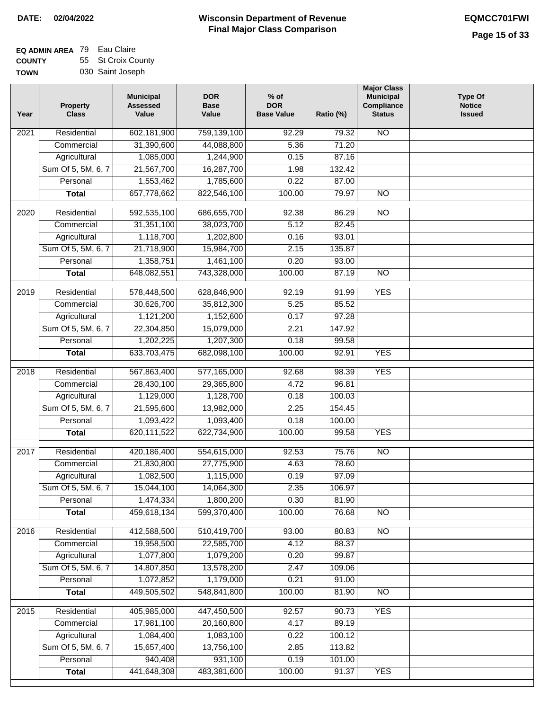### **EQ ADMIN AREA** 79 Eau Claire **COUNTY** 55 St Croix County

**TOWN** 030 Saint Joseph

| Year | <b>Class</b>       | <b>Assessed</b><br>Value | <b>Base</b><br>Value | <b>DOR</b><br><b>Base Value</b> | Ratio (%) | Compliance<br><b>Status</b> | <b>Notice</b><br><b>Issued</b> |
|------|--------------------|--------------------------|----------------------|---------------------------------|-----------|-----------------------------|--------------------------------|
| 2021 | Residential        | 602,181,900              | 759,139,100          | 92.29                           | 79.32     | <b>NO</b>                   |                                |
|      | Commercial         | 31,390,600               | 44,088,800           | 5.36                            | 71.20     |                             |                                |
|      | Agricultural       | 1,085,000                | 1,244,900            | 0.15                            | 87.16     |                             |                                |
|      | Sum Of 5, 5M, 6, 7 | 21,567,700               | 16,287,700           | 1.98                            | 132.42    |                             |                                |
|      | Personal           | 1,553,462                | 1,785,600            | 0.22                            | 87.00     |                             |                                |
|      | <b>Total</b>       | 657,778,662              | 822,546,100          | 100.00                          | 79.97     | $\overline{NO}$             |                                |
| 2020 | Residential        | 592,535,100              | 686,655,700          | 92.38                           | 86.29     | $\overline{NO}$             |                                |
|      | Commercial         | 31,351,100               | 38,023,700           | 5.12                            | 82.45     |                             |                                |
|      | Agricultural       | 1,118,700                | 1,202,800            | 0.16                            | 93.01     |                             |                                |
|      | Sum Of 5, 5M, 6, 7 | 21,718,900               | 15,984,700           | 2.15                            | 135.87    |                             |                                |
|      | Personal           | 1,358,751                | 1,461,100            | 0.20                            | 93.00     |                             |                                |
|      | <b>Total</b>       | 648,082,551              | 743,328,000          | 100.00                          | 87.19     | $\overline{NO}$             |                                |
|      |                    |                          |                      |                                 |           |                             |                                |
| 2019 | Residential        | 578,448,500              | 628,846,900          | 92.19                           | 91.99     | <b>YES</b>                  |                                |
|      | Commercial         | 30,626,700               | 35,812,300           | 5.25                            | 85.52     |                             |                                |
|      | Agricultural       | 1,121,200                | 1,152,600            | 0.17                            | 97.28     |                             |                                |
|      | Sum Of 5, 5M, 6, 7 | 22,304,850               | 15,079,000           | 2.21                            | 147.92    |                             |                                |
|      | Personal           | 1,202,225                | 1,207,300            | 0.18                            | 99.58     |                             |                                |
|      | <b>Total</b>       | 633,703,475              | 682,098,100          | 100.00                          | 92.91     | <b>YES</b>                  |                                |
| 2018 | Residential        | 567,863,400              | 577,165,000          | 92.68                           | 98.39     | <b>YES</b>                  |                                |
|      | Commercial         | 28,430,100               | 29,365,800           | 4.72                            | 96.81     |                             |                                |
|      | Agricultural       | 1,129,000                | 1,128,700            | 0.18                            | 100.03    |                             |                                |
|      | Sum Of 5, 5M, 6, 7 | 21,595,600               | 13,982,000           | 2.25                            | 154.45    |                             |                                |
|      | Personal           | 1,093,422                | 1,093,400            | 0.18                            | 100.00    |                             |                                |
|      | <b>Total</b>       | 620,111,522              | 622,734,900          | 100.00                          | 99.58     | <b>YES</b>                  |                                |
| 2017 | Residential        | 420,186,400              | 554,615,000          | 92.53                           | 75.76     | $\overline{NO}$             |                                |
|      | Commercial         | 21,830,800               | 27,775,900           | 4.63                            | 78.60     |                             |                                |
|      | Agricultural       | 1,082,500                | 1,115,000            | 0.19                            | 97.09     |                             |                                |
|      | Sum Of 5, 5M, 6, 7 | 15,044,100               | 14,064,300           | 2.35                            | 106.97    |                             |                                |
|      | Personal           | 1,474,334                | 1,800,200            | 0.30                            | 81.90     |                             |                                |
|      | <b>Total</b>       | 459,618,134              | 599,370,400          | 100.00                          | 76.68     | <b>NO</b>                   |                                |
| 2016 | Residential        | 412,588,500              | 510,419,700          | 93.00                           | 80.83     | N <sub>O</sub>              |                                |
|      | Commercial         | 19,958,500               | 22,585,700           | 4.12                            | 88.37     |                             |                                |
|      | Agricultural       | 1,077,800                | 1,079,200            | 0.20                            | 99.87     |                             |                                |
|      | Sum Of 5, 5M, 6, 7 | 14,807,850               | 13,578,200           | 2.47                            | 109.06    |                             |                                |
|      | Personal           | 1,072,852                | 1,179,000            | 0.21                            | 91.00     |                             |                                |
|      | <b>Total</b>       | 449,505,502              | 548,841,800          | 100.00                          | 81.90     | N <sub>O</sub>              |                                |
| 2015 | Residential        | 405,985,000              | 447,450,500          | 92.57                           | 90.73     | <b>YES</b>                  |                                |
|      | Commercial         | 17,981,100               | 20,160,800           | 4.17                            | 89.19     |                             |                                |
|      | Agricultural       | 1,084,400                | 1,083,100            | 0.22                            | 100.12    |                             |                                |
|      | Sum Of 5, 5M, 6, 7 | 15,657,400               | 13,756,100           | 2.85                            | 113.82    |                             |                                |
|      | Personal           | 940,408                  | 931,100              | 0.19                            | 101.00    |                             |                                |
|      | <b>Total</b>       | 441,648,308              | 483,381,600          | 100.00                          | 91.37     | <b>YES</b>                  |                                |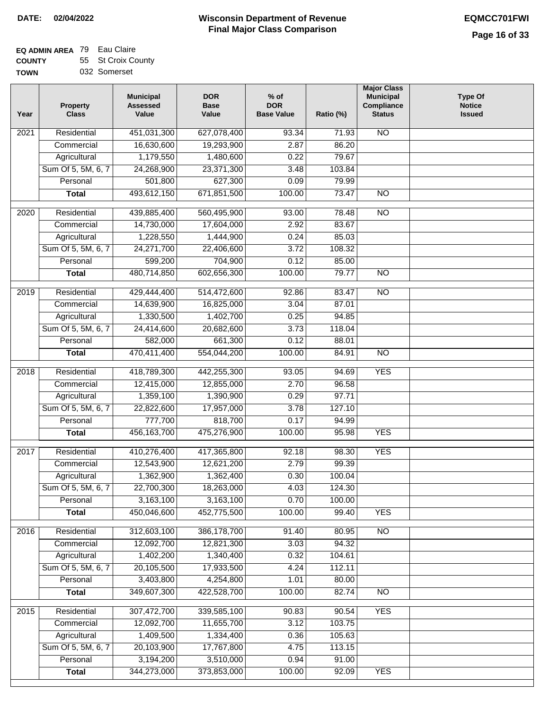|  | 032 Somerset |  |
|--|--------------|--|
|  |              |  |

| Year             | <b>Property</b><br><b>Class</b> | <b>Municipal</b><br><b>Assessed</b><br>Value | <b>DOR</b><br><b>Base</b><br>Value | $%$ of<br><b>DOR</b><br><b>Base Value</b> | Ratio (%) | <b>Major Class</b><br><b>Municipal</b><br>Compliance<br><b>Status</b> | <b>Type Of</b><br><b>Notice</b><br><b>Issued</b> |
|------------------|---------------------------------|----------------------------------------------|------------------------------------|-------------------------------------------|-----------|-----------------------------------------------------------------------|--------------------------------------------------|
| 2021             | Residential                     | 451,031,300                                  | 627,078,400                        | 93.34                                     | 71.93     | $\overline{NO}$                                                       |                                                  |
|                  | Commercial                      | 16,630,600                                   | 19,293,900                         | 2.87                                      | 86.20     |                                                                       |                                                  |
|                  | Agricultural                    | 1,179,550                                    | 1,480,600                          | 0.22                                      | 79.67     |                                                                       |                                                  |
|                  | Sum Of 5, 5M, 6, 7              | 24,268,900                                   | 23,371,300                         | 3.48                                      | 103.84    |                                                                       |                                                  |
|                  | Personal                        | 501,800                                      | 627,300                            | 0.09                                      | 79.99     |                                                                       |                                                  |
|                  | <b>Total</b>                    | 493,612,150                                  | 671,851,500                        | 100.00                                    | 73.47     | $\overline{NO}$                                                       |                                                  |
| 2020             | Residential                     | 439,885,400                                  | 560,495,900                        | 93.00                                     | 78.48     | $\overline{NO}$                                                       |                                                  |
|                  | Commercial                      | 14,730,000                                   | 17,604,000                         | 2.92                                      | 83.67     |                                                                       |                                                  |
|                  | Agricultural                    | 1,228,550                                    | 1,444,900                          | 0.24                                      | 85.03     |                                                                       |                                                  |
|                  | Sum Of 5, 5M, 6, 7              | 24,271,700                                   | 22,406,600                         | 3.72                                      | 108.32    |                                                                       |                                                  |
|                  | Personal                        | 599,200                                      | 704,900                            | 0.12                                      | 85.00     |                                                                       |                                                  |
|                  | <b>Total</b>                    | 480,714,850                                  | 602,656,300                        | 100.00                                    | 79.77     | $\overline{NO}$                                                       |                                                  |
|                  |                                 |                                              |                                    |                                           |           |                                                                       |                                                  |
| $\frac{1}{2019}$ | Residential                     | 429,444,400                                  | 514,472,600                        | 92.86                                     | 83.47     | $\overline{NO}$                                                       |                                                  |
|                  | Commercial                      | 14,639,900                                   | 16,825,000                         | 3.04                                      | 87.01     |                                                                       |                                                  |
|                  | Agricultural                    | 1,330,500                                    | 1,402,700                          | 0.25                                      | 94.85     |                                                                       |                                                  |
|                  | Sum Of 5, 5M, 6, 7              | 24,414,600                                   | 20,682,600                         | 3.73                                      | 118.04    |                                                                       |                                                  |
|                  | Personal                        | 582,000                                      | 661,300                            | 0.12                                      | 88.01     |                                                                       |                                                  |
|                  | <b>Total</b>                    | 470,411,400                                  | 554,044,200                        | 100.00                                    | 84.91     | $\overline{N}$                                                        |                                                  |
| 2018             | Residential                     | 418,789,300                                  | 442,255,300                        | 93.05                                     | 94.69     | <b>YES</b>                                                            |                                                  |
|                  | Commercial                      | 12,415,000                                   | 12,855,000                         | 2.70                                      | 96.58     |                                                                       |                                                  |
|                  | Agricultural                    | 1,359,100                                    | 1,390,900                          | 0.29                                      | 97.71     |                                                                       |                                                  |
|                  | Sum Of 5, 5M, 6, 7              | 22,822,600                                   | 17,957,000                         | 3.78                                      | 127.10    |                                                                       |                                                  |
|                  | Personal                        | 777,700                                      | 818,700                            | 0.17                                      | 94.99     |                                                                       |                                                  |
|                  | <b>Total</b>                    | 456,163,700                                  | 475,276,900                        | 100.00                                    | 95.98     | <b>YES</b>                                                            |                                                  |
| 2017             | Residential                     | 410,276,400                                  | 417,365,800                        | 92.18                                     | 98.30     | <b>YES</b>                                                            |                                                  |
|                  | Commercial                      | 12,543,900                                   | 12,621,200                         | 2.79                                      | 99.39     |                                                                       |                                                  |
|                  | Agricultural                    | 1,362,900                                    | 1,362,400                          | 0.30                                      | 100.04    |                                                                       |                                                  |
|                  | Sum Of 5, 5M, 6, 7              | 22,700,300                                   | 18,263,000                         | 4.03                                      | 124.30    |                                                                       |                                                  |
|                  | Personal                        | 3,163,100                                    | 3,163,100                          | 0.70                                      | 100.00    |                                                                       |                                                  |
|                  | <b>Total</b>                    | 450,046,600                                  | 452,775,500                        | 100.00                                    | 99.40     | <b>YES</b>                                                            |                                                  |
|                  |                                 |                                              |                                    |                                           |           |                                                                       |                                                  |
| 2016             | Residential                     | 312,603,100                                  | 386,178,700                        | 91.40                                     | 80.95     | N <sub>O</sub>                                                        |                                                  |
|                  | Commercial                      | 12,092,700                                   | 12,821,300                         | 3.03                                      | 94.32     |                                                                       |                                                  |
|                  | Agricultural                    | 1,402,200                                    | 1,340,400                          | 0.32                                      | 104.61    |                                                                       |                                                  |
|                  | Sum Of 5, 5M, 6, 7              | 20,105,500                                   | 17,933,500                         | 4.24                                      | 112.11    |                                                                       |                                                  |
|                  | Personal                        | 3,403,800                                    | 4,254,800                          | 1.01                                      | 80.00     |                                                                       |                                                  |
|                  | <b>Total</b>                    | 349,607,300                                  | 422,528,700                        | 100.00                                    | 82.74     | $\overline{NO}$                                                       |                                                  |
| 2015             | Residential                     | 307,472,700                                  | 339,585,100                        | 90.83                                     | 90.54     | <b>YES</b>                                                            |                                                  |
|                  | Commercial                      | 12,092,700                                   | 11,655,700                         | 3.12                                      | 103.75    |                                                                       |                                                  |
|                  | Agricultural                    | 1,409,500                                    | 1,334,400                          | 0.36                                      | 105.63    |                                                                       |                                                  |
|                  | Sum Of 5, 5M, 6, 7              | 20,103,900                                   | 17,767,800                         | 4.75                                      | 113.15    |                                                                       |                                                  |
|                  | Personal                        | 3,194,200                                    | 3,510,000                          | 0.94                                      | 91.00     |                                                                       |                                                  |
|                  | <b>Total</b>                    | 344,273,000                                  | 373,853,000                        | 100.00                                    | 92.09     | <b>YES</b>                                                            |                                                  |
|                  |                                 |                                              |                                    |                                           |           |                                                                       |                                                  |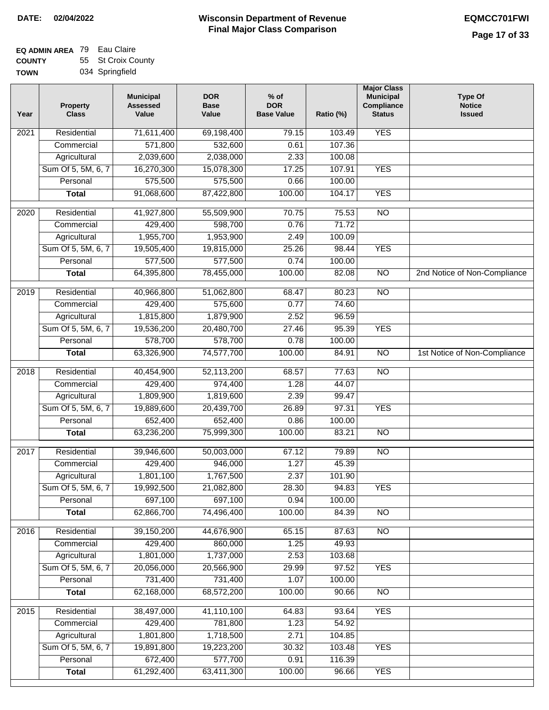| ------      |                 |
|-------------|-----------------|
| <b>TOWN</b> | 034 Springfield |

| 71,611,400<br><b>YES</b><br>Residential<br>69,198,400<br>79.15<br>103.49<br>2021<br>571,800<br>532,600<br>107.36<br>0.61<br>Commercial<br>2,039,600<br>2,038,000<br>2.33<br>100.08<br>Agricultural<br><b>YES</b><br>Sum Of 5, 5M, 6, 7<br>16,270,300<br>15,078,300<br>17.25<br>107.91<br>575,500<br>575,500<br>Personal<br>0.66<br>100.00<br>91,068,600<br>100.00<br>104.17<br><b>YES</b><br>87,422,800<br><b>Total</b><br>$\overline{NO}$<br>$\overline{2020}$<br>Residential<br>41,927,800<br>55,509,900<br>70.75<br>75.53<br>429,400<br>598,700<br>0.76<br>71.72<br>Commercial<br>1,955,700<br>1,953,900<br>Agricultural<br>2.49<br>100.09<br>Sum Of 5, 5M, 6, 7<br>19,505,400<br>19,815,000<br>25.26<br>98.44<br><b>YES</b><br>577,500<br>577,500<br>Personal<br>0.74<br>100.00<br>$\overline{NO}$<br><b>Total</b><br>64,395,800<br>78,455,000<br>100.00<br>82.08<br>2nd Notice of Non-Compliance<br>$\overline{NO}$<br>2019<br>Residential<br>40,966,800<br>51,062,800<br>80.23<br>68.47<br>429,400<br>575,600<br>0.77<br>Commercial<br>74.60<br>1,815,800<br>1,879,900<br>2.52<br>96.59<br>Agricultural<br>Sum Of 5, 5M, 6, 7<br>19,536,200<br>95.39<br><b>YES</b><br>20,480,700<br>27.46<br>578,700<br>0.78<br>Personal<br>578,700<br>100.00<br>1st Notice of Non-Compliance<br>63,326,900<br>74,577,700<br>100.00<br>84.91<br>$\overline{NO}$<br><b>Total</b><br>40,454,900<br>52,113,200<br>$\overline{NO}$<br>2018<br>Residential<br>68.57<br>77.63<br>429,400<br>Commercial<br>974,400<br>1.28<br>44.07<br>1,809,900<br>1,819,600<br>2.39<br>99.47<br>Agricultural<br>Sum Of 5, 5M, 6, 7<br>19,889,600<br>20,439,700<br>26.89<br>97.31<br><b>YES</b><br>652,400<br>652,400<br>0.86<br>100.00<br>Personal<br>63,236,200<br>75,999,300<br>100.00<br>83.21<br>$\overline{10}$<br><b>Total</b><br>Residential<br>39,946,600<br>50,003,000<br>67.12<br><b>NO</b><br>2017<br>79.89<br>429,400<br>1.27<br>946,000<br>45.39<br>Commercial<br>1,801,100<br>2.37<br>1,767,500<br>101.90<br>Agricultural<br>Sum Of 5, 5M, 6, 7<br>19,992,500<br>21,082,800<br>28.30<br>94.83<br><b>YES</b><br>697,100<br>Personal<br>697,100<br>0.94<br>100.00<br><b>NO</b><br>62,866,700<br>74,496,400<br>100.00<br>84.39<br><b>Total</b><br>2016<br>Residential<br>39,150,200<br>44,676,900<br>65.15<br>N <sub>O</sub><br>87.63<br>429,400<br>Commercial<br>860,000<br>1.25<br>49.93<br>1,801,000<br>1,737,000<br>2.53<br>103.68<br>Agricultural<br>20,056,000<br>Sum Of 5, 5M, 6, 7<br>20,566,900<br>29.99<br>97.52<br><b>YES</b><br>731,400<br>731,400<br>Personal<br>1.07<br>100.00<br>62,168,000<br>68,572,200<br>100.00<br>90.66<br>N <sub>O</sub><br><b>Total</b><br>2015<br>38,497,000<br>41,110,100<br><b>YES</b><br>Residential<br>64.83<br>93.64<br>429,400<br>781,800<br>54.92<br>1.23<br>Commercial<br>1,801,800<br>Agricultural<br>1,718,500<br>104.85<br>2.71<br>Sum Of 5, 5M, 6, 7<br>19,891,800<br>103.48<br><b>YES</b><br>19,223,200<br>30.32<br>577,700<br>Personal<br>672,400<br>0.91<br>116.39<br>100.00<br><b>YES</b><br>61,292,400<br>63,411,300<br>96.66<br><b>Total</b> | Year | <b>Property</b><br><b>Class</b> | <b>Municipal</b><br><b>Assessed</b><br>Value | <b>DOR</b><br><b>Base</b><br>Value | % of<br><b>DOR</b><br><b>Base Value</b> | Ratio (%) | <b>Major Class</b><br><b>Municipal</b><br>Compliance<br><b>Status</b> | <b>Type Of</b><br><b>Notice</b><br><b>Issued</b> |
|-----------------------------------------------------------------------------------------------------------------------------------------------------------------------------------------------------------------------------------------------------------------------------------------------------------------------------------------------------------------------------------------------------------------------------------------------------------------------------------------------------------------------------------------------------------------------------------------------------------------------------------------------------------------------------------------------------------------------------------------------------------------------------------------------------------------------------------------------------------------------------------------------------------------------------------------------------------------------------------------------------------------------------------------------------------------------------------------------------------------------------------------------------------------------------------------------------------------------------------------------------------------------------------------------------------------------------------------------------------------------------------------------------------------------------------------------------------------------------------------------------------------------------------------------------------------------------------------------------------------------------------------------------------------------------------------------------------------------------------------------------------------------------------------------------------------------------------------------------------------------------------------------------------------------------------------------------------------------------------------------------------------------------------------------------------------------------------------------------------------------------------------------------------------------------------------------------------------------------------------------------------------------------------------------------------------------------------------------------------------------------------------------------------------------------------------------------------------------------------------------------------------------------------------------------------------------------------------------------------------------------------------------------------------------------------------------------------------------------------------------------------------------------------------------------------------------------------------------------------------------------------------------------------------------------------------------------------------------------------------------------------------------------------------------------------------------------------|------|---------------------------------|----------------------------------------------|------------------------------------|-----------------------------------------|-----------|-----------------------------------------------------------------------|--------------------------------------------------|
|                                                                                                                                                                                                                                                                                                                                                                                                                                                                                                                                                                                                                                                                                                                                                                                                                                                                                                                                                                                                                                                                                                                                                                                                                                                                                                                                                                                                                                                                                                                                                                                                                                                                                                                                                                                                                                                                                                                                                                                                                                                                                                                                                                                                                                                                                                                                                                                                                                                                                                                                                                                                                                                                                                                                                                                                                                                                                                                                                                                                                                                                                   |      |                                 |                                              |                                    |                                         |           |                                                                       |                                                  |
|                                                                                                                                                                                                                                                                                                                                                                                                                                                                                                                                                                                                                                                                                                                                                                                                                                                                                                                                                                                                                                                                                                                                                                                                                                                                                                                                                                                                                                                                                                                                                                                                                                                                                                                                                                                                                                                                                                                                                                                                                                                                                                                                                                                                                                                                                                                                                                                                                                                                                                                                                                                                                                                                                                                                                                                                                                                                                                                                                                                                                                                                                   |      |                                 |                                              |                                    |                                         |           |                                                                       |                                                  |
|                                                                                                                                                                                                                                                                                                                                                                                                                                                                                                                                                                                                                                                                                                                                                                                                                                                                                                                                                                                                                                                                                                                                                                                                                                                                                                                                                                                                                                                                                                                                                                                                                                                                                                                                                                                                                                                                                                                                                                                                                                                                                                                                                                                                                                                                                                                                                                                                                                                                                                                                                                                                                                                                                                                                                                                                                                                                                                                                                                                                                                                                                   |      |                                 |                                              |                                    |                                         |           |                                                                       |                                                  |
|                                                                                                                                                                                                                                                                                                                                                                                                                                                                                                                                                                                                                                                                                                                                                                                                                                                                                                                                                                                                                                                                                                                                                                                                                                                                                                                                                                                                                                                                                                                                                                                                                                                                                                                                                                                                                                                                                                                                                                                                                                                                                                                                                                                                                                                                                                                                                                                                                                                                                                                                                                                                                                                                                                                                                                                                                                                                                                                                                                                                                                                                                   |      |                                 |                                              |                                    |                                         |           |                                                                       |                                                  |
|                                                                                                                                                                                                                                                                                                                                                                                                                                                                                                                                                                                                                                                                                                                                                                                                                                                                                                                                                                                                                                                                                                                                                                                                                                                                                                                                                                                                                                                                                                                                                                                                                                                                                                                                                                                                                                                                                                                                                                                                                                                                                                                                                                                                                                                                                                                                                                                                                                                                                                                                                                                                                                                                                                                                                                                                                                                                                                                                                                                                                                                                                   |      |                                 |                                              |                                    |                                         |           |                                                                       |                                                  |
|                                                                                                                                                                                                                                                                                                                                                                                                                                                                                                                                                                                                                                                                                                                                                                                                                                                                                                                                                                                                                                                                                                                                                                                                                                                                                                                                                                                                                                                                                                                                                                                                                                                                                                                                                                                                                                                                                                                                                                                                                                                                                                                                                                                                                                                                                                                                                                                                                                                                                                                                                                                                                                                                                                                                                                                                                                                                                                                                                                                                                                                                                   |      |                                 |                                              |                                    |                                         |           |                                                                       |                                                  |
|                                                                                                                                                                                                                                                                                                                                                                                                                                                                                                                                                                                                                                                                                                                                                                                                                                                                                                                                                                                                                                                                                                                                                                                                                                                                                                                                                                                                                                                                                                                                                                                                                                                                                                                                                                                                                                                                                                                                                                                                                                                                                                                                                                                                                                                                                                                                                                                                                                                                                                                                                                                                                                                                                                                                                                                                                                                                                                                                                                                                                                                                                   |      |                                 |                                              |                                    |                                         |           |                                                                       |                                                  |
|                                                                                                                                                                                                                                                                                                                                                                                                                                                                                                                                                                                                                                                                                                                                                                                                                                                                                                                                                                                                                                                                                                                                                                                                                                                                                                                                                                                                                                                                                                                                                                                                                                                                                                                                                                                                                                                                                                                                                                                                                                                                                                                                                                                                                                                                                                                                                                                                                                                                                                                                                                                                                                                                                                                                                                                                                                                                                                                                                                                                                                                                                   |      |                                 |                                              |                                    |                                         |           |                                                                       |                                                  |
|                                                                                                                                                                                                                                                                                                                                                                                                                                                                                                                                                                                                                                                                                                                                                                                                                                                                                                                                                                                                                                                                                                                                                                                                                                                                                                                                                                                                                                                                                                                                                                                                                                                                                                                                                                                                                                                                                                                                                                                                                                                                                                                                                                                                                                                                                                                                                                                                                                                                                                                                                                                                                                                                                                                                                                                                                                                                                                                                                                                                                                                                                   |      |                                 |                                              |                                    |                                         |           |                                                                       |                                                  |
|                                                                                                                                                                                                                                                                                                                                                                                                                                                                                                                                                                                                                                                                                                                                                                                                                                                                                                                                                                                                                                                                                                                                                                                                                                                                                                                                                                                                                                                                                                                                                                                                                                                                                                                                                                                                                                                                                                                                                                                                                                                                                                                                                                                                                                                                                                                                                                                                                                                                                                                                                                                                                                                                                                                                                                                                                                                                                                                                                                                                                                                                                   |      |                                 |                                              |                                    |                                         |           |                                                                       |                                                  |
|                                                                                                                                                                                                                                                                                                                                                                                                                                                                                                                                                                                                                                                                                                                                                                                                                                                                                                                                                                                                                                                                                                                                                                                                                                                                                                                                                                                                                                                                                                                                                                                                                                                                                                                                                                                                                                                                                                                                                                                                                                                                                                                                                                                                                                                                                                                                                                                                                                                                                                                                                                                                                                                                                                                                                                                                                                                                                                                                                                                                                                                                                   |      |                                 |                                              |                                    |                                         |           |                                                                       |                                                  |
|                                                                                                                                                                                                                                                                                                                                                                                                                                                                                                                                                                                                                                                                                                                                                                                                                                                                                                                                                                                                                                                                                                                                                                                                                                                                                                                                                                                                                                                                                                                                                                                                                                                                                                                                                                                                                                                                                                                                                                                                                                                                                                                                                                                                                                                                                                                                                                                                                                                                                                                                                                                                                                                                                                                                                                                                                                                                                                                                                                                                                                                                                   |      |                                 |                                              |                                    |                                         |           |                                                                       |                                                  |
|                                                                                                                                                                                                                                                                                                                                                                                                                                                                                                                                                                                                                                                                                                                                                                                                                                                                                                                                                                                                                                                                                                                                                                                                                                                                                                                                                                                                                                                                                                                                                                                                                                                                                                                                                                                                                                                                                                                                                                                                                                                                                                                                                                                                                                                                                                                                                                                                                                                                                                                                                                                                                                                                                                                                                                                                                                                                                                                                                                                                                                                                                   |      |                                 |                                              |                                    |                                         |           |                                                                       |                                                  |
|                                                                                                                                                                                                                                                                                                                                                                                                                                                                                                                                                                                                                                                                                                                                                                                                                                                                                                                                                                                                                                                                                                                                                                                                                                                                                                                                                                                                                                                                                                                                                                                                                                                                                                                                                                                                                                                                                                                                                                                                                                                                                                                                                                                                                                                                                                                                                                                                                                                                                                                                                                                                                                                                                                                                                                                                                                                                                                                                                                                                                                                                                   |      |                                 |                                              |                                    |                                         |           |                                                                       |                                                  |
|                                                                                                                                                                                                                                                                                                                                                                                                                                                                                                                                                                                                                                                                                                                                                                                                                                                                                                                                                                                                                                                                                                                                                                                                                                                                                                                                                                                                                                                                                                                                                                                                                                                                                                                                                                                                                                                                                                                                                                                                                                                                                                                                                                                                                                                                                                                                                                                                                                                                                                                                                                                                                                                                                                                                                                                                                                                                                                                                                                                                                                                                                   |      |                                 |                                              |                                    |                                         |           |                                                                       |                                                  |
|                                                                                                                                                                                                                                                                                                                                                                                                                                                                                                                                                                                                                                                                                                                                                                                                                                                                                                                                                                                                                                                                                                                                                                                                                                                                                                                                                                                                                                                                                                                                                                                                                                                                                                                                                                                                                                                                                                                                                                                                                                                                                                                                                                                                                                                                                                                                                                                                                                                                                                                                                                                                                                                                                                                                                                                                                                                                                                                                                                                                                                                                                   |      |                                 |                                              |                                    |                                         |           |                                                                       |                                                  |
|                                                                                                                                                                                                                                                                                                                                                                                                                                                                                                                                                                                                                                                                                                                                                                                                                                                                                                                                                                                                                                                                                                                                                                                                                                                                                                                                                                                                                                                                                                                                                                                                                                                                                                                                                                                                                                                                                                                                                                                                                                                                                                                                                                                                                                                                                                                                                                                                                                                                                                                                                                                                                                                                                                                                                                                                                                                                                                                                                                                                                                                                                   |      |                                 |                                              |                                    |                                         |           |                                                                       |                                                  |
|                                                                                                                                                                                                                                                                                                                                                                                                                                                                                                                                                                                                                                                                                                                                                                                                                                                                                                                                                                                                                                                                                                                                                                                                                                                                                                                                                                                                                                                                                                                                                                                                                                                                                                                                                                                                                                                                                                                                                                                                                                                                                                                                                                                                                                                                                                                                                                                                                                                                                                                                                                                                                                                                                                                                                                                                                                                                                                                                                                                                                                                                                   |      |                                 |                                              |                                    |                                         |           |                                                                       |                                                  |
|                                                                                                                                                                                                                                                                                                                                                                                                                                                                                                                                                                                                                                                                                                                                                                                                                                                                                                                                                                                                                                                                                                                                                                                                                                                                                                                                                                                                                                                                                                                                                                                                                                                                                                                                                                                                                                                                                                                                                                                                                                                                                                                                                                                                                                                                                                                                                                                                                                                                                                                                                                                                                                                                                                                                                                                                                                                                                                                                                                                                                                                                                   |      |                                 |                                              |                                    |                                         |           |                                                                       |                                                  |
|                                                                                                                                                                                                                                                                                                                                                                                                                                                                                                                                                                                                                                                                                                                                                                                                                                                                                                                                                                                                                                                                                                                                                                                                                                                                                                                                                                                                                                                                                                                                                                                                                                                                                                                                                                                                                                                                                                                                                                                                                                                                                                                                                                                                                                                                                                                                                                                                                                                                                                                                                                                                                                                                                                                                                                                                                                                                                                                                                                                                                                                                                   |      |                                 |                                              |                                    |                                         |           |                                                                       |                                                  |
|                                                                                                                                                                                                                                                                                                                                                                                                                                                                                                                                                                                                                                                                                                                                                                                                                                                                                                                                                                                                                                                                                                                                                                                                                                                                                                                                                                                                                                                                                                                                                                                                                                                                                                                                                                                                                                                                                                                                                                                                                                                                                                                                                                                                                                                                                                                                                                                                                                                                                                                                                                                                                                                                                                                                                                                                                                                                                                                                                                                                                                                                                   |      |                                 |                                              |                                    |                                         |           |                                                                       |                                                  |
|                                                                                                                                                                                                                                                                                                                                                                                                                                                                                                                                                                                                                                                                                                                                                                                                                                                                                                                                                                                                                                                                                                                                                                                                                                                                                                                                                                                                                                                                                                                                                                                                                                                                                                                                                                                                                                                                                                                                                                                                                                                                                                                                                                                                                                                                                                                                                                                                                                                                                                                                                                                                                                                                                                                                                                                                                                                                                                                                                                                                                                                                                   |      |                                 |                                              |                                    |                                         |           |                                                                       |                                                  |
|                                                                                                                                                                                                                                                                                                                                                                                                                                                                                                                                                                                                                                                                                                                                                                                                                                                                                                                                                                                                                                                                                                                                                                                                                                                                                                                                                                                                                                                                                                                                                                                                                                                                                                                                                                                                                                                                                                                                                                                                                                                                                                                                                                                                                                                                                                                                                                                                                                                                                                                                                                                                                                                                                                                                                                                                                                                                                                                                                                                                                                                                                   |      |                                 |                                              |                                    |                                         |           |                                                                       |                                                  |
|                                                                                                                                                                                                                                                                                                                                                                                                                                                                                                                                                                                                                                                                                                                                                                                                                                                                                                                                                                                                                                                                                                                                                                                                                                                                                                                                                                                                                                                                                                                                                                                                                                                                                                                                                                                                                                                                                                                                                                                                                                                                                                                                                                                                                                                                                                                                                                                                                                                                                                                                                                                                                                                                                                                                                                                                                                                                                                                                                                                                                                                                                   |      |                                 |                                              |                                    |                                         |           |                                                                       |                                                  |
|                                                                                                                                                                                                                                                                                                                                                                                                                                                                                                                                                                                                                                                                                                                                                                                                                                                                                                                                                                                                                                                                                                                                                                                                                                                                                                                                                                                                                                                                                                                                                                                                                                                                                                                                                                                                                                                                                                                                                                                                                                                                                                                                                                                                                                                                                                                                                                                                                                                                                                                                                                                                                                                                                                                                                                                                                                                                                                                                                                                                                                                                                   |      |                                 |                                              |                                    |                                         |           |                                                                       |                                                  |
|                                                                                                                                                                                                                                                                                                                                                                                                                                                                                                                                                                                                                                                                                                                                                                                                                                                                                                                                                                                                                                                                                                                                                                                                                                                                                                                                                                                                                                                                                                                                                                                                                                                                                                                                                                                                                                                                                                                                                                                                                                                                                                                                                                                                                                                                                                                                                                                                                                                                                                                                                                                                                                                                                                                                                                                                                                                                                                                                                                                                                                                                                   |      |                                 |                                              |                                    |                                         |           |                                                                       |                                                  |
|                                                                                                                                                                                                                                                                                                                                                                                                                                                                                                                                                                                                                                                                                                                                                                                                                                                                                                                                                                                                                                                                                                                                                                                                                                                                                                                                                                                                                                                                                                                                                                                                                                                                                                                                                                                                                                                                                                                                                                                                                                                                                                                                                                                                                                                                                                                                                                                                                                                                                                                                                                                                                                                                                                                                                                                                                                                                                                                                                                                                                                                                                   |      |                                 |                                              |                                    |                                         |           |                                                                       |                                                  |
|                                                                                                                                                                                                                                                                                                                                                                                                                                                                                                                                                                                                                                                                                                                                                                                                                                                                                                                                                                                                                                                                                                                                                                                                                                                                                                                                                                                                                                                                                                                                                                                                                                                                                                                                                                                                                                                                                                                                                                                                                                                                                                                                                                                                                                                                                                                                                                                                                                                                                                                                                                                                                                                                                                                                                                                                                                                                                                                                                                                                                                                                                   |      |                                 |                                              |                                    |                                         |           |                                                                       |                                                  |
|                                                                                                                                                                                                                                                                                                                                                                                                                                                                                                                                                                                                                                                                                                                                                                                                                                                                                                                                                                                                                                                                                                                                                                                                                                                                                                                                                                                                                                                                                                                                                                                                                                                                                                                                                                                                                                                                                                                                                                                                                                                                                                                                                                                                                                                                                                                                                                                                                                                                                                                                                                                                                                                                                                                                                                                                                                                                                                                                                                                                                                                                                   |      |                                 |                                              |                                    |                                         |           |                                                                       |                                                  |
|                                                                                                                                                                                                                                                                                                                                                                                                                                                                                                                                                                                                                                                                                                                                                                                                                                                                                                                                                                                                                                                                                                                                                                                                                                                                                                                                                                                                                                                                                                                                                                                                                                                                                                                                                                                                                                                                                                                                                                                                                                                                                                                                                                                                                                                                                                                                                                                                                                                                                                                                                                                                                                                                                                                                                                                                                                                                                                                                                                                                                                                                                   |      |                                 |                                              |                                    |                                         |           |                                                                       |                                                  |
|                                                                                                                                                                                                                                                                                                                                                                                                                                                                                                                                                                                                                                                                                                                                                                                                                                                                                                                                                                                                                                                                                                                                                                                                                                                                                                                                                                                                                                                                                                                                                                                                                                                                                                                                                                                                                                                                                                                                                                                                                                                                                                                                                                                                                                                                                                                                                                                                                                                                                                                                                                                                                                                                                                                                                                                                                                                                                                                                                                                                                                                                                   |      |                                 |                                              |                                    |                                         |           |                                                                       |                                                  |
|                                                                                                                                                                                                                                                                                                                                                                                                                                                                                                                                                                                                                                                                                                                                                                                                                                                                                                                                                                                                                                                                                                                                                                                                                                                                                                                                                                                                                                                                                                                                                                                                                                                                                                                                                                                                                                                                                                                                                                                                                                                                                                                                                                                                                                                                                                                                                                                                                                                                                                                                                                                                                                                                                                                                                                                                                                                                                                                                                                                                                                                                                   |      |                                 |                                              |                                    |                                         |           |                                                                       |                                                  |
|                                                                                                                                                                                                                                                                                                                                                                                                                                                                                                                                                                                                                                                                                                                                                                                                                                                                                                                                                                                                                                                                                                                                                                                                                                                                                                                                                                                                                                                                                                                                                                                                                                                                                                                                                                                                                                                                                                                                                                                                                                                                                                                                                                                                                                                                                                                                                                                                                                                                                                                                                                                                                                                                                                                                                                                                                                                                                                                                                                                                                                                                                   |      |                                 |                                              |                                    |                                         |           |                                                                       |                                                  |
|                                                                                                                                                                                                                                                                                                                                                                                                                                                                                                                                                                                                                                                                                                                                                                                                                                                                                                                                                                                                                                                                                                                                                                                                                                                                                                                                                                                                                                                                                                                                                                                                                                                                                                                                                                                                                                                                                                                                                                                                                                                                                                                                                                                                                                                                                                                                                                                                                                                                                                                                                                                                                                                                                                                                                                                                                                                                                                                                                                                                                                                                                   |      |                                 |                                              |                                    |                                         |           |                                                                       |                                                  |
|                                                                                                                                                                                                                                                                                                                                                                                                                                                                                                                                                                                                                                                                                                                                                                                                                                                                                                                                                                                                                                                                                                                                                                                                                                                                                                                                                                                                                                                                                                                                                                                                                                                                                                                                                                                                                                                                                                                                                                                                                                                                                                                                                                                                                                                                                                                                                                                                                                                                                                                                                                                                                                                                                                                                                                                                                                                                                                                                                                                                                                                                                   |      |                                 |                                              |                                    |                                         |           |                                                                       |                                                  |
|                                                                                                                                                                                                                                                                                                                                                                                                                                                                                                                                                                                                                                                                                                                                                                                                                                                                                                                                                                                                                                                                                                                                                                                                                                                                                                                                                                                                                                                                                                                                                                                                                                                                                                                                                                                                                                                                                                                                                                                                                                                                                                                                                                                                                                                                                                                                                                                                                                                                                                                                                                                                                                                                                                                                                                                                                                                                                                                                                                                                                                                                                   |      |                                 |                                              |                                    |                                         |           |                                                                       |                                                  |
|                                                                                                                                                                                                                                                                                                                                                                                                                                                                                                                                                                                                                                                                                                                                                                                                                                                                                                                                                                                                                                                                                                                                                                                                                                                                                                                                                                                                                                                                                                                                                                                                                                                                                                                                                                                                                                                                                                                                                                                                                                                                                                                                                                                                                                                                                                                                                                                                                                                                                                                                                                                                                                                                                                                                                                                                                                                                                                                                                                                                                                                                                   |      |                                 |                                              |                                    |                                         |           |                                                                       |                                                  |
|                                                                                                                                                                                                                                                                                                                                                                                                                                                                                                                                                                                                                                                                                                                                                                                                                                                                                                                                                                                                                                                                                                                                                                                                                                                                                                                                                                                                                                                                                                                                                                                                                                                                                                                                                                                                                                                                                                                                                                                                                                                                                                                                                                                                                                                                                                                                                                                                                                                                                                                                                                                                                                                                                                                                                                                                                                                                                                                                                                                                                                                                                   |      |                                 |                                              |                                    |                                         |           |                                                                       |                                                  |
|                                                                                                                                                                                                                                                                                                                                                                                                                                                                                                                                                                                                                                                                                                                                                                                                                                                                                                                                                                                                                                                                                                                                                                                                                                                                                                                                                                                                                                                                                                                                                                                                                                                                                                                                                                                                                                                                                                                                                                                                                                                                                                                                                                                                                                                                                                                                                                                                                                                                                                                                                                                                                                                                                                                                                                                                                                                                                                                                                                                                                                                                                   |      |                                 |                                              |                                    |                                         |           |                                                                       |                                                  |
|                                                                                                                                                                                                                                                                                                                                                                                                                                                                                                                                                                                                                                                                                                                                                                                                                                                                                                                                                                                                                                                                                                                                                                                                                                                                                                                                                                                                                                                                                                                                                                                                                                                                                                                                                                                                                                                                                                                                                                                                                                                                                                                                                                                                                                                                                                                                                                                                                                                                                                                                                                                                                                                                                                                                                                                                                                                                                                                                                                                                                                                                                   |      |                                 |                                              |                                    |                                         |           |                                                                       |                                                  |
|                                                                                                                                                                                                                                                                                                                                                                                                                                                                                                                                                                                                                                                                                                                                                                                                                                                                                                                                                                                                                                                                                                                                                                                                                                                                                                                                                                                                                                                                                                                                                                                                                                                                                                                                                                                                                                                                                                                                                                                                                                                                                                                                                                                                                                                                                                                                                                                                                                                                                                                                                                                                                                                                                                                                                                                                                                                                                                                                                                                                                                                                                   |      |                                 |                                              |                                    |                                         |           |                                                                       |                                                  |
|                                                                                                                                                                                                                                                                                                                                                                                                                                                                                                                                                                                                                                                                                                                                                                                                                                                                                                                                                                                                                                                                                                                                                                                                                                                                                                                                                                                                                                                                                                                                                                                                                                                                                                                                                                                                                                                                                                                                                                                                                                                                                                                                                                                                                                                                                                                                                                                                                                                                                                                                                                                                                                                                                                                                                                                                                                                                                                                                                                                                                                                                                   |      |                                 |                                              |                                    |                                         |           |                                                                       |                                                  |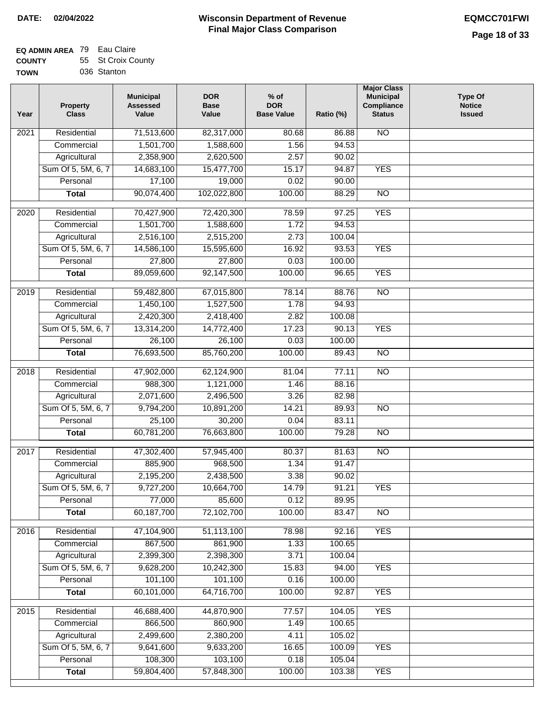**TOWN**

#### **Wisconsin Department of Revenue Final Major Class Comparison DATE: 02/04/2022 EQMCC701FWI**

|  | ------      |
|--|-------------|
|  | 036 Stanton |

| Year              | <b>Property</b><br><b>Class</b> | <b>Municipal</b><br><b>Assessed</b><br>Value | <b>DOR</b><br><b>Base</b><br>Value | $%$ of<br><b>DOR</b><br><b>Base Value</b> | Ratio (%) | <b>Major Class</b><br><b>Municipal</b><br>Compliance<br><b>Status</b> | <b>Type Of</b><br><b>Notice</b><br><b>Issued</b> |
|-------------------|---------------------------------|----------------------------------------------|------------------------------------|-------------------------------------------|-----------|-----------------------------------------------------------------------|--------------------------------------------------|
| $\overline{202}1$ | Residential                     | 71,513,600                                   | 82,317,000                         | 80.68                                     | 86.88     | N <sub>O</sub>                                                        |                                                  |
|                   | Commercial                      | 1,501,700                                    | 1,588,600                          | 1.56                                      | 94.53     |                                                                       |                                                  |
|                   | Agricultural                    | 2,358,900                                    | 2,620,500                          | 2.57                                      | 90.02     |                                                                       |                                                  |
|                   | Sum Of 5, 5M, 6, 7              | 14,683,100                                   | 15,477,700                         | 15.17                                     | 94.87     | <b>YES</b>                                                            |                                                  |
|                   | Personal                        | 17,100                                       | 19,000                             | 0.02                                      | 90.00     |                                                                       |                                                  |
|                   | <b>Total</b>                    | 90,074,400                                   | 102,022,800                        | 100.00                                    | 88.29     | $\overline{NO}$                                                       |                                                  |
| $\overline{2020}$ | Residential                     | 70,427,900                                   | 72,420,300                         | 78.59                                     | 97.25     | <b>YES</b>                                                            |                                                  |
|                   | Commercial                      | 1,501,700                                    | 1,588,600                          | 1.72                                      | 94.53     |                                                                       |                                                  |
|                   | Agricultural                    | 2,516,100                                    | 2,515,200                          | 2.73                                      | 100.04    |                                                                       |                                                  |
|                   | Sum Of 5, 5M, 6, 7              | 14,586,100                                   | 15,595,600                         | 16.92                                     | 93.53     | <b>YES</b>                                                            |                                                  |
|                   | Personal                        | 27,800                                       | 27,800                             | 0.03                                      | 100.00    |                                                                       |                                                  |
|                   | <b>Total</b>                    | 89,059,600                                   | 92,147,500                         | 100.00                                    | 96.65     | <b>YES</b>                                                            |                                                  |
|                   |                                 |                                              |                                    |                                           |           |                                                                       |                                                  |
| 2019              | Residential                     | 59,482,800                                   | 67,015,800                         | 78.14                                     | 88.76     | $\overline{NO}$                                                       |                                                  |
|                   | Commercial                      | 1,450,100                                    | 1,527,500                          | 1.78                                      | 94.93     |                                                                       |                                                  |
|                   | Agricultural                    | 2,420,300                                    | 2,418,400                          | 2.82                                      | 100.08    |                                                                       |                                                  |
|                   | Sum Of 5, 5M, 6, 7              | 13,314,200                                   | 14,772,400                         | 17.23                                     | 90.13     | <b>YES</b>                                                            |                                                  |
|                   | Personal                        | 26,100                                       | 26,100                             | 0.03                                      | 100.00    |                                                                       |                                                  |
|                   | <b>Total</b>                    | 76,693,500                                   | 85,760,200                         | 100.00                                    | 89.43     | $\overline{NO}$                                                       |                                                  |
| 2018              | Residential                     | 47,902,000                                   | 62,124,900                         | 81.04                                     | 77.11     | N <sub>O</sub>                                                        |                                                  |
|                   | Commercial                      | 988,300                                      | 1,121,000                          | 1.46                                      | 88.16     |                                                                       |                                                  |
|                   | Agricultural                    | 2,071,600                                    | 2,496,500                          | 3.26                                      | 82.98     |                                                                       |                                                  |
|                   | Sum Of 5, 5M, 6, 7              | 9,794,200                                    | 10,891,200                         | 14.21                                     | 89.93     | $\overline{10}$                                                       |                                                  |
|                   | Personal                        | 25,100                                       | 30,200                             | 0.04                                      | 83.11     |                                                                       |                                                  |
|                   | <b>Total</b>                    | 60,781,200                                   | 76,663,800                         | 100.00                                    | 79.28     | <b>NO</b>                                                             |                                                  |
| $\overline{2017}$ | Residential                     | 47,302,400                                   | 57,945,400                         | 80.37                                     | 81.63     | $\overline{NO}$                                                       |                                                  |
|                   | Commercial                      | 885,900                                      | 968,500                            | 1.34                                      | 91.47     |                                                                       |                                                  |
|                   | Agricultural                    | 2,195,200                                    | 2,438,500                          | 3.38                                      | 90.02     |                                                                       |                                                  |
|                   | Sum Of 5, 5M, 6, 7              | 9,727,200                                    | 10,664,700                         | 14.79                                     | 91.21     | <b>YES</b>                                                            |                                                  |
|                   | Personal                        | 77,000                                       | 85,600                             | 0.12                                      | 89.95     |                                                                       |                                                  |
|                   | <b>Total</b>                    | 60,187,700                                   | 72,102,700                         | 100.00                                    | 83.47     | <b>NO</b>                                                             |                                                  |
| 2016              | Residential                     | 47,104,900                                   | 51,113,100                         | 78.98                                     | 92.16     | <b>YES</b>                                                            |                                                  |
|                   | Commercial                      | 867,500                                      | 861,900                            | 1.33                                      | 100.65    |                                                                       |                                                  |
|                   | Agricultural                    | 2,399,300                                    | 2,398,300                          | 3.71                                      | 100.04    |                                                                       |                                                  |
|                   | Sum Of 5, 5M, 6, 7              | 9,628,200                                    | 10,242,300                         | 15.83                                     | 94.00     | <b>YES</b>                                                            |                                                  |
|                   | Personal                        | 101,100                                      | 101,100                            | 0.16                                      | 100.00    |                                                                       |                                                  |
|                   | <b>Total</b>                    | 60,101,000                                   | 64,716,700                         | 100.00                                    | 92.87     | <b>YES</b>                                                            |                                                  |
| 2015              | Residential                     | 46,688,400                                   | 44,870,900                         | 77.57                                     | 104.05    | <b>YES</b>                                                            |                                                  |
|                   | Commercial                      | 866,500                                      | 860,900                            | 1.49                                      | 100.65    |                                                                       |                                                  |
|                   | Agricultural                    | 2,499,600                                    | 2,380,200                          | 4.11                                      | 105.02    |                                                                       |                                                  |
|                   | Sum Of 5, 5M, 6, 7              | 9,641,600                                    | 9,633,200                          | 16.65                                     | 100.09    | <b>YES</b>                                                            |                                                  |
|                   | Personal                        | 108,300                                      | 103,100                            | 0.18                                      | 105.04    |                                                                       |                                                  |
|                   | <b>Total</b>                    | 59,804,400                                   | 57,848,300                         | 100.00                                    | 103.38    | <b>YES</b>                                                            |                                                  |
|                   |                                 |                                              |                                    |                                           |           |                                                                       |                                                  |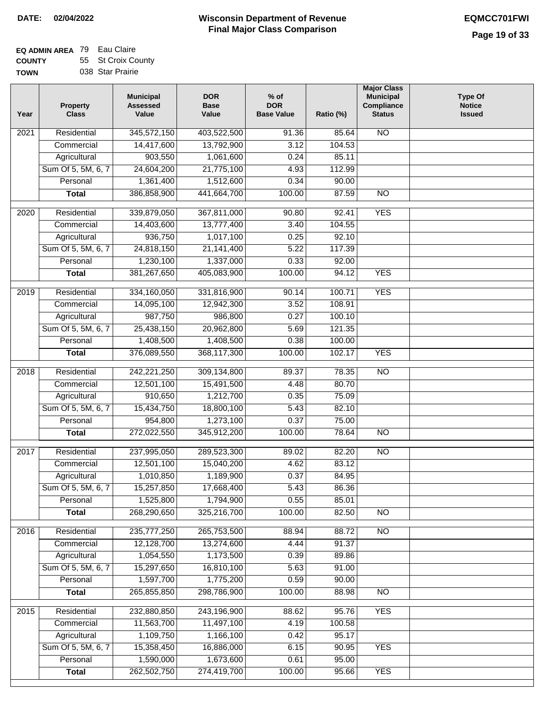#### **Wisconsin Department of Revenue Final Major Class Comparison DATE: 02/04/2022 EQMCC701FWI**

### **EQ ADMIN AREA** 79 Eau Claire **COUNTY TOWN** 55 St Croix County

|  | 038 Star Prairie |  |
|--|------------------|--|
|  |                  |  |

| Year             | <b>Property</b><br><b>Class</b> | <b>Municipal</b><br><b>Assessed</b><br>Value | <b>DOR</b><br><b>Base</b><br>Value | $%$ of<br><b>DOR</b><br><b>Base Value</b> | Ratio (%)      | <b>Major Class</b><br><b>Municipal</b><br>Compliance<br><b>Status</b> | <b>Type Of</b><br><b>Notice</b><br><b>Issued</b> |
|------------------|---------------------------------|----------------------------------------------|------------------------------------|-------------------------------------------|----------------|-----------------------------------------------------------------------|--------------------------------------------------|
| 2021             | Residential                     | 345,572,150                                  | 403,522,500                        | 91.36                                     | 85.64          | <b>NO</b>                                                             |                                                  |
|                  | Commercial                      | 14,417,600                                   | 13,792,900                         | 3.12                                      | 104.53         |                                                                       |                                                  |
|                  | Agricultural                    | 903,550                                      | 1,061,600                          | 0.24                                      | 85.11          |                                                                       |                                                  |
|                  | Sum Of 5, 5M, 6, 7              | 24,604,200                                   | 21,775,100                         | 4.93                                      | 112.99         |                                                                       |                                                  |
|                  | Personal                        | 1,361,400                                    | 1,512,600                          | 0.34                                      | 90.00          |                                                                       |                                                  |
|                  | <b>Total</b>                    | 386,858,900                                  | 441,664,700                        | 100.00                                    | 87.59          | $\overline{NO}$                                                       |                                                  |
| $\frac{1}{2020}$ | Residential                     | 339,879,050                                  | 367,811,000                        | 90.80                                     | 92.41          | <b>YES</b>                                                            |                                                  |
|                  | Commercial                      | 14,403,600                                   | 13,777,400                         | 3.40                                      | 104.55         |                                                                       |                                                  |
|                  | Agricultural                    | 936,750                                      | 1,017,100                          | 0.25                                      | 92.10          |                                                                       |                                                  |
|                  | Sum Of 5, 5M, 6, 7              | 24,818,150                                   | 21, 141, 400                       | 5.22                                      | 117.39         |                                                                       |                                                  |
|                  | Personal                        | 1,230,100                                    | 1,337,000                          | 0.33                                      | 92.00          |                                                                       |                                                  |
|                  | <b>Total</b>                    | 381,267,650                                  | 405,083,900                        | 100.00                                    | 94.12          | <b>YES</b>                                                            |                                                  |
| $\frac{1}{2019}$ | Residential                     | 334,160,050                                  | 331,816,900                        | 90.14                                     | 100.71         | <b>YES</b>                                                            |                                                  |
|                  | Commercial                      | 14,095,100                                   | 12,942,300                         | 3.52                                      | 108.91         |                                                                       |                                                  |
|                  | Agricultural                    | 987,750                                      | 986,800                            | 0.27                                      | 100.10         |                                                                       |                                                  |
|                  | Sum Of 5, 5M, 6, 7              | 25,438,150                                   | 20,962,800                         | 5.69                                      | 121.35         |                                                                       |                                                  |
|                  | Personal                        | 1,408,500                                    | 1,408,500                          | 0.38                                      | 100.00         |                                                                       |                                                  |
|                  | <b>Total</b>                    | 376,089,550                                  | 368,117,300                        | 100.00                                    | 102.17         | <b>YES</b>                                                            |                                                  |
|                  |                                 |                                              |                                    |                                           |                |                                                                       |                                                  |
| 2018             | Residential                     | 242,221,250                                  | 309,134,800                        | 89.37                                     | 78.35          | $\overline{NO}$                                                       |                                                  |
|                  | Commercial                      | 12,501,100                                   | 15,491,500                         | 4.48                                      | 80.70          |                                                                       |                                                  |
|                  | Agricultural                    | 910,650                                      | 1,212,700                          | 0.35                                      | 75.09          |                                                                       |                                                  |
|                  | Sum Of 5, 5M, 6, 7              | 15,434,750                                   | 18,800,100                         | 5.43                                      | 82.10          |                                                                       |                                                  |
|                  | Personal                        | 954,800                                      | 1,273,100                          | 0.37                                      | 75.00          |                                                                       |                                                  |
|                  | <b>Total</b>                    | 272,022,550                                  | 345,912,200                        | 100.00                                    | 78.64          | N <sub>O</sub>                                                        |                                                  |
| 2017             | Residential                     | 237,995,050                                  | 289,523,300                        | 89.02                                     | 82.20          | <b>NO</b>                                                             |                                                  |
|                  | Commercial                      | 12,501,100                                   | 15,040,200                         | 4.62                                      | 83.12          |                                                                       |                                                  |
|                  | Agricultural                    | 1,010,850                                    | 1,189,900                          | 0.37                                      | 84.95          |                                                                       |                                                  |
|                  | Sum Of 5, 5M, 6, 7              | 15,257,850                                   | 17,668,400                         | 5.43                                      | 86.36          |                                                                       |                                                  |
|                  | Personal                        | 1,525,800                                    | 1,794,900                          | 0.55                                      | 85.01          |                                                                       |                                                  |
|                  | <b>Total</b>                    | 268,290,650                                  | 325,216,700                        | 100.00                                    | 82.50          | $\overline{N}$                                                        |                                                  |
| 2016             | Residential                     | 235,777,250                                  | 265,753,500                        | 88.94                                     | 88.72          | N <sub>O</sub>                                                        |                                                  |
|                  | Commercial                      | 12,128,700                                   | 13,274,600                         | 4.44                                      | 91.37          |                                                                       |                                                  |
|                  | Agricultural                    | 1,054,550                                    | 1,173,500                          | 0.39                                      | 89.86          |                                                                       |                                                  |
|                  | Sum Of 5, 5M, 6, 7              | 15,297,650                                   | 16,810,100                         | 5.63                                      | 91.00          |                                                                       |                                                  |
|                  | Personal                        | 1,597,700                                    | 1,775,200                          | 0.59                                      | 90.00          |                                                                       |                                                  |
|                  | <b>Total</b>                    | 265,855,850                                  | 298,786,900                        | 100.00                                    | 88.98          | $\overline{NO}$                                                       |                                                  |
|                  |                                 |                                              |                                    |                                           |                |                                                                       |                                                  |
| 2015             | Residential                     | 232,880,850                                  | 243,196,900                        | 88.62                                     | 95.76          | <b>YES</b>                                                            |                                                  |
|                  | Commercial                      | 11,563,700                                   | 11,497,100                         | 4.19                                      | 100.58         |                                                                       |                                                  |
|                  | Agricultural                    | 1,109,750                                    | 1,166,100                          | 0.42                                      | 95.17          |                                                                       |                                                  |
|                  | Sum Of 5, 5M, 6, 7<br>Personal  | 15,358,450<br>1,590,000                      | 16,886,000<br>1,673,600            | 6.15<br>0.61                              | 90.95<br>95.00 | <b>YES</b>                                                            |                                                  |
|                  | <b>Total</b>                    | 262,502,750                                  | 274,419,700                        | 100.00                                    | 95.66          | <b>YES</b>                                                            |                                                  |
|                  |                                 |                                              |                                    |                                           |                |                                                                       |                                                  |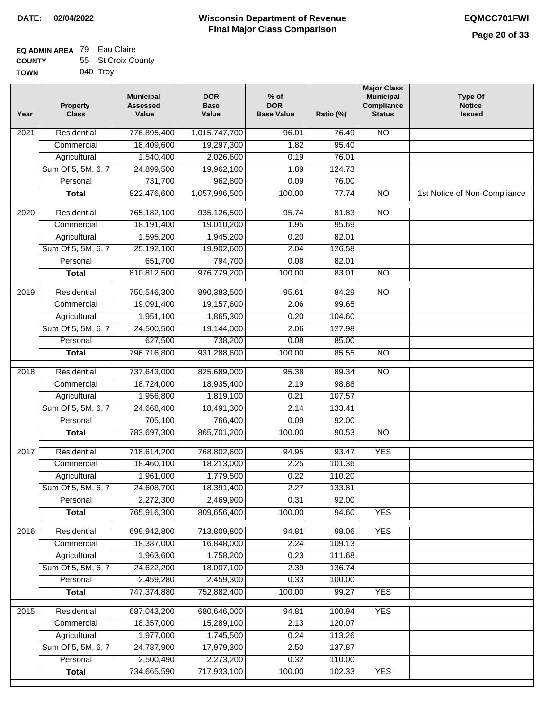#### **EQ ADMIN AREA** 79 Eau Claire **COUNTY TOWN** 55 St Croix County 040 Troy

| Year             | <b>Property</b><br><b>Class</b> | <b>Municipal</b><br><b>Assessed</b><br>Value | <b>DOR</b><br><b>Base</b><br>Value | $%$ of<br><b>DOR</b><br><b>Base Value</b> | Ratio (%) | <b>Major Class</b><br><b>Municipal</b><br>Compliance<br><b>Status</b> | <b>Type Of</b><br><b>Notice</b><br><b>Issued</b> |
|------------------|---------------------------------|----------------------------------------------|------------------------------------|-------------------------------------------|-----------|-----------------------------------------------------------------------|--------------------------------------------------|
| 2021             | Residential                     | 776,895,400                                  | 1,015,747,700                      | 96.01                                     | 76.49     | $\overline{NO}$                                                       |                                                  |
|                  | Commercial                      | 18,409,600                                   | 19,297,300                         | 1.82                                      | 95.40     |                                                                       |                                                  |
|                  | Agricultural                    | 1,540,400                                    | 2,026,600                          | 0.19                                      | 76.01     |                                                                       |                                                  |
|                  | Sum Of 5, 5M, 6, 7              | 24,899,500                                   | 19,962,100                         | 1.89                                      | 124.73    |                                                                       |                                                  |
|                  | Personal                        | 731,700                                      | 962,800                            | 0.09                                      | 76.00     |                                                                       |                                                  |
|                  | <b>Total</b>                    | 822,476,600                                  | 1,057,996,500                      | 100.00                                    | 77.74     | $\overline{NO}$                                                       | 1st Notice of Non-Compliance                     |
| $\frac{1}{2020}$ | Residential                     | 765,182,100                                  | 935,126,500                        | 95.74                                     | 81.83     | $\overline{NO}$                                                       |                                                  |
|                  | Commercial                      | 18,191,400                                   | 19,010,200                         | 1.95                                      | 95.69     |                                                                       |                                                  |
|                  | Agricultural                    | 1,595,200                                    | 1,945,200                          | 0.20                                      | 82.01     |                                                                       |                                                  |
|                  | Sum Of 5, 5M, 6, 7              | 25,192,100                                   | 19,902,600                         | 2.04                                      | 126.58    |                                                                       |                                                  |
|                  | Personal                        | 651,700                                      | 794,700                            | 0.08                                      | 82.01     |                                                                       |                                                  |
|                  | <b>Total</b>                    | 810,812,500                                  | 976,779,200                        | 100.00                                    | 83.01     | $\overline{NO}$                                                       |                                                  |
| $\frac{1}{2019}$ | Residential                     | 750,546,300                                  | 890,383,500                        | 95.61                                     | 84.29     | $\overline{NO}$                                                       |                                                  |
|                  | Commercial                      | 19,091,400                                   | 19,157,600                         | 2.06                                      | 99.65     |                                                                       |                                                  |
|                  | Agricultural                    | 1,951,100                                    | 1,865,300                          | 0.20                                      | 104.60    |                                                                       |                                                  |
|                  | Sum Of 5, 5M, 6, 7              | 24,500,500                                   | 19,144,000                         | 2.06                                      | 127.98    |                                                                       |                                                  |
|                  | Personal                        | 627,500                                      | 738,200                            | 0.08                                      | 85.00     |                                                                       |                                                  |
|                  | <b>Total</b>                    | 796,716,800                                  | 931,288,600                        | 100.00                                    | 85.55     | $\overline{NO}$                                                       |                                                  |
| 2018             | Residential                     | 737,643,000                                  | 825,689,000                        | 95.38                                     | 89.34     | $\overline{NO}$                                                       |                                                  |
|                  | Commercial                      | 18,724,000                                   | 18,935,400                         | 2.19                                      | 98.88     |                                                                       |                                                  |
|                  | Agricultural                    | 1,956,800                                    | 1,819,100                          | 0.21                                      | 107.57    |                                                                       |                                                  |
|                  | Sum Of 5, 5M, 6, 7              | 24,668,400                                   | 18,491,300                         | 2.14                                      | 133.41    |                                                                       |                                                  |
|                  | Personal                        | 705,100                                      | 766,400                            | 0.09                                      | 92.00     |                                                                       |                                                  |
|                  | <b>Total</b>                    | 783,697,300                                  | 865,701,200                        | 100.00                                    | 90.53     | $\overline{NO}$                                                       |                                                  |
| 2017             | Residential                     | 718,614,200                                  | 768,802,600                        | 94.95                                     | 93.47     | <b>YES</b>                                                            |                                                  |
|                  | Commercial                      | 18,460,100                                   | 18,213,000                         | 2.25                                      | 101.36    |                                                                       |                                                  |
|                  | Agricultural                    | 1,961,000                                    | 1,779,500                          | 0.22                                      | 110.20    |                                                                       |                                                  |
|                  | Sum Of 5, 5M, 6, 7              | 24,608,700                                   | 18,391,400                         | 2.27                                      | 133.81    |                                                                       |                                                  |
|                  | Personal                        | 2,272,300                                    | 2,469,900                          | 0.31                                      | 92.00     |                                                                       |                                                  |
|                  | <b>Total</b>                    | 765,916,300                                  | 809,656,400                        | 100.00                                    | 94.60     | <b>YES</b>                                                            |                                                  |
| 2016             | Residential                     | 699,942,800                                  | 713,809,800                        | 94.81                                     | 98.06     | <b>YES</b>                                                            |                                                  |
|                  | Commercial                      | 18,387,000                                   | 16,848,000                         | 2.24                                      | 109.13    |                                                                       |                                                  |
|                  | Agricultural                    | 1,963,600                                    | 1,758,200                          | 0.23                                      | 111.68    |                                                                       |                                                  |
|                  | Sum Of 5, 5M, 6, 7              | 24,622,200                                   | 18,007,100                         | 2.39                                      | 136.74    |                                                                       |                                                  |
|                  | Personal                        | 2,459,280                                    | 2,459,300                          | 0.33                                      | 100.00    |                                                                       |                                                  |
|                  | <b>Total</b>                    | 747,374,880                                  | 752,882,400                        | 100.00                                    | 99.27     | <b>YES</b>                                                            |                                                  |
| 2015             | Residential                     | 687,043,200                                  | 680,646,000                        | 94.81                                     | 100.94    | <b>YES</b>                                                            |                                                  |
|                  | Commercial                      | 18,357,000                                   | 15,289,100                         | 2.13                                      | 120.07    |                                                                       |                                                  |
|                  | Agricultural                    | 1,977,000                                    | 1,745,500                          | 0.24                                      | 113.26    |                                                                       |                                                  |
|                  | Sum Of 5, 5M, 6, 7              | 24,787,900                                   | 17,979,300                         | 2.50                                      | 137.87    |                                                                       |                                                  |
|                  | Personal                        | 2,500,490                                    | 2,273,200                          | 0.32                                      | 110.00    |                                                                       |                                                  |
|                  | <b>Total</b>                    | 734,665,590                                  | 717,933,100                        | 100.00                                    | 102.33    | <b>YES</b>                                                            |                                                  |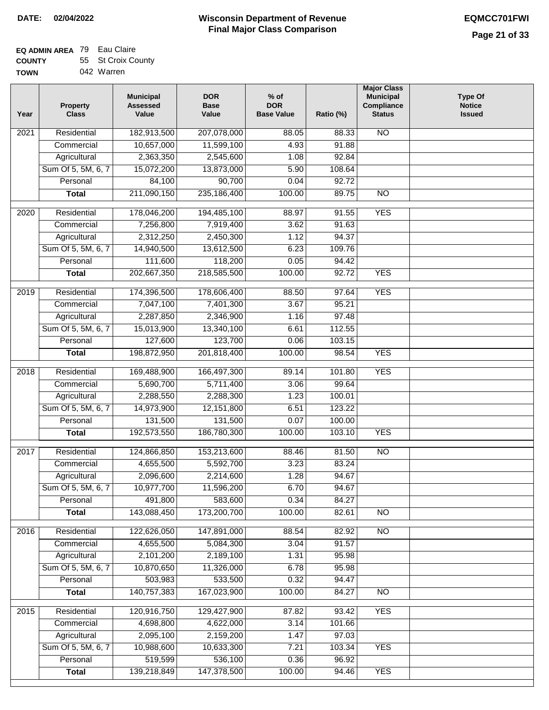| Residential<br>182,913,500<br><b>NO</b><br>$\overline{202}1$<br>207,078,000<br>88.05<br>88.33<br>10,657,000<br>11,599,100<br>4.93<br>Commercial<br>91.88<br>Agricultural<br>2,363,350<br>2,545,600<br>92.84<br>1.08 |  |
|---------------------------------------------------------------------------------------------------------------------------------------------------------------------------------------------------------------------|--|
|                                                                                                                                                                                                                     |  |
|                                                                                                                                                                                                                     |  |
|                                                                                                                                                                                                                     |  |
| Sum Of 5, 5M, 6, 7<br>15,072,200<br>13,873,000<br>5.90<br>108.64                                                                                                                                                    |  |
| 90,700<br>92.72<br>Personal<br>84,100<br>0.04                                                                                                                                                                       |  |
| 211,090,150<br>235,186,400<br>100.00<br>89.75<br><b>Total</b><br><b>NO</b>                                                                                                                                          |  |
| <b>YES</b><br>$\overline{2020}$<br>Residential<br>178,046,200<br>194,485,100<br>88.97<br>91.55                                                                                                                      |  |
| 7,256,800<br>7,919,400<br>3.62<br>91.63<br>Commercial                                                                                                                                                               |  |
| 94.37<br>2,312,250<br>2,450,300<br>1.12<br>Agricultural                                                                                                                                                             |  |
| Sum Of 5, 5M, 6, 7<br>14,940,500<br>13,612,500<br>6.23<br>109.76                                                                                                                                                    |  |
| 118,200<br>Personal<br>111,600<br>0.05<br>94.42                                                                                                                                                                     |  |
| 202,667,350<br>218,585,500<br>100.00<br>92.72<br><b>YES</b><br><b>Total</b>                                                                                                                                         |  |
|                                                                                                                                                                                                                     |  |
| <b>YES</b><br>2019<br>Residential<br>174,396,500<br>178,606,400<br>88.50<br>97.64                                                                                                                                   |  |
| 7,047,100<br>7,401,300<br>3.67<br>95.21<br>Commercial                                                                                                                                                               |  |
| 97.48<br>2,287,850<br>2,346,900<br>1.16<br>Agricultural                                                                                                                                                             |  |
| 112.55<br>Sum Of 5, 5M, 6, 7<br>15,013,900<br>13,340,100<br>6.61                                                                                                                                                    |  |
| 127,600<br>123,700<br>Personal<br>0.06<br>103.15                                                                                                                                                                    |  |
| 198,872,950<br>201,818,400<br>100.00<br><b>YES</b><br><b>Total</b><br>98.54                                                                                                                                         |  |
| Residential<br>169,488,900<br>166,497,300<br><b>YES</b><br>2018<br>89.14<br>101.80                                                                                                                                  |  |
| Commercial<br>5,690,700<br>5,711,400<br>3.06<br>99.64                                                                                                                                                               |  |
| 2,288,550<br>2,288,300<br>100.01<br>Agricultural<br>1.23                                                                                                                                                            |  |
| Sum Of 5, 5M, 6, 7<br>14,973,900<br>12,151,800<br>123.22<br>6.51                                                                                                                                                    |  |
| Personal<br>131,500<br>131,500<br>0.07<br>100.00                                                                                                                                                                    |  |
| 192,573,550<br>186,780,300<br>100.00<br>103.10<br><b>YES</b><br><b>Total</b>                                                                                                                                        |  |
| $\overline{2017}$<br>Residential<br>153,213,600<br>$\overline{NO}$<br>124,866,850<br>88.46<br>81.50                                                                                                                 |  |
| Commercial<br>4,655,500<br>5,592,700<br>3.23<br>83.24                                                                                                                                                               |  |
| 2,214,600<br>2,096,600<br>1.28<br>94.67<br>Agricultural                                                                                                                                                             |  |
| Sum Of 5, 5M, 6, 7<br>10,977,700<br>11,596,200<br>6.70<br>94.67                                                                                                                                                     |  |
| 491,800<br>0.34<br>Personal<br>583,600<br>84.27                                                                                                                                                                     |  |
| 143,088,450<br>173,200,700<br>100.00<br><b>Total</b><br>82.61<br><b>NO</b>                                                                                                                                          |  |
|                                                                                                                                                                                                                     |  |
| Residential<br>122,626,050<br>147,891,000<br>N <sub>O</sub><br>2016<br>88.54<br>82.92                                                                                                                               |  |
| 4,655,500<br>5,084,300<br>3.04<br>91.57<br>Commercial                                                                                                                                                               |  |
| 2,101,200<br>2,189,100<br>1.31<br>95.98<br>Agricultural                                                                                                                                                             |  |
| Sum Of 5, 5M, 6, 7<br>10,870,650<br>6.78<br>11,326,000<br>95.98                                                                                                                                                     |  |
| Personal<br>503,983<br>533,500<br>0.32<br>94.47                                                                                                                                                                     |  |
| 140,757,383<br>167,023,900<br>100.00<br>84.27<br>$\overline{NO}$<br><b>Total</b>                                                                                                                                    |  |
| <b>YES</b><br>Residential<br>120,916,750<br>129,427,900<br>87.82<br>93.42<br>2015                                                                                                                                   |  |
| 4,698,800<br>4,622,000<br>3.14<br>101.66<br>Commercial                                                                                                                                                              |  |
| 2,095,100<br>2,159,200<br>97.03<br>Agricultural<br>1.47                                                                                                                                                             |  |
| Sum Of 5, 5M, 6, 7<br>10,988,600<br>10,633,300<br>7.21<br>103.34<br><b>YES</b>                                                                                                                                      |  |
| 519,599<br>536,100<br>Personal<br>0.36<br>96.92                                                                                                                                                                     |  |
| 147,378,500<br>139,218,849<br>100.00<br>94.46<br><b>YES</b><br><b>Total</b>                                                                                                                                         |  |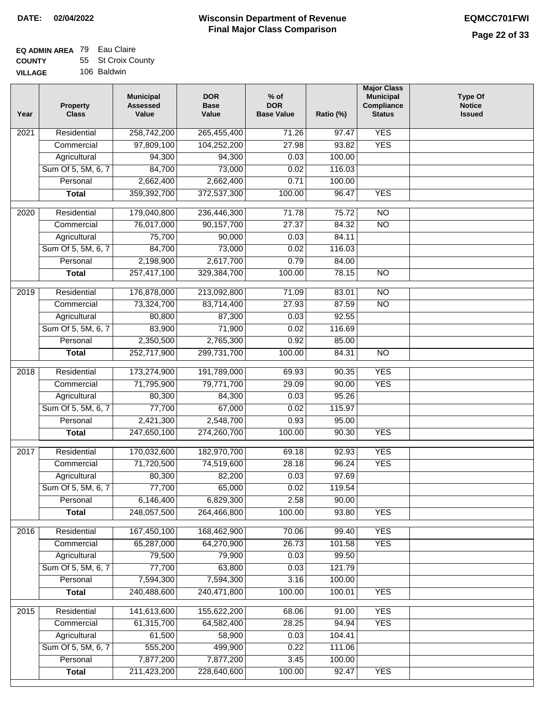|  | 106 Baldwin |
|--|-------------|
|  |             |

| Year              | <b>Property</b><br><b>Class</b> | <b>Municipal</b><br><b>Assessed</b><br>Value | <b>DOR</b><br><b>Base</b><br>Value | % of<br><b>DOR</b><br><b>Base Value</b> | Ratio (%) | <b>Major Class</b><br><b>Municipal</b><br>Compliance<br><b>Status</b> | <b>Type Of</b><br><b>Notice</b><br><b>Issued</b> |
|-------------------|---------------------------------|----------------------------------------------|------------------------------------|-----------------------------------------|-----------|-----------------------------------------------------------------------|--------------------------------------------------|
| $\overline{202}1$ | Residential                     | 258,742,200                                  | 265,455,400                        | 71.26                                   | 97.47     | <b>YES</b>                                                            |                                                  |
|                   | Commercial                      | 97,809,100                                   | 104,252,200                        | 27.98                                   | 93.82     | <b>YES</b>                                                            |                                                  |
|                   | Agricultural                    | 94,300                                       | 94,300                             | 0.03                                    | 100.00    |                                                                       |                                                  |
|                   | Sum Of 5, 5M, 6, 7              | 84,700                                       | 73,000                             | 0.02                                    | 116.03    |                                                                       |                                                  |
|                   | Personal                        | 2,662,400                                    | 2,662,400                          | 0.71                                    | 100.00    |                                                                       |                                                  |
|                   | <b>Total</b>                    | 359,392,700                                  | 372,537,300                        | 100.00                                  | 96.47     | <b>YES</b>                                                            |                                                  |
| $\overline{2020}$ | Residential                     | 179,040,800                                  | 236,446,300                        | 71.78                                   | 75.72     | $\overline{NO}$                                                       |                                                  |
|                   | Commercial                      | 76,017,000                                   | 90,157,700                         | 27.37                                   | 84.32     | $\overline{NO}$                                                       |                                                  |
|                   | Agricultural                    | 75,700                                       | 90,000                             | 0.03                                    | 84.11     |                                                                       |                                                  |
|                   | Sum Of 5, 5M, 6, 7              | 84,700                                       | 73,000                             | 0.02                                    | 116.03    |                                                                       |                                                  |
|                   | Personal                        | 2,198,900                                    | 2,617,700                          | 0.79                                    | 84.00     |                                                                       |                                                  |
|                   | <b>Total</b>                    | 257,417,100                                  | 329,384,700                        | 100.00                                  | 78.15     | $\overline{NO}$                                                       |                                                  |
| 2019              | Residential                     | 176,878,000                                  |                                    | 71.09                                   | 83.01     | $\overline{10}$                                                       |                                                  |
|                   | Commercial                      | 73,324,700                                   | 213,092,800<br>83,714,400          | 27.93                                   | 87.59     | $\overline{NO}$                                                       |                                                  |
|                   | Agricultural                    | 80,800                                       | 87,300                             | 0.03                                    | 92.55     |                                                                       |                                                  |
|                   | Sum Of 5, 5M, 6, 7              | 83,900                                       | 71,900                             | 0.02                                    | 116.69    |                                                                       |                                                  |
|                   | Personal                        | 2,350,500                                    | 2,765,300                          | 0.92                                    | 85.00     |                                                                       |                                                  |
|                   | <b>Total</b>                    | 252,717,900                                  | 299,731,700                        | 100.00                                  | 84.31     | $\overline{NO}$                                                       |                                                  |
|                   |                                 |                                              |                                    |                                         |           |                                                                       |                                                  |
| 2018              | Residential                     | 173,274,900                                  | 191,789,000                        | 69.93                                   | 90.35     | <b>YES</b>                                                            |                                                  |
|                   | Commercial                      | 71,795,900                                   | 79,771,700                         | 29.09                                   | 90.00     | <b>YES</b>                                                            |                                                  |
|                   | Agricultural                    | 80,300                                       | 84,300                             | 0.03                                    | 95.26     |                                                                       |                                                  |
|                   | Sum Of 5, 5M, 6, 7              | 77,700                                       | 67,000                             | 0.02                                    | 115.97    |                                                                       |                                                  |
|                   | Personal                        | 2,421,300                                    | 2,548,700                          | 0.93                                    | 95.00     |                                                                       |                                                  |
|                   | <b>Total</b>                    | 247,650,100                                  | 274,260,700                        | 100.00                                  | 90.30     | <b>YES</b>                                                            |                                                  |
| $\overline{2017}$ | Residential                     | 170,032,600                                  | 182,970,700                        | 69.18                                   | 92.93     | <b>YES</b>                                                            |                                                  |
|                   | Commercial                      | 71,720,500                                   | 74,519,600                         | 28.18                                   | 96.24     | <b>YES</b>                                                            |                                                  |
|                   | Agricultural                    | 80,300                                       | 82,200                             | 0.03                                    | 97.69     |                                                                       |                                                  |
|                   | Sum Of 5, 5M, 6, 7              | 77,700                                       | 65,000                             | 0.02                                    | 119.54    |                                                                       |                                                  |
|                   | Personal                        | 6,146,400                                    | 6,829,300                          | 2.58                                    | 90.00     |                                                                       |                                                  |
|                   | <b>Total</b>                    | 248,057,500                                  | 264,466,800                        | 100.00                                  | 93.80     | <b>YES</b>                                                            |                                                  |
| 2016              | Residential                     | 167,450,100                                  | 168,462,900                        | 70.06                                   | 99.40     | <b>YES</b>                                                            |                                                  |
|                   | Commercial                      | 65,287,000                                   | 64,270,900                         | 26.73                                   | 101.58    | <b>YES</b>                                                            |                                                  |
|                   | Agricultural                    | 79,500                                       | 79,900                             | 0.03                                    | 99.50     |                                                                       |                                                  |
|                   | Sum Of 5, 5M, 6, 7              | 77,700                                       | 63,800                             | 0.03                                    | 121.79    |                                                                       |                                                  |
|                   | Personal                        | 7,594,300                                    | 7,594,300                          | 3.16                                    | 100.00    |                                                                       |                                                  |
|                   | <b>Total</b>                    | 240,488,600                                  | 240,471,800                        | 100.00                                  | 100.01    | <b>YES</b>                                                            |                                                  |
| 2015              | Residential                     | 141,613,600                                  | 155,622,200                        | 68.06                                   | 91.00     | <b>YES</b>                                                            |                                                  |
|                   | Commercial                      | 61,315,700                                   | 64,582,400                         | 28.25                                   | 94.94     | <b>YES</b>                                                            |                                                  |
|                   | Agricultural                    | 61,500                                       | 58,900                             | 0.03                                    | 104.41    |                                                                       |                                                  |
|                   | Sum Of 5, 5M, 6, 7              | 555,200                                      | 499,900                            | 0.22                                    | 111.06    |                                                                       |                                                  |
|                   | Personal                        | 7,877,200                                    | 7,877,200                          | 3.45                                    | 100.00    |                                                                       |                                                  |
|                   | <b>Total</b>                    | 211,423,200                                  | 228,640,600                        | 100.00                                  | 92.47     | <b>YES</b>                                                            |                                                  |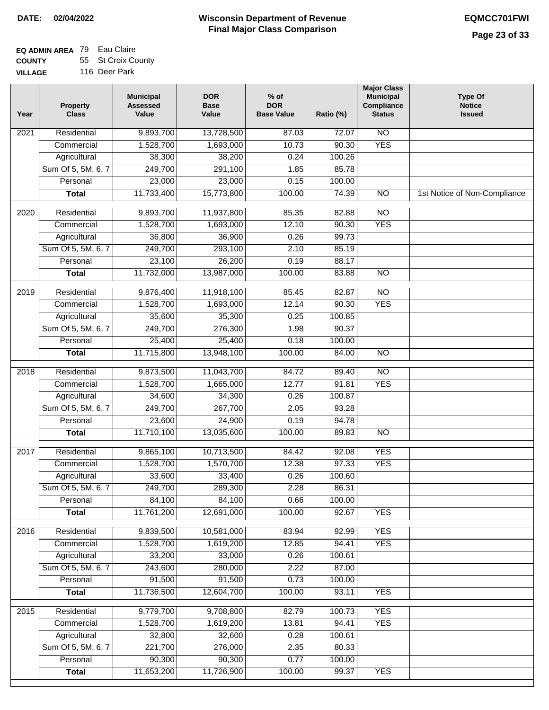#### **Wisconsin Department of Revenue Final Major Class Comparison DATE: 02/04/2022 EQMCC701FWI**

#### **EQ ADMIN AREA** 79 Eau Claire **COUNTY** 55 St Croix County

**VILLAGE** 116 Deer Park

| Year             | <b>Property</b><br><b>Class</b>    | <b>Municipal</b><br><b>Assessed</b><br>Value | <b>DOR</b><br><b>Base</b><br>Value | $%$ of<br><b>DOR</b><br><b>Base Value</b> | Ratio (%) | <b>Major Class</b><br><b>Municipal</b><br>Compliance<br><b>Status</b> | <b>Type Of</b><br><b>Notice</b><br><b>Issued</b> |
|------------------|------------------------------------|----------------------------------------------|------------------------------------|-------------------------------------------|-----------|-----------------------------------------------------------------------|--------------------------------------------------|
| 2021             | Residential                        | 9,893,700                                    | 13,728,500                         | 87.03                                     | 72.07     | $\overline{NO}$                                                       |                                                  |
|                  | Commercial                         | 1,528,700                                    | 1,693,000                          | 10.73                                     | 90.30     | <b>YES</b>                                                            |                                                  |
|                  | Agricultural                       | 38,300                                       | 38,200                             | 0.24                                      | 100.26    |                                                                       |                                                  |
|                  | Sum Of 5, 5M, 6, 7                 | 249,700                                      | 291,100                            | 1.85                                      | 85.78     |                                                                       |                                                  |
|                  | Personal                           | 23,000                                       | 23,000                             | 0.15                                      | 100.00    |                                                                       |                                                  |
|                  | <b>Total</b>                       | 11,733,400                                   | 15,773,800                         | 100.00                                    | 74.39     | $\overline{NO}$                                                       | 1st Notice of Non-Compliance                     |
| $\frac{1}{2020}$ | Residential                        | 9,893,700                                    | 11,937,800                         | 85.35                                     | 82.88     | NO                                                                    |                                                  |
|                  | Commercial                         | 1,528,700                                    | 1,693,000                          | 12.10                                     | 90.30     | <b>YES</b>                                                            |                                                  |
|                  | Agricultural                       | 36,800                                       | 36,900                             | 0.26                                      | 99.73     |                                                                       |                                                  |
|                  | Sum Of 5, 5M, 6, 7                 | 249,700                                      | 293,100                            | 2.10                                      | 85.19     |                                                                       |                                                  |
|                  | Personal                           | 23,100                                       | 26,200                             | 0.19                                      | 88.17     |                                                                       |                                                  |
|                  | <b>Total</b>                       | 11,732,000                                   | 13,987,000                         | 100.00                                    | 83.88     | <b>NO</b>                                                             |                                                  |
|                  |                                    |                                              |                                    |                                           |           |                                                                       |                                                  |
| 2019             | Residential                        | 9,876,400                                    | 11,918,100                         | 85.45                                     | 82.87     | $\overline{NO}$                                                       |                                                  |
|                  | Commercial                         | 1,528,700                                    | 1,693,000                          | 12.14                                     | 90.30     | <b>YES</b>                                                            |                                                  |
|                  | Agricultural                       | 35,600                                       | 35,300                             | 0.25                                      | 100.85    |                                                                       |                                                  |
|                  | Sum Of 5, 5M, 6, 7                 | 249,700                                      | 276,300                            | 1.98                                      | 90.37     |                                                                       |                                                  |
|                  | Personal                           | 25,400                                       | 25,400                             | 0.18                                      | 100.00    |                                                                       |                                                  |
|                  | <b>Total</b>                       | 11,715,800                                   | 13,948,100                         | 100.00                                    | 84.00     | $\overline{NO}$                                                       |                                                  |
| 2018             | Residential                        | 9,873,500                                    | 11,043,700                         | 84.72                                     | 89.40     | $\overline{NO}$                                                       |                                                  |
|                  | Commercial                         | 1,528,700                                    | 1,665,000                          | 12.77                                     | 91.81     | <b>YES</b>                                                            |                                                  |
|                  | Agricultural                       | 34,600                                       | 34,300                             | 0.26                                      | 100.87    |                                                                       |                                                  |
|                  | Sum Of 5, 5M, 6, 7                 | 249,700                                      | 267,700                            | 2.05                                      | 93.28     |                                                                       |                                                  |
|                  | Personal                           | 23,600                                       | 24,900                             | 0.19                                      | 94.78     |                                                                       |                                                  |
|                  | <b>Total</b>                       | 11,710,100                                   | 13,035,600                         | 100.00                                    | 89.83     | $\overline{NO}$                                                       |                                                  |
| 2017             | Residential                        | 9,865,100                                    | 10,713,500                         | 84.42                                     | 92.08     | <b>YES</b>                                                            |                                                  |
|                  | Commercial                         | 1,528,700                                    | 1,570,700                          | 12.38                                     | 97.33     | <b>YES</b>                                                            |                                                  |
|                  | Agricultural                       | 33,600                                       | 33,400                             | 0.26                                      | 100.60    |                                                                       |                                                  |
|                  | Sum Of 5, 5M, 6, 7                 | 249,700                                      | 289,300                            | 2.28                                      | 86.31     |                                                                       |                                                  |
|                  | Personal                           | 84,100                                       | 84,100                             | 0.66                                      | 100.00    |                                                                       |                                                  |
|                  | <b>Total</b>                       | 11,761,200                                   | 12,691,000                         | 100.00                                    | 92.67     | <b>YES</b>                                                            |                                                  |
|                  | Residential                        |                                              |                                    | 83.94                                     | 92.99     | <b>YES</b>                                                            |                                                  |
| 2016             | Commercial                         | 9,839,500<br>1,528,700                       | 10,581,000<br>1,619,200            | 12.85                                     | 94.41     | <b>YES</b>                                                            |                                                  |
|                  |                                    | 33,200                                       | 33,000                             | 0.26                                      | 100.61    |                                                                       |                                                  |
|                  | Agricultural<br>Sum Of 5, 5M, 6, 7 | 243,600                                      | 280,000                            | 2.22                                      | 87.00     |                                                                       |                                                  |
|                  | Personal                           | 91,500                                       | 91,500                             | 0.73                                      | 100.00    |                                                                       |                                                  |
|                  | <b>Total</b>                       | 11,736,500                                   | 12,604,700                         | 100.00                                    | 93.11     | <b>YES</b>                                                            |                                                  |
|                  |                                    |                                              |                                    |                                           |           |                                                                       |                                                  |
| 2015             | Residential                        | 9,779,700                                    | 9,708,800                          | 82.79                                     | 100.73    | <b>YES</b>                                                            |                                                  |
|                  | Commercial                         | 1,528,700                                    | 1,619,200                          | 13.81                                     | 94.41     | <b>YES</b>                                                            |                                                  |
|                  | Agricultural                       | 32,800                                       | 32,600                             | 0.28                                      | 100.61    |                                                                       |                                                  |
|                  | Sum Of 5, 5M, 6, 7                 | 221,700                                      | 276,000                            | 2.35                                      | 80.33     |                                                                       |                                                  |
|                  | Personal                           | 90,300                                       | 90,300                             | 0.77                                      | 100.00    |                                                                       |                                                  |
|                  | <b>Total</b>                       | 11,653,200                                   | 11,726,900                         | 100.00                                    | 99.37     | <b>YES</b>                                                            |                                                  |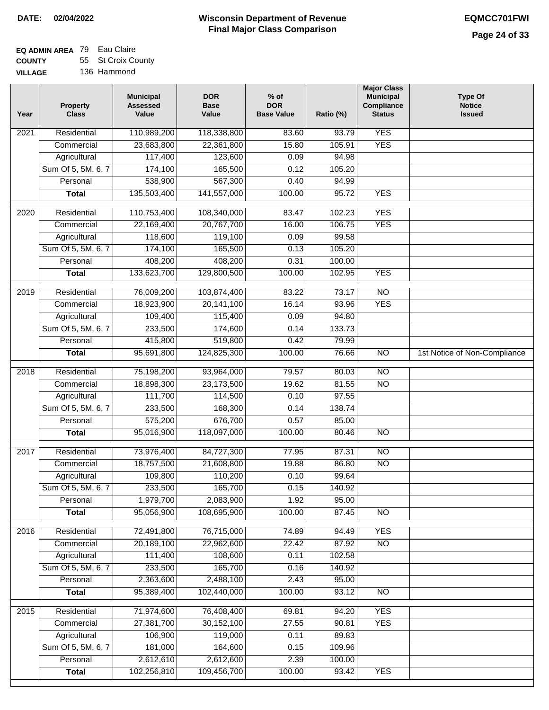#### **EQ ADMIN AREA** 79 Eau Claire **COUNTY** 55 St Croix County

**VILLAGE** 136 Hammond

| Year              | <b>Property</b><br><b>Class</b> | <b>Municipal</b><br><b>Assessed</b><br>Value | <b>DOR</b><br><b>Base</b><br>Value | $%$ of<br><b>DOR</b><br><b>Base Value</b> | Ratio (%)      | <b>Major Class</b><br><b>Municipal</b><br>Compliance<br><b>Status</b> | <b>Type Of</b><br><b>Notice</b><br><b>Issued</b> |
|-------------------|---------------------------------|----------------------------------------------|------------------------------------|-------------------------------------------|----------------|-----------------------------------------------------------------------|--------------------------------------------------|
| $\overline{202}1$ | Residential                     | 110,989,200                                  | 118,338,800                        | 83.60                                     | 93.79          | <b>YES</b>                                                            |                                                  |
|                   | Commercial                      | 23,683,800                                   | 22,361,800                         | 15.80                                     | 105.91         | <b>YES</b>                                                            |                                                  |
|                   | Agricultural                    | 117,400                                      | 123,600                            | 0.09                                      | 94.98          |                                                                       |                                                  |
|                   | Sum Of 5, 5M, 6, 7              | 174,100                                      | 165,500                            | 0.12                                      | 105.20         |                                                                       |                                                  |
|                   | Personal                        | 538,900                                      | 567,300                            | 0.40                                      | 94.99          |                                                                       |                                                  |
|                   | <b>Total</b>                    | 135,503,400                                  | 141,557,000                        | 100.00                                    | 95.72          | <b>YES</b>                                                            |                                                  |
| 2020              | Residential                     | 110,753,400                                  | 108,340,000                        | 83.47                                     | 102.23         | <b>YES</b>                                                            |                                                  |
|                   | Commercial                      | 22,169,400                                   | 20,767,700                         | 16.00                                     | 106.75         | <b>YES</b>                                                            |                                                  |
|                   | Agricultural                    | 118,600                                      | 119,100                            | 0.09                                      | 99.58          |                                                                       |                                                  |
|                   | Sum Of 5, 5M, 6, 7              | 174,100                                      | 165,500                            | 0.13                                      | 105.20         |                                                                       |                                                  |
|                   | Personal                        | 408,200                                      | 408,200                            | 0.31                                      | 100.00         |                                                                       |                                                  |
|                   | <b>Total</b>                    | 133,623,700                                  | 129,800,500                        | 100.00                                    | 102.95         | <b>YES</b>                                                            |                                                  |
|                   |                                 |                                              |                                    |                                           |                |                                                                       |                                                  |
| 2019              | Residential                     | 76,009,200                                   | 103,874,400                        | 83.22                                     | 73.17          | $\overline{10}$                                                       |                                                  |
|                   | Commercial                      | 18,923,900                                   | 20,141,100                         | 16.14                                     | 93.96          | <b>YES</b>                                                            |                                                  |
|                   | Agricultural                    | 109,400                                      | 115,400                            | 0.09                                      | 94.80          |                                                                       |                                                  |
|                   | Sum Of 5, 5M, 6, 7              | 233,500                                      | 174,600                            | 0.14                                      | 133.73         |                                                                       |                                                  |
|                   | Personal                        | 415,800                                      | 519,800                            | 0.42                                      | 79.99          |                                                                       |                                                  |
|                   | <b>Total</b>                    | 95,691,800                                   | 124,825,300                        | 100.00                                    | 76.66          | $\overline{NO}$                                                       | 1st Notice of Non-Compliance                     |
| 2018              | Residential                     | 75,198,200                                   | 93,964,000                         | 79.57                                     | 80.03          | $\overline{10}$                                                       |                                                  |
|                   | Commercial                      | 18,898,300                                   | 23,173,500                         | 19.62                                     | 81.55          | <b>NO</b>                                                             |                                                  |
|                   | Agricultural                    | 111,700                                      | 114,500                            | 0.10                                      | 97.55          |                                                                       |                                                  |
|                   | Sum Of 5, 5M, 6, 7              | 233,500                                      | 168,300                            | 0.14                                      | 138.74         |                                                                       |                                                  |
|                   | Personal                        | 575,200                                      | 676,700                            | 0.57                                      | 85.00          |                                                                       |                                                  |
|                   | <b>Total</b>                    | 95,016,900                                   | 118,097,000                        | 100.00                                    | 80.46          | <b>NO</b>                                                             |                                                  |
| 2017              | Residential                     | 73,976,400                                   | 84,727,300                         | 77.95                                     | 87.31          | N <sub>O</sub>                                                        |                                                  |
|                   | Commercial                      | 18,757,500                                   | 21,608,800                         | 19.88                                     | 86.80          | $\overline{N}$                                                        |                                                  |
|                   | Agricultural                    | 109,800                                      | 110,200                            | 0.10                                      | 99.64          |                                                                       |                                                  |
|                   | Sum Of 5, 5M, 6, 7              | 233,500                                      | 165,700                            | 0.15                                      | 140.92         |                                                                       |                                                  |
|                   | Personal                        | 1,979,700                                    | 2,083,900                          | 1.92                                      | 95.00          |                                                                       |                                                  |
|                   | <b>Total</b>                    | 95,056,900                                   | 108,695,900                        | 100.00                                    | 87.45          | <b>NO</b>                                                             |                                                  |
| 2016              | Residential                     |                                              |                                    |                                           |                | <b>YES</b>                                                            |                                                  |
|                   | Commercial                      | 72,491,800<br>20,189,100                     | 76,715,000<br>22,962,600           | 74.89<br>22.42                            | 94.49<br>87.92 | $\overline{NO}$                                                       |                                                  |
|                   | Agricultural                    | 111,400                                      | 108,600                            | 0.11                                      | 102.58         |                                                                       |                                                  |
|                   | Sum Of 5, 5M, 6, 7              | 233,500                                      | 165,700                            | 0.16                                      | 140.92         |                                                                       |                                                  |
|                   | Personal                        | 2,363,600                                    | 2,488,100                          | 2.43                                      | 95.00          |                                                                       |                                                  |
|                   | <b>Total</b>                    | 95,389,400                                   | 102,440,000                        | 100.00                                    | 93.12          | N <sub>O</sub>                                                        |                                                  |
|                   |                                 |                                              |                                    |                                           |                |                                                                       |                                                  |
| 2015              | Residential                     | 71,974,600                                   | 76,408,400                         | 69.81                                     | 94.20          | <b>YES</b>                                                            |                                                  |
|                   | Commercial                      | 27,381,700                                   | 30,152,100                         | 27.55                                     | 90.81          | <b>YES</b>                                                            |                                                  |
|                   | Agricultural                    | 106,900                                      | 119,000                            | 0.11                                      | 89.83          |                                                                       |                                                  |
|                   | Sum Of 5, 5M, 6, 7              | 181,000                                      | 164,600                            | 0.15                                      | 109.96         |                                                                       |                                                  |
|                   | Personal                        | 2,612,610                                    | 2,612,600                          | 2.39                                      | 100.00         |                                                                       |                                                  |
|                   | <b>Total</b>                    | 102,256,810                                  | 109,456,700                        | 100.00                                    | 93.42          | <b>YES</b>                                                            |                                                  |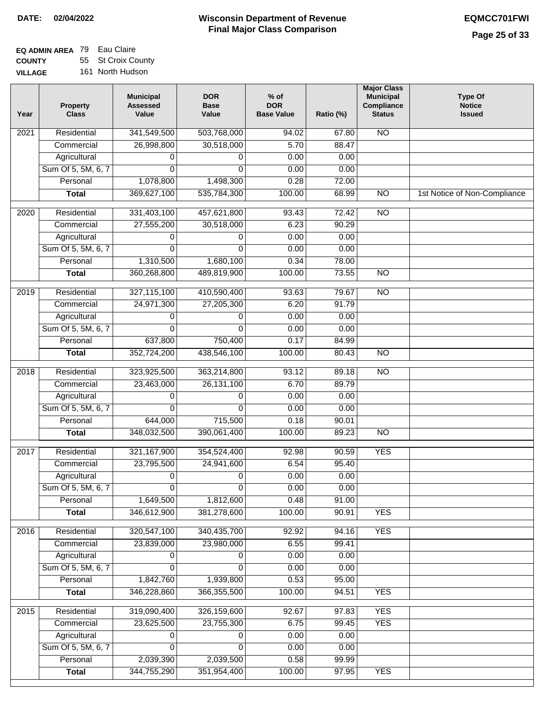### **EQ ADMIN AREA** 79 Eau Claire **COUNTY** 55 St Croix County

**VILLAGE** 161 North Hudson

| Year | <b>Property</b><br><b>Class</b> | <b>Municipal</b><br><b>Assessed</b><br>Value | <b>DOR</b><br><b>Base</b><br>Value | $%$ of<br><b>DOR</b><br><b>Base Value</b> | Ratio (%) | <b>Major Class</b><br><b>Municipal</b><br>Compliance<br><b>Status</b> | <b>Type Of</b><br><b>Notice</b><br><b>Issued</b> |
|------|---------------------------------|----------------------------------------------|------------------------------------|-------------------------------------------|-----------|-----------------------------------------------------------------------|--------------------------------------------------|
| 2021 | Residential                     | 341,549,500                                  | 503,768,000                        | 94.02                                     | 67.80     | $\overline{NO}$                                                       |                                                  |
|      | Commercial                      | 26,998,800                                   | 30,518,000                         | 5.70                                      | 88.47     |                                                                       |                                                  |
|      | Agricultural                    | 0                                            | 0                                  | 0.00                                      | 0.00      |                                                                       |                                                  |
|      | Sum Of 5, 5M, 6, 7              | $\Omega$                                     | $\Omega$                           | 0.00                                      | 0.00      |                                                                       |                                                  |
|      | Personal                        | 1,078,800                                    | 1,498,300                          | 0.28                                      | 72.00     |                                                                       |                                                  |
|      | <b>Total</b>                    | 369,627,100                                  | 535,784,300                        | 100.00                                    | 68.99     | $\overline{NO}$                                                       | 1st Notice of Non-Compliance                     |
| 2020 | Residential                     | 331,403,100                                  | 457,621,800                        | 93.43                                     | 72.42     | $\overline{NO}$                                                       |                                                  |
|      | Commercial                      | 27,555,200                                   | 30,518,000                         | 6.23                                      | 90.29     |                                                                       |                                                  |
|      | Agricultural                    | 0                                            | 0                                  | 0.00                                      | 0.00      |                                                                       |                                                  |
|      | Sum Of 5, 5M, 6, 7              | $\Omega$                                     | 0                                  | 0.00                                      | 0.00      |                                                                       |                                                  |
|      | Personal                        | 1,310,500                                    | 1,680,100                          | 0.34                                      | 78.00     |                                                                       |                                                  |
|      | <b>Total</b>                    | 360,268,800                                  | 489,819,900                        | 100.00                                    | 73.55     | $\overline{NO}$                                                       |                                                  |
| 2019 | Residential                     | 327,115,100                                  | 410,590,400                        | 93.63                                     | 79.67     | $\overline{NO}$                                                       |                                                  |
|      | Commercial                      | 24,971,300                                   | 27,205,300                         | 6.20                                      | 91.79     |                                                                       |                                                  |
|      | Agricultural                    | 0                                            | 0                                  | 0.00                                      | 0.00      |                                                                       |                                                  |
|      | Sum Of 5, 5M, 6, 7              | 0                                            | $\Omega$                           | 0.00                                      | 0.00      |                                                                       |                                                  |
|      | Personal                        | 637,800                                      | 750,400                            | 0.17                                      | 84.99     |                                                                       |                                                  |
|      | <b>Total</b>                    | 352,724,200                                  | 438,546,100                        | 100.00                                    | 80.43     | $\overline{NO}$                                                       |                                                  |
|      |                                 |                                              |                                    |                                           |           |                                                                       |                                                  |
| 2018 | Residential                     | 323,925,500                                  | 363,214,800                        | 93.12                                     | 89.18     | $\overline{NO}$                                                       |                                                  |
|      | Commercial                      | 23,463,000                                   | 26, 131, 100                       | 6.70                                      | 89.79     |                                                                       |                                                  |
|      | Agricultural                    | 0                                            | 0                                  | 0.00                                      | 0.00      |                                                                       |                                                  |
|      | Sum Of 5, 5M, 6, 7              | 0                                            | $\mathbf 0$                        | 0.00                                      | 0.00      |                                                                       |                                                  |
|      | Personal                        | 644,000                                      | 715,500                            | 0.18                                      | 90.01     |                                                                       |                                                  |
|      | <b>Total</b>                    | 348,032,500                                  | 390,061,400                        | 100.00                                    | 89.23     | $\overline{NO}$                                                       |                                                  |
| 2017 | Residential                     | 321, 167, 900                                | 354,524,400                        | 92.98                                     | 90.59     | <b>YES</b>                                                            |                                                  |
|      | Commercial                      | 23,795,500                                   | 24,941,600                         | 6.54                                      | 95.40     |                                                                       |                                                  |
|      | Agricultural                    | 0                                            | 0                                  | 0.00                                      | 0.00      |                                                                       |                                                  |
|      | Sum Of 5, 5M, 6, 7              | $\overline{0}$                               | $\overline{0}$                     | 0.00                                      | 0.00      |                                                                       |                                                  |
|      | Personal                        | 1,649,500                                    | 1,812,600                          | 0.48                                      | 91.00     |                                                                       |                                                  |
|      | <b>Total</b>                    | 346,612,900                                  | 381,278,600                        | 100.00                                    | 90.91     | <b>YES</b>                                                            |                                                  |
| 2016 | Residential                     | 320,547,100                                  | 340,435,700                        | 92.92                                     | 94.16     | <b>YES</b>                                                            |                                                  |
|      | Commercial                      | 23,839,000                                   | 23,980,000                         | 6.55                                      | 99.41     |                                                                       |                                                  |
|      | Agricultural                    | 0                                            | 0                                  | 0.00                                      | 0.00      |                                                                       |                                                  |
|      | Sum Of 5, 5M, 6, 7              | $\Omega$                                     | $\Omega$                           | 0.00                                      | 0.00      |                                                                       |                                                  |
|      | Personal                        | 1,842,760                                    | 1,939,800                          | 0.53                                      | 95.00     |                                                                       |                                                  |
|      | <b>Total</b>                    | 346,228,860                                  | 366, 355, 500                      | 100.00                                    | 94.51     | <b>YES</b>                                                            |                                                  |
| 2015 | Residential                     | 319,090,400                                  | 326,159,600                        | 92.67                                     | 97.83     | <b>YES</b>                                                            |                                                  |
|      | Commercial                      | 23,625,500                                   | 23,755,300                         | 6.75                                      | 99.45     | <b>YES</b>                                                            |                                                  |
|      | Agricultural                    | 0                                            | 0                                  | 0.00                                      | 0.00      |                                                                       |                                                  |
|      | Sum Of 5, 5M, 6, 7              | 0                                            | $\mathbf 0$                        | 0.00                                      | 0.00      |                                                                       |                                                  |
|      | Personal                        | 2,039,390                                    | 2,039,500                          | 0.58                                      | 99.99     |                                                                       |                                                  |
|      | <b>Total</b>                    | 344,755,290                                  | 351,954,400                        | 100.00                                    | 97.95     | <b>YES</b>                                                            |                                                  |
|      |                                 |                                              |                                    |                                           |           |                                                                       |                                                  |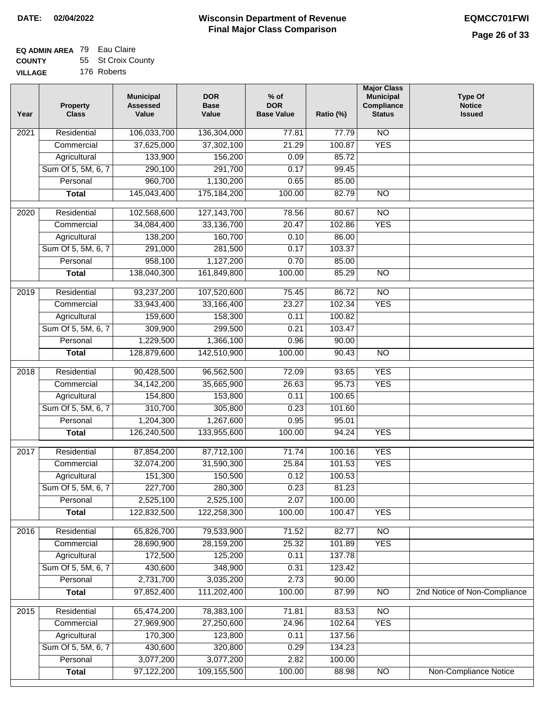| <b>VILLAGE</b> | 176 Roberts |
|----------------|-------------|

| Year | <b>Property</b><br><b>Class</b> | <b>Municipal</b><br><b>Assessed</b><br>Value | <b>DOR</b><br><b>Base</b><br>Value | $%$ of<br><b>DOR</b><br><b>Base Value</b> | Ratio (%) | <b>Major Class</b><br><b>Municipal</b><br>Compliance<br><b>Status</b> | <b>Type Of</b><br><b>Notice</b><br><b>Issued</b> |
|------|---------------------------------|----------------------------------------------|------------------------------------|-------------------------------------------|-----------|-----------------------------------------------------------------------|--------------------------------------------------|
| 2021 | Residential                     | 106,033,700                                  | 136,304,000                        | 77.81                                     | 77.79     | N <sub>O</sub>                                                        |                                                  |
|      | Commercial                      | 37,625,000                                   | 37,302,100                         | 21.29                                     | 100.87    | <b>YES</b>                                                            |                                                  |
|      | Agricultural                    | 133,900                                      | 156,200                            | 0.09                                      | 85.72     |                                                                       |                                                  |
|      | Sum Of 5, 5M, 6, 7              | 290,100                                      | 291,700                            | 0.17                                      | 99.45     |                                                                       |                                                  |
|      | Personal                        | 960,700                                      | 1,130,200                          | 0.65                                      | 85.00     |                                                                       |                                                  |
|      | <b>Total</b>                    | 145,043,400                                  | 175,184,200                        | 100.00                                    | 82.79     | N <sub>O</sub>                                                        |                                                  |
| 2020 | Residential                     | 102,568,600                                  | 127, 143, 700                      | 78.56                                     | 80.67     | $\overline{10}$                                                       |                                                  |
|      | Commercial                      | 34,084,400                                   | 33,136,700                         | 20.47                                     | 102.86    | <b>YES</b>                                                            |                                                  |
|      | Agricultural                    | 138,200                                      | 160,700                            | 0.10                                      | 86.00     |                                                                       |                                                  |
|      | Sum Of 5, 5M, 6, 7              | 291,000                                      | 281,500                            | 0.17                                      | 103.37    |                                                                       |                                                  |
|      | Personal                        | 958,100                                      | 1,127,200                          | 0.70                                      | 85.00     |                                                                       |                                                  |
|      | <b>Total</b>                    | 138,040,300                                  | 161,849,800                        | 100.00                                    | 85.29     | $\overline{NO}$                                                       |                                                  |
|      |                                 |                                              |                                    |                                           |           |                                                                       |                                                  |
| 2019 | Residential                     | 93,237,200                                   | 107,520,600                        | 75.45                                     | 86.72     | $\overline{10}$                                                       |                                                  |
|      | Commercial                      | 33,943,400                                   | 33,166,400                         | 23.27                                     | 102.34    | <b>YES</b>                                                            |                                                  |
|      | Agricultural                    | 159,600                                      | 158,300                            | 0.11                                      | 100.82    |                                                                       |                                                  |
|      | Sum Of 5, 5M, 6, 7              | 309,900                                      | 299,500                            | 0.21                                      | 103.47    |                                                                       |                                                  |
|      | Personal                        | 1,229,500                                    | 1,366,100                          | 0.96                                      | 90.00     |                                                                       |                                                  |
|      | <b>Total</b>                    | 128,879,600                                  | 142,510,900                        | 100.00                                    | 90.43     | $\overline{NO}$                                                       |                                                  |
| 2018 | Residential                     | 90,428,500                                   | 96,562,500                         | 72.09                                     | 93.65     | <b>YES</b>                                                            |                                                  |
|      | Commercial                      | 34, 142, 200                                 | 35,665,900                         | 26.63                                     | 95.73     | <b>YES</b>                                                            |                                                  |
|      | Agricultural                    | 154,800                                      | 153,800                            | 0.11                                      | 100.65    |                                                                       |                                                  |
|      | Sum Of 5, 5M, 6, 7              | 310,700                                      | 305,800                            | 0.23                                      | 101.60    |                                                                       |                                                  |
|      | Personal                        | 1,204,300                                    | 1,267,600                          | 0.95                                      | 95.01     |                                                                       |                                                  |
|      | <b>Total</b>                    | 126,240,500                                  | 133,955,600                        | 100.00                                    | 94.24     | <b>YES</b>                                                            |                                                  |
| 2017 | Residential                     | 87,854,200                                   | 87,712,100                         | 71.74                                     | 100.16    | <b>YES</b>                                                            |                                                  |
|      | Commercial                      | 32,074,200                                   | 31,590,300                         | 25.84                                     | 101.53    | <b>YES</b>                                                            |                                                  |
|      | Agricultural                    | 151,300                                      | 150,500                            | 0.12                                      | 100.53    |                                                                       |                                                  |
|      | Sum Of 5, 5M, 6, 7              | 227,700                                      | 280,300                            | 0.23                                      | 81.23     |                                                                       |                                                  |
|      | Personal                        | 2,525,100                                    | 2,525,100                          | 2.07                                      | 100.00    |                                                                       |                                                  |
|      | <b>Total</b>                    | 122,832,500                                  | 122,258,300                        | 100.00                                    | 100.47    | <b>YES</b>                                                            |                                                  |
| 2016 | Residential                     | 65,826,700                                   | 79,533,900                         | 71.52                                     | 82.77     | $\overline{NO}$                                                       |                                                  |
|      | Commercial                      | 28,690,900                                   | 28,159,200                         | 25.32                                     | 101.89    | <b>YES</b>                                                            |                                                  |
|      | Agricultural                    | 172,500                                      | 125,200                            | 0.11                                      | 137.78    |                                                                       |                                                  |
|      | Sum Of 5, 5M, 6, 7              | 430,600                                      | 348,900                            | 0.31                                      | 123.42    |                                                                       |                                                  |
|      | Personal                        | 2,731,700                                    | 3,035,200                          | 2.73                                      | 90.00     |                                                                       |                                                  |
|      | <b>Total</b>                    | 97,852,400                                   | 111,202,400                        | 100.00                                    | 87.99     | <b>NO</b>                                                             | 2nd Notice of Non-Compliance                     |
| 2015 | Residential                     | 65,474,200                                   | 78,383,100                         | 71.81                                     | 83.53     | $\overline{NO}$                                                       |                                                  |
|      | Commercial                      | 27,969,900                                   | 27,250,600                         | 24.96                                     | 102.64    | <b>YES</b>                                                            |                                                  |
|      | Agricultural                    | 170,300                                      | 123,800                            | 0.11                                      | 137.56    |                                                                       |                                                  |
|      | Sum Of 5, 5M, 6, 7              | 430,600                                      | 320,800                            | 0.29                                      | 134.23    |                                                                       |                                                  |
|      | Personal                        | 3,077,200                                    | 3,077,200                          | 2.82                                      | 100.00    |                                                                       |                                                  |
|      | <b>Total</b>                    | 97,122,200                                   | 109,155,500                        | 100.00                                    | 88.98     | $\overline{NO}$                                                       | Non-Compliance Notice                            |
|      |                                 |                                              |                                    |                                           |           |                                                                       |                                                  |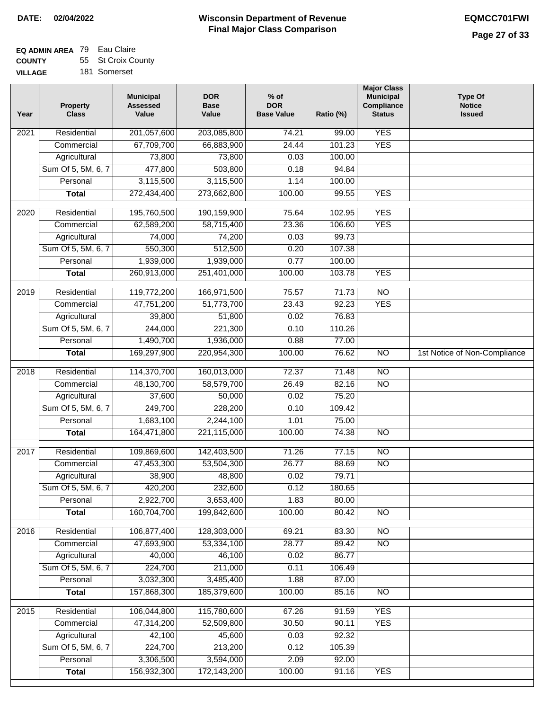| 181 Somerset<br>GЕ |  |
|--------------------|--|
|--------------------|--|

| Year             | <b>Property</b><br><b>Class</b> | <b>Municipal</b><br><b>Assessed</b><br>Value | <b>DOR</b><br><b>Base</b><br>Value | $%$ of<br><b>DOR</b><br><b>Base Value</b> | Ratio (%) | <b>Major Class</b><br><b>Municipal</b><br>Compliance<br><b>Status</b> | <b>Type Of</b><br><b>Notice</b><br><b>Issued</b> |
|------------------|---------------------------------|----------------------------------------------|------------------------------------|-------------------------------------------|-----------|-----------------------------------------------------------------------|--------------------------------------------------|
| 2021             | Residential                     | 201,057,600                                  | 203,085,800                        | 74.21                                     | 99.00     | <b>YES</b>                                                            |                                                  |
|                  | Commercial                      | 67,709,700                                   | 66,883,900                         | 24.44                                     | 101.23    | <b>YES</b>                                                            |                                                  |
|                  | Agricultural                    | 73,800                                       | 73,800                             | 0.03                                      | 100.00    |                                                                       |                                                  |
|                  | Sum Of 5, 5M, 6, 7              | 477,800                                      | 503,800                            | 0.18                                      | 94.84     |                                                                       |                                                  |
|                  | Personal                        | 3,115,500                                    | 3,115,500                          | 1.14                                      | 100.00    |                                                                       |                                                  |
|                  | <b>Total</b>                    | 272,434,400                                  | 273,662,800                        | 100.00                                    | 99.55     | <b>YES</b>                                                            |                                                  |
| 2020             | Residential                     | 195,760,500                                  | 190,159,900                        | 75.64                                     | 102.95    | <b>YES</b>                                                            |                                                  |
|                  | Commercial                      | 62,589,200                                   | 58,715,400                         | 23.36                                     | 106.60    | <b>YES</b>                                                            |                                                  |
|                  | Agricultural                    | 74,000                                       | 74,200                             | 0.03                                      | 99.73     |                                                                       |                                                  |
|                  | Sum Of 5, 5M, 6, 7              | 550,300                                      | 512,500                            | 0.20                                      | 107.38    |                                                                       |                                                  |
|                  | Personal                        | 1,939,000                                    | 1,939,000                          | 0.77                                      | 100.00    |                                                                       |                                                  |
|                  | <b>Total</b>                    | 260,913,000                                  | 251,401,000                        | 100.00                                    | 103.78    | <b>YES</b>                                                            |                                                  |
|                  |                                 |                                              |                                    |                                           |           |                                                                       |                                                  |
| 2019             | Residential                     | 119,772,200                                  | 166,971,500                        | 75.57                                     | 71.73     | $\overline{NO}$                                                       |                                                  |
|                  | Commercial                      | 47,751,200                                   | 51,773,700                         | 23.43                                     | 92.23     | <b>YES</b>                                                            |                                                  |
|                  | Agricultural                    | 39,800                                       | 51,800                             | 0.02                                      | 76.83     |                                                                       |                                                  |
|                  | Sum Of 5, 5M, 6, 7              | 244,000                                      | 221,300                            | 0.10                                      | 110.26    |                                                                       |                                                  |
|                  | Personal                        | 1,490,700                                    | 1,936,000                          | 0.88                                      | 77.00     |                                                                       |                                                  |
|                  | <b>Total</b>                    | 169,297,900                                  | 220,954,300                        | 100.00                                    | 76.62     | $\overline{NO}$                                                       | 1st Notice of Non-Compliance                     |
| 2018             | Residential                     | 114,370,700                                  | 160,013,000                        | 72.37                                     | 71.48     | $\overline{NO}$                                                       |                                                  |
|                  | Commercial                      | 48,130,700                                   | 58,579,700                         | 26.49                                     | 82.16     | $\overline{10}$                                                       |                                                  |
|                  | Agricultural                    | 37,600                                       | 50,000                             | 0.02                                      | 75.20     |                                                                       |                                                  |
|                  | Sum Of 5, 5M, 6, 7              | 249,700                                      | 228,200                            | 0.10                                      | 109.42    |                                                                       |                                                  |
|                  | Personal                        | 1,683,100                                    | 2,244,100                          | 1.01                                      | 75.00     |                                                                       |                                                  |
|                  | <b>Total</b>                    | 164,471,800                                  | 221,115,000                        | 100.00                                    | 74.38     | $\overline{NO}$                                                       |                                                  |
| 2017             | Residential                     | 109,869,600                                  | 142,403,500                        | 71.26                                     | 77.15     | $\overline{NO}$                                                       |                                                  |
|                  | Commercial                      | 47,453,300                                   | 53,504,300                         | 26.77                                     | 88.69     | <b>NO</b>                                                             |                                                  |
|                  | Agricultural                    | 38,900                                       | 48,800                             | 0.02                                      | 79.71     |                                                                       |                                                  |
|                  | Sum Of 5, 5M, 6, 7              | 420,200                                      | 232,600                            | 0.12                                      | 180.65    |                                                                       |                                                  |
|                  | Personal                        | 2,922,700                                    | 3,653,400                          | 1.83                                      | 80.00     |                                                                       |                                                  |
|                  | <b>Total</b>                    | 160,704,700                                  | 199,842,600                        | 100.00                                    | 80.42     | $\overline{NO}$                                                       |                                                  |
| 2016             | Residential                     | 106,877,400                                  | 128,303,000                        | 69.21                                     | 83.30     | $\overline{NO}$                                                       |                                                  |
|                  | Commercial                      | 47,693,900                                   | 53,334,100                         | 28.77                                     | 89.42     | $\overline{NO}$                                                       |                                                  |
|                  | Agricultural                    | 40,000                                       | 46,100                             | 0.02                                      | 86.77     |                                                                       |                                                  |
|                  | Sum Of 5, 5M, 6, 7              | 224,700                                      | 211,000                            | 0.11                                      | 106.49    |                                                                       |                                                  |
|                  | Personal                        | 3,032,300                                    | 3,485,400                          | 1.88                                      | 87.00     |                                                                       |                                                  |
|                  | <b>Total</b>                    | 157,868,300                                  | 185,379,600                        | 100.00                                    | 85.16     | $\overline{NO}$                                                       |                                                  |
| $\frac{2015}{ }$ | Residential                     | 106,044,800                                  | 115,780,600                        | 67.26                                     | 91.59     | <b>YES</b>                                                            |                                                  |
|                  | Commercial                      | 47,314,200                                   | 52,509,800                         | 30.50                                     | 90.11     | <b>YES</b>                                                            |                                                  |
|                  | Agricultural                    | 42,100                                       | 45,600                             | 0.03                                      | 92.32     |                                                                       |                                                  |
|                  | Sum Of 5, 5M, 6, 7              | 224,700                                      | 213,200                            | 0.12                                      | 105.39    |                                                                       |                                                  |
|                  | Personal                        | 3,306,500                                    | 3,594,000                          | 2.09                                      | 92.00     |                                                                       |                                                  |
|                  | <b>Total</b>                    | 156,932,300                                  | 172,143,200                        | 100.00                                    | 91.16     | <b>YES</b>                                                            |                                                  |
|                  |                                 |                                              |                                    |                                           |           |                                                                       |                                                  |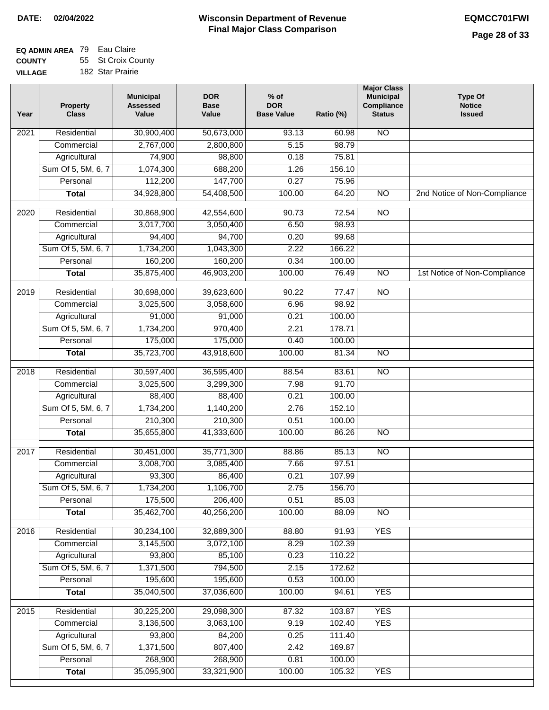| GЕ | 182 Star Prairie |  |
|----|------------------|--|
|    |                  |  |

| Year | <b>Property</b><br><b>Class</b> | <b>Municipal</b><br><b>Assessed</b><br>Value | <b>DOR</b><br><b>Base</b><br>Value | $%$ of<br><b>DOR</b><br><b>Base Value</b> | Ratio (%)        | <b>Major Class</b><br><b>Municipal</b><br>Compliance<br><b>Status</b> | <b>Type Of</b><br><b>Notice</b><br><b>Issued</b> |
|------|---------------------------------|----------------------------------------------|------------------------------------|-------------------------------------------|------------------|-----------------------------------------------------------------------|--------------------------------------------------|
| 2021 | Residential                     | 30,900,400                                   | 50,673,000                         | 93.13                                     | 60.98            | N <sub>O</sub>                                                        |                                                  |
|      | Commercial                      | 2,767,000                                    | 2,800,800                          | 5.15                                      | 98.79            |                                                                       |                                                  |
|      | Agricultural                    | 74,900                                       | 98,800                             | 0.18                                      | 75.81            |                                                                       |                                                  |
|      | Sum Of 5, 5M, 6, 7              | 1,074,300                                    | 688,200                            | 1.26                                      | 156.10           |                                                                       |                                                  |
|      | Personal                        | 112,200                                      | 147,700                            | 0.27                                      | 75.96            |                                                                       |                                                  |
|      | <b>Total</b>                    | 34,928,800                                   | 54,408,500                         | 100.00                                    | 64.20            | $\overline{NO}$                                                       | 2nd Notice of Non-Compliance                     |
| 2020 | Residential                     | 30,868,900                                   | 42,554,600                         | 90.73                                     | 72.54            | $\overline{3}$                                                        |                                                  |
|      | Commercial                      | 3,017,700                                    | 3,050,400                          | 6.50                                      | 98.93            |                                                                       |                                                  |
|      | Agricultural                    | 94,400                                       | 94,700                             | 0.20                                      | 99.68            |                                                                       |                                                  |
|      | Sum Of 5, 5M, 6, 7              | 1,734,200                                    | 1,043,300                          | 2.22                                      | 166.22           |                                                                       |                                                  |
|      | Personal                        | 160,200                                      | 160,200                            | 0.34                                      | 100.00           |                                                                       |                                                  |
|      | <b>Total</b>                    | 35,875,400                                   | 46,903,200                         | 100.00                                    | 76.49            | $\overline{NO}$                                                       | 1st Notice of Non-Compliance                     |
|      |                                 |                                              |                                    |                                           |                  |                                                                       |                                                  |
| 2019 | Residential                     | 30,698,000                                   | 39,623,600                         | 90.22                                     | 77.47            | <b>NO</b>                                                             |                                                  |
|      | Commercial                      | 3,025,500                                    | 3,058,600                          | 6.96                                      | 98.92            |                                                                       |                                                  |
|      | Agricultural                    | 91,000                                       | 91,000                             | 0.21                                      | 100.00           |                                                                       |                                                  |
|      | Sum Of 5, 5M, 6, 7              | 1,734,200                                    | 970,400                            | 2.21                                      | 178.71           |                                                                       |                                                  |
|      | Personal                        | 175,000                                      | 175,000                            | 0.40                                      | 100.00           |                                                                       |                                                  |
|      | <b>Total</b>                    | 35,723,700                                   | 43,918,600                         | 100.00                                    | 81.34            | <b>NO</b>                                                             |                                                  |
| 2018 | Residential                     | 30,597,400                                   | 36,595,400                         | 88.54                                     | 83.61            | $\overline{NO}$                                                       |                                                  |
|      | Commercial                      | 3,025,500                                    | 3,299,300                          | 7.98                                      | 91.70            |                                                                       |                                                  |
|      | Agricultural                    | 88,400                                       | 88,400                             | 0.21                                      | 100.00           |                                                                       |                                                  |
|      | Sum Of 5, 5M, 6, 7              | 1,734,200                                    | 1,140,200                          | 2.76                                      | 152.10           |                                                                       |                                                  |
|      | Personal                        | 210,300                                      | 210,300                            | 0.51                                      | 100.00           |                                                                       |                                                  |
|      | <b>Total</b>                    | 35,655,800                                   | 41,333,600                         | 100.00                                    | 86.26            | <b>NO</b>                                                             |                                                  |
| 2017 | Residential                     | 30,451,000                                   | 35,771,300                         | 88.86                                     | 85.13            | N <sub>O</sub>                                                        |                                                  |
|      | Commercial                      | 3,008,700                                    | 3,085,400                          | 7.66                                      | 97.51            |                                                                       |                                                  |
|      | Agricultural                    | 93,300                                       | 86,400                             | 0.21                                      | 107.99           |                                                                       |                                                  |
|      | Sum Of 5, 5M, 6, 7              | 1,734,200                                    | 1,106,700                          | 2.75                                      | 156.70           |                                                                       |                                                  |
|      | Personal                        | 175,500                                      | 206,400                            | 0.51                                      | 85.03            |                                                                       |                                                  |
|      | <b>Total</b>                    | 35,462,700                                   | 40,256,200                         | 100.00                                    | 88.09            | $\overline{30}$                                                       |                                                  |
| 2016 | Residential                     | 30,234,100                                   | 32,889,300                         | 88.80                                     | 91.93            | <b>YES</b>                                                            |                                                  |
|      | Commercial                      | 3,145,500                                    | 3,072,100                          | 8.29                                      | 102.39           |                                                                       |                                                  |
|      | Agricultural                    | 93,800                                       | 85,100                             | 0.23                                      | 110.22           |                                                                       |                                                  |
|      | Sum Of 5, 5M, 6, 7              | 1,371,500                                    | 794,500                            | 2.15                                      | 172.62           |                                                                       |                                                  |
|      | Personal                        | 195,600                                      | 195,600                            | 0.53                                      | 100.00           |                                                                       |                                                  |
|      | <b>Total</b>                    | 35,040,500                                   | 37,036,600                         | 100.00                                    | 94.61            | <b>YES</b>                                                            |                                                  |
|      |                                 | 30,225,200                                   | 29,098,300                         |                                           |                  | <b>YES</b>                                                            |                                                  |
| 2015 | Residential<br>Commercial       | 3,136,500                                    | 3,063,100                          | 87.32<br>9.19                             | 103.87<br>102.40 | <b>YES</b>                                                            |                                                  |
|      | Agricultural                    | 93,800                                       | 84,200                             | 0.25                                      | 111.40           |                                                                       |                                                  |
|      | Sum Of 5, 5M, 6, 7              | 1,371,500                                    | 807,400                            | 2.42                                      | 169.87           |                                                                       |                                                  |
|      | Personal                        | 268,900                                      | 268,900                            | 0.81                                      | 100.00           |                                                                       |                                                  |
|      | <b>Total</b>                    | 35,095,900                                   | 33,321,900                         | 100.00                                    | 105.32           | <b>YES</b>                                                            |                                                  |
|      |                                 |                                              |                                    |                                           |                  |                                                                       |                                                  |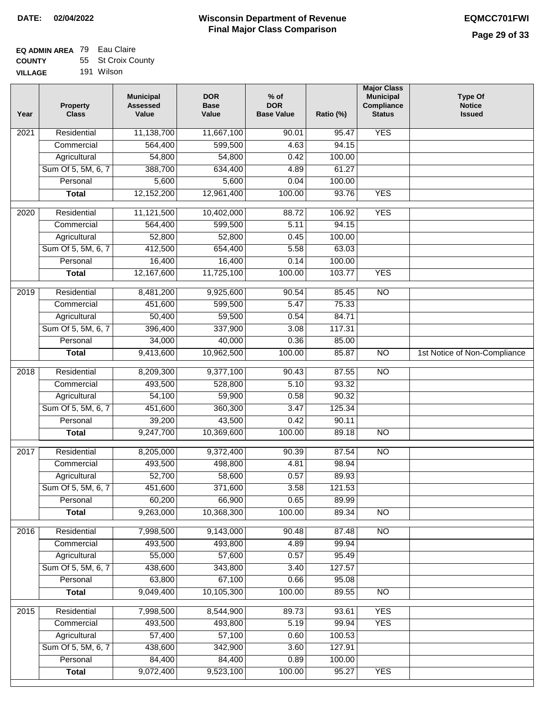#### **EQ ADMIN AREA** 79 Eau Claire **COUNTY VILLAGE** 55 St Croix County 191 Wilson

| Year              | <b>Property</b><br><b>Class</b> | <b>Municipal</b><br><b>Assessed</b><br>Value | <b>DOR</b><br><b>Base</b><br>Value | $%$ of<br><b>DOR</b><br><b>Base Value</b> | Ratio (%) | <b>Major Class</b><br><b>Municipal</b><br>Compliance<br><b>Status</b> | <b>Type Of</b><br><b>Notice</b><br><b>Issued</b> |
|-------------------|---------------------------------|----------------------------------------------|------------------------------------|-------------------------------------------|-----------|-----------------------------------------------------------------------|--------------------------------------------------|
| $\overline{202}1$ | Residential                     | 11,138,700                                   | 11,667,100                         | 90.01                                     | 95.47     | <b>YES</b>                                                            |                                                  |
|                   | Commercial                      | 564,400                                      | 599,500                            | 4.63                                      | 94.15     |                                                                       |                                                  |
|                   | Agricultural                    | 54,800                                       | 54,800                             | 0.42                                      | 100.00    |                                                                       |                                                  |
|                   | Sum Of 5, 5M, 6, 7              | 388,700                                      | 634,400                            | 4.89                                      | 61.27     |                                                                       |                                                  |
|                   | Personal                        | 5,600                                        | 5,600                              | 0.04                                      | 100.00    |                                                                       |                                                  |
|                   | <b>Total</b>                    | 12,152,200                                   | 12,961,400                         | 100.00                                    | 93.76     | <b>YES</b>                                                            |                                                  |
| 2020              | Residential                     | 11,121,500                                   | 10,402,000                         | 88.72                                     | 106.92    | <b>YES</b>                                                            |                                                  |
|                   | Commercial                      | 564,400                                      | 599,500                            | 5.11                                      | 94.15     |                                                                       |                                                  |
|                   | Agricultural                    | 52,800                                       | 52,800                             | 0.45                                      | 100.00    |                                                                       |                                                  |
|                   | Sum Of 5, 5M, 6, 7              | 412,500                                      | 654,400                            | 5.58                                      | 63.03     |                                                                       |                                                  |
|                   | Personal                        | 16,400                                       | 16,400                             | 0.14                                      | 100.00    |                                                                       |                                                  |
|                   | Total                           | 12,167,600                                   | 11,725,100                         | 100.00                                    | 103.77    | <b>YES</b>                                                            |                                                  |
| $\frac{1}{2019}$  | Residential                     | 8,481,200                                    | 9,925,600                          | 90.54                                     | 85.45     | $\overline{NO}$                                                       |                                                  |
|                   | Commercial                      | 451,600                                      | 599,500                            | 5.47                                      | 75.33     |                                                                       |                                                  |
|                   | Agricultural                    | 50,400                                       | 59,500                             | 0.54                                      | 84.71     |                                                                       |                                                  |
|                   | Sum Of 5, 5M, 6, 7              | 396,400                                      | 337,900                            | 3.08                                      | 117.31    |                                                                       |                                                  |
|                   | Personal                        | 34,000                                       | 40,000                             | 0.36                                      | 85.00     |                                                                       |                                                  |
|                   | <b>Total</b>                    | 9,413,600                                    | 10,962,500                         | 100.00                                    | 85.87     | $\overline{NO}$                                                       | 1st Notice of Non-Compliance                     |
| 2018              | Residential                     | 8,209,300                                    | 9,377,100                          | 90.43                                     | 87.55     | $\overline{NO}$                                                       |                                                  |
|                   | Commercial                      | 493,500                                      | 528,800                            | 5.10                                      | 93.32     |                                                                       |                                                  |
|                   | Agricultural                    | 54,100                                       | 59,900                             | 0.58                                      | 90.32     |                                                                       |                                                  |
|                   | Sum Of 5, 5M, 6, 7              | 451,600                                      | 360,300                            | 3.47                                      | 125.34    |                                                                       |                                                  |
|                   | Personal                        | 39,200                                       | 43,500                             | 0.42                                      | 90.11     |                                                                       |                                                  |
|                   | <b>Total</b>                    | 9,247,700                                    | 10,369,600                         | 100.00                                    | 89.18     | $\overline{NO}$                                                       |                                                  |
| 2017              | Residential                     | 8,205,000                                    | 9,372,400                          | 90.39                                     | 87.54     | $\overline{NO}$                                                       |                                                  |
|                   | Commercial                      | 493,500                                      | 498,800                            | 4.81                                      | 98.94     |                                                                       |                                                  |
|                   | Agricultural                    | 52,700                                       | 58,600                             | 0.57                                      | 89.93     |                                                                       |                                                  |
|                   | Sum Of 5, 5M, 6, 7              | 451,600                                      | 371,600                            | 3.58                                      | 121.53    |                                                                       |                                                  |
|                   | Personal                        | 60,200                                       | 66,900                             | 0.65                                      | 89.99     |                                                                       |                                                  |
|                   | <b>Total</b>                    | 9,263,000                                    | 10,368,300                         | 100.00                                    | 89.34     | <b>NO</b>                                                             |                                                  |
| 2016              | Residential                     | 7,998,500                                    | 9,143,000                          | 90.48                                     | 87.48     | $\overline{NO}$                                                       |                                                  |
|                   | Commercial                      | 493,500                                      | 493,800                            | 4.89                                      | 99.94     |                                                                       |                                                  |
|                   | Agricultural                    | 55,000                                       | 57,600                             | 0.57                                      | 95.49     |                                                                       |                                                  |
|                   | Sum Of 5, 5M, 6, 7              | 438,600                                      | 343,800                            | 3.40                                      | 127.57    |                                                                       |                                                  |
|                   | Personal                        | 63,800                                       | 67,100                             | 0.66                                      | 95.08     |                                                                       |                                                  |
|                   | <b>Total</b>                    | 9,049,400                                    | 10,105,300                         | 100.00                                    | 89.55     | $\overline{NO}$                                                       |                                                  |
| 2015              | Residential                     | 7,998,500                                    | 8,544,900                          | 89.73                                     | 93.61     | <b>YES</b>                                                            |                                                  |
|                   | Commercial                      | 493,500                                      | 493,800                            | 5.19                                      | 99.94     | <b>YES</b>                                                            |                                                  |
|                   | Agricultural                    | 57,400                                       | 57,100                             | 0.60                                      | 100.53    |                                                                       |                                                  |
|                   | Sum Of 5, 5M, 6, 7              | 438,600                                      | 342,900                            | 3.60                                      | 127.91    |                                                                       |                                                  |
|                   | Personal                        | 84,400                                       | 84,400                             | 0.89                                      | 100.00    |                                                                       |                                                  |
|                   | <b>Total</b>                    | 9,072,400                                    | 9,523,100                          | 100.00                                    | 95.27     | <b>YES</b>                                                            |                                                  |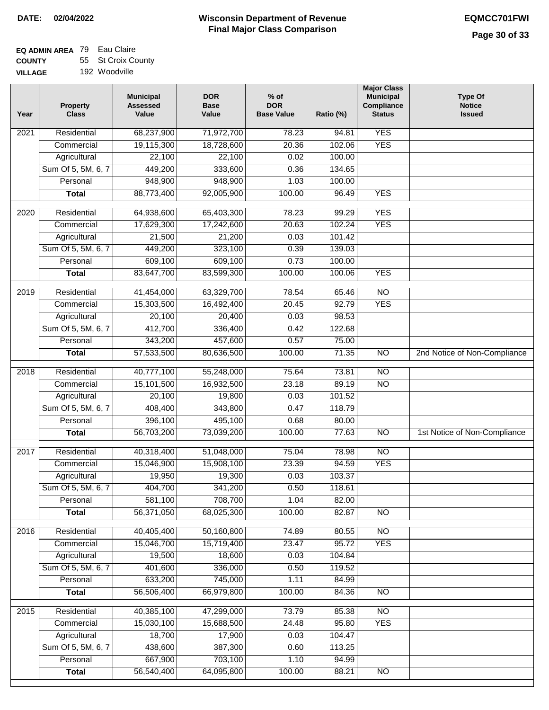#### **Wisconsin Department of Revenue Final Major Class Comparison DATE: 02/04/2022 EQMCC701FWI**

| <b>VILLAGE</b> | 192 Woodville |  |
|----------------|---------------|--|
|                |               |  |

| Year              | <b>Property</b><br><b>Class</b> | <b>Municipal</b><br><b>Assessed</b><br>Value | <b>DOR</b><br><b>Base</b><br>Value | $%$ of<br><b>DOR</b><br><b>Base Value</b> | Ratio (%)      | <b>Major Class</b><br><b>Municipal</b><br>Compliance<br><b>Status</b> | <b>Type Of</b><br><b>Notice</b><br><b>Issued</b> |
|-------------------|---------------------------------|----------------------------------------------|------------------------------------|-------------------------------------------|----------------|-----------------------------------------------------------------------|--------------------------------------------------|
| 2021              | Residential                     | 68,237,900                                   | 71,972,700                         | 78.23                                     | 94.81          | <b>YES</b>                                                            |                                                  |
|                   | Commercial                      | 19,115,300                                   | 18,728,600                         | 20.36                                     | 102.06         | <b>YES</b>                                                            |                                                  |
|                   | Agricultural                    | 22,100                                       | 22,100                             | 0.02                                      | 100.00         |                                                                       |                                                  |
|                   | Sum Of 5, 5M, 6, 7              | 449,200                                      | 333,600                            | 0.36                                      | 134.65         |                                                                       |                                                  |
|                   | Personal                        | 948,900                                      | 948,900                            | 1.03                                      | 100.00         |                                                                       |                                                  |
|                   | <b>Total</b>                    | 88,773,400                                   | 92,005,900                         | 100.00                                    | 96.49          | <b>YES</b>                                                            |                                                  |
| 2020              | Residential                     | 64,938,600                                   | 65,403,300                         | 78.23                                     | 99.29          | <b>YES</b>                                                            |                                                  |
|                   | Commercial                      | 17,629,300                                   | 17,242,600                         | 20.63                                     | 102.24         | <b>YES</b>                                                            |                                                  |
|                   | Agricultural                    | 21,500                                       | 21,200                             | 0.03                                      | 101.42         |                                                                       |                                                  |
|                   | Sum Of 5, 5M, 6, 7              | 449,200                                      | 323,100                            | 0.39                                      | 139.03         |                                                                       |                                                  |
|                   | Personal                        | 609,100                                      | 609,100                            | 0.73                                      | 100.00         |                                                                       |                                                  |
|                   | <b>Total</b>                    | 83,647,700                                   | 83,599,300                         | 100.00                                    | 100.06         | <b>YES</b>                                                            |                                                  |
|                   |                                 |                                              |                                    |                                           |                |                                                                       |                                                  |
| 2019              | Residential                     | 41,454,000                                   | 63,329,700                         | 78.54                                     | 65.46          | $\overline{NO}$                                                       |                                                  |
|                   | Commercial                      | 15,303,500                                   | 16,492,400                         | 20.45                                     | 92.79          | <b>YES</b>                                                            |                                                  |
|                   | Agricultural                    | 20,100                                       | 20,400                             | 0.03                                      | 98.53          |                                                                       |                                                  |
|                   | Sum Of 5, 5M, 6, 7              | 412,700                                      | 336,400                            | 0.42                                      | 122.68         |                                                                       |                                                  |
|                   | Personal                        | 343,200                                      | 457,600                            | 0.57                                      | 75.00          |                                                                       |                                                  |
|                   | <b>Total</b>                    | 57,533,500                                   | 80,636,500                         | 100.00                                    | 71.35          | $\overline{NO}$                                                       | 2nd Notice of Non-Compliance                     |
| $\overline{2018}$ | Residential                     | 40,777,100                                   | 55,248,000                         | 75.64                                     | 73.81          | $\overline{NO}$                                                       |                                                  |
|                   | Commercial                      | 15,101,500                                   | 16,932,500                         | 23.18                                     | 89.19          | $\overline{NO}$                                                       |                                                  |
|                   | Agricultural                    | 20,100                                       | 19,800                             | 0.03                                      | 101.52         |                                                                       |                                                  |
|                   | Sum Of 5, 5M, 6, 7              | 408,400                                      | 343,800                            | 0.47                                      | 118.79         |                                                                       |                                                  |
|                   | Personal                        | 396,100                                      | 495,100                            | 0.68                                      | 80.00          |                                                                       |                                                  |
|                   | <b>Total</b>                    | 56,703,200                                   | 73,039,200                         | 100.00                                    | 77.63          | $\overline{NO}$                                                       | 1st Notice of Non-Compliance                     |
| 2017              | Residential                     | 40,318,400                                   | 51,048,000                         | 75.04                                     | 78.98          | $\overline{NO}$                                                       |                                                  |
|                   | Commercial                      | 15,046,900                                   | 15,908,100                         | 23.39                                     | 94.59          | <b>YES</b>                                                            |                                                  |
|                   | Agricultural                    | 19,950                                       | 19,300                             | 0.03                                      | 103.37         |                                                                       |                                                  |
|                   | Sum Of 5, 5M, 6, 7              | 404,700                                      | 341,200                            | 0.50                                      | 118.61         |                                                                       |                                                  |
|                   | Personal                        | 581,100                                      | 708,700                            | 1.04                                      | 82.00          |                                                                       |                                                  |
|                   | <b>Total</b>                    | 56,371,050                                   | 68,025,300                         | 100.00                                    | 82.87          | $\overline{NO}$                                                       |                                                  |
| 2016              | Residential                     | 40,405,400                                   | 50,160,800                         | 74.89                                     | 80.55          | N <sub>O</sub>                                                        |                                                  |
|                   | Commercial                      | 15,046,700                                   | 15,719,400                         | 23.47                                     | 95.72          | <b>YES</b>                                                            |                                                  |
|                   | Agricultural                    | 19,500                                       | 18,600                             | 0.03                                      | 104.84         |                                                                       |                                                  |
|                   | Sum Of 5, 5M, 6, 7              | 401,600                                      | 336,000                            | 0.50                                      | 119.52         |                                                                       |                                                  |
|                   | Personal                        | 633,200                                      | 745,000                            | 1.11                                      | 84.99          |                                                                       |                                                  |
|                   | <b>Total</b>                    | 56,506,400                                   | 66,979,800                         | 100.00                                    | 84.36          | $\overline{NO}$                                                       |                                                  |
|                   |                                 |                                              |                                    | 73.79                                     |                |                                                                       |                                                  |
| 2015              | Residential<br>Commercial       | 40,385,100<br>15,030,100                     | 47,299,000<br>15,688,500           | 24.48                                     | 85.38<br>95.80 | NO<br><b>YES</b>                                                      |                                                  |
|                   | Agricultural                    | 18,700                                       | 17,900                             | 0.03                                      | 104.47         |                                                                       |                                                  |
|                   | Sum Of 5, 5M, 6, 7              | 438,600                                      | 387,300                            | 0.60                                      | 113.25         |                                                                       |                                                  |
|                   | Personal                        | 667,900                                      | 703,100                            | 1.10                                      | 94.99          |                                                                       |                                                  |
|                   | <b>Total</b>                    | 56,540,400                                   | 64,095,800                         | 100.00                                    | 88.21          | $\overline{NO}$                                                       |                                                  |
|                   |                                 |                                              |                                    |                                           |                |                                                                       |                                                  |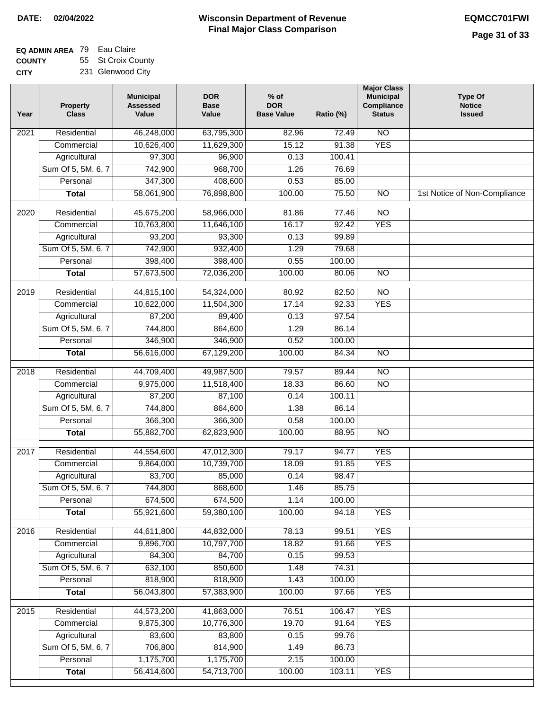#### **EQ ADMIN AREA** 79 Eau Claire **COUNTY** 55 St Croix County

**CITY** 231 Glenwood City

| Year | <b>Property</b><br><b>Class</b>    | <b>Municipal</b><br><b>Assessed</b><br>Value | <b>DOR</b><br><b>Base</b><br>Value | $%$ of<br><b>DOR</b><br><b>Base Value</b> | Ratio (%) | <b>Major Class</b><br><b>Municipal</b><br>Compliance<br><b>Status</b> | <b>Type Of</b><br><b>Notice</b><br><b>Issued</b> |
|------|------------------------------------|----------------------------------------------|------------------------------------|-------------------------------------------|-----------|-----------------------------------------------------------------------|--------------------------------------------------|
| 2021 | Residential                        | 46,248,000                                   | 63,795,300                         | 82.96                                     | 72.49     | $\overline{NO}$                                                       |                                                  |
|      | Commercial                         | 10,626,400                                   | 11,629,300                         | 15.12                                     | 91.38     | <b>YES</b>                                                            |                                                  |
|      | Agricultural                       | 97,300                                       | 96,900                             | 0.13                                      | 100.41    |                                                                       |                                                  |
|      | Sum Of 5, 5M, 6, 7                 | 742,900                                      | 968,700                            | 1.26                                      | 76.69     |                                                                       |                                                  |
|      | Personal                           | 347,300                                      | 408,600                            | 0.53                                      | 85.00     |                                                                       |                                                  |
|      | <b>Total</b>                       | 58,061,900                                   | 76,898,800                         | 100.00                                    | 75.50     | $\overline{NO}$                                                       | 1st Notice of Non-Compliance                     |
| 2020 | Residential                        | 45,675,200                                   | 58,966,000                         | 81.86                                     | 77.46     | $\overline{NO}$                                                       |                                                  |
|      | Commercial                         | 10,763,800                                   | 11,646,100                         | 16.17                                     | 92.42     | <b>YES</b>                                                            |                                                  |
|      | Agricultural                       | 93,200                                       | 93,300                             | 0.13                                      | 99.89     |                                                                       |                                                  |
|      | Sum Of 5, 5M, 6, 7                 | 742,900                                      | 932,400                            | 1.29                                      | 79.68     |                                                                       |                                                  |
|      | Personal                           | 398,400                                      | 398,400                            | 0.55                                      | 100.00    |                                                                       |                                                  |
|      | <b>Total</b>                       | 57,673,500                                   | 72,036,200                         | 100.00                                    | 80.06     | $\overline{NO}$                                                       |                                                  |
| 2019 | Residential                        | 44,815,100                                   | 54,324,000                         | 80.92                                     | 82.50     | $\overline{NO}$                                                       |                                                  |
|      | Commercial                         | 10,622,000                                   | 11,504,300                         | 17.14                                     | 92.33     | <b>YES</b>                                                            |                                                  |
|      | Agricultural                       | 87,200                                       | 89,400                             | 0.13                                      | 97.54     |                                                                       |                                                  |
|      | Sum Of 5, 5M, 6, 7                 | 744,800                                      | 864,600                            | 1.29                                      | 86.14     |                                                                       |                                                  |
|      | Personal                           | 346,900                                      | 346,900                            | 0.52                                      | 100.00    |                                                                       |                                                  |
|      | <b>Total</b>                       | 56,616,000                                   | 67,129,200                         | 100.00                                    | 84.34     | $\overline{NO}$                                                       |                                                  |
| 2018 | Residential                        | 44,709,400                                   | 49,987,500                         | 79.57                                     | 89.44     | $\overline{NO}$                                                       |                                                  |
|      | Commercial                         | 9,975,000                                    | 11,518,400                         | 18.33                                     | 86.60     | $\overline{NO}$                                                       |                                                  |
|      | Agricultural                       | 87,200                                       | 87,100                             | 0.14                                      | 100.11    |                                                                       |                                                  |
|      | Sum Of 5, 5M, 6, 7                 | 744,800                                      | 864,600                            | 1.38                                      | 86.14     |                                                                       |                                                  |
|      | Personal                           | 366,300                                      | 366,300                            | 0.58                                      | 100.00    |                                                                       |                                                  |
|      | <b>Total</b>                       | 55,882,700                                   | 62,823,900                         | 100.00                                    | 88.95     | $\overline{NO}$                                                       |                                                  |
| 2017 | Residential                        |                                              |                                    | 79.17                                     | 94.77     | <b>YES</b>                                                            |                                                  |
|      | Commercial                         | 44,554,600                                   | 47,012,300                         | 18.09                                     | 91.85     | <b>YES</b>                                                            |                                                  |
|      |                                    | 9,864,000<br>83,700                          | 10,739,700<br>85,000               | 0.14                                      | 98.47     |                                                                       |                                                  |
|      | Agricultural<br>Sum Of 5, 5M, 6, 7 | 744,800                                      | 868,600                            | 1.46                                      | 85.75     |                                                                       |                                                  |
|      | Personal                           | 674,500                                      | 674,500                            | 1.14                                      | 100.00    |                                                                       |                                                  |
|      | <b>Total</b>                       | 55,921,600                                   | 59,380,100                         | 100.00                                    | 94.18     | <b>YES</b>                                                            |                                                  |
|      |                                    |                                              |                                    |                                           |           |                                                                       |                                                  |
| 2016 | Residential                        | 44,611,800                                   | 44,832,000                         | 78.13                                     | 99.51     | <b>YES</b>                                                            |                                                  |
|      | Commercial                         | 9,896,700                                    | 10,797,700                         | 18.82                                     | 91.66     | <b>YES</b>                                                            |                                                  |
|      | Agricultural                       | 84,300                                       | 84,700                             | 0.15                                      | 99.53     |                                                                       |                                                  |
|      | Sum Of 5, 5M, 6, 7                 | 632,100                                      | 850,600                            | 1.48                                      | 74.31     |                                                                       |                                                  |
|      | Personal                           | 818,900                                      | 818,900                            | 1.43                                      | 100.00    |                                                                       |                                                  |
|      | <b>Total</b>                       | 56,043,800                                   | 57,383,900                         | 100.00                                    | 97.66     | <b>YES</b>                                                            |                                                  |
| 2015 | Residential                        | 44,573,200                                   | 41,863,000                         | 76.51                                     | 106.47    | <b>YES</b>                                                            |                                                  |
|      | Commercial                         | 9,875,300                                    | 10,776,300                         | 19.70                                     | 91.64     | <b>YES</b>                                                            |                                                  |
|      | Agricultural                       | 83,600                                       | 83,800                             | 0.15                                      | 99.76     |                                                                       |                                                  |
|      | Sum Of 5, 5M, 6, 7                 | 706,800                                      | 814,900                            | 1.49                                      | 86.73     |                                                                       |                                                  |
|      | Personal                           | 1,175,700                                    | 1,175,700                          | 2.15                                      | 100.00    |                                                                       |                                                  |
|      | <b>Total</b>                       | 56,414,600                                   | 54,713,700                         | 100.00                                    | 103.11    | <b>YES</b>                                                            |                                                  |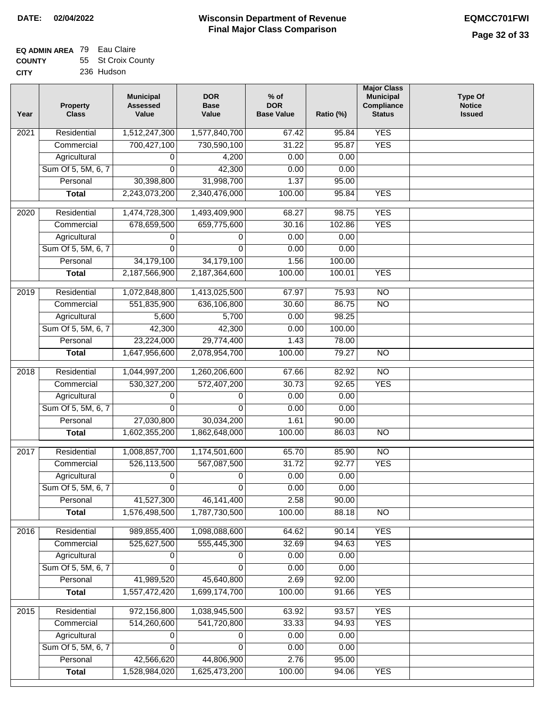## **EQ ADMIN AREA** 79 Eau Claire **COUNTY**

| <b>COUNTY</b> | 55 St Croix County |
|---------------|--------------------|
| <b>CITY</b>   | 236 Hudson         |

| Year              | <b>Property</b><br><b>Class</b> | <b>Municipal</b><br><b>Assessed</b><br>Value | <b>DOR</b><br><b>Base</b><br>Value | $%$ of<br><b>DOR</b><br><b>Base Value</b> | Ratio (%) | <b>Major Class</b><br><b>Municipal</b><br>Compliance<br><b>Status</b> | <b>Type Of</b><br><b>Notice</b><br><b>Issued</b> |
|-------------------|---------------------------------|----------------------------------------------|------------------------------------|-------------------------------------------|-----------|-----------------------------------------------------------------------|--------------------------------------------------|
| $\overline{202}1$ | Residential                     | 1,512,247,300                                | 1,577,840,700                      | 67.42                                     | 95.84     | <b>YES</b>                                                            |                                                  |
|                   | Commercial                      | 700,427,100                                  | 730,590,100                        | 31.22                                     | 95.87     | <b>YES</b>                                                            |                                                  |
|                   | Agricultural                    | 0                                            | 4,200                              | 0.00                                      | 0.00      |                                                                       |                                                  |
|                   | Sum Of 5, 5M, 6, 7              | $\Omega$                                     | 42,300                             | 0.00                                      | 0.00      |                                                                       |                                                  |
|                   | Personal                        | 30,398,800                                   | 31,998,700                         | 1.37                                      | 95.00     |                                                                       |                                                  |
|                   | <b>Total</b>                    | 2,243,073,200                                | 2,340,476,000                      | 100.00                                    | 95.84     | <b>YES</b>                                                            |                                                  |
| $\overline{2020}$ | Residential                     | 1,474,728,300                                | 1,493,409,900                      | 68.27                                     | 98.75     | <b>YES</b>                                                            |                                                  |
|                   | Commercial                      | 678,659,500                                  | 659,775,600                        | 30.16                                     | 102.86    | <b>YES</b>                                                            |                                                  |
|                   | Agricultural                    | 0                                            | 0                                  | 0.00                                      | 0.00      |                                                                       |                                                  |
|                   | Sum Of 5, 5M, 6, 7              | 0                                            | $\Omega$                           | 0.00                                      | 0.00      |                                                                       |                                                  |
|                   | Personal                        | 34,179,100                                   | 34,179,100                         | 1.56                                      | 100.00    |                                                                       |                                                  |
|                   | <b>Total</b>                    | 2,187,566,900                                | 2,187,364,600                      | 100.00                                    | 100.01    | <b>YES</b>                                                            |                                                  |
| 2019              | Residential                     | 1,072,848,800                                | 1,413,025,500                      | 67.97                                     | 75.93     | $\overline{10}$                                                       |                                                  |
|                   | Commercial                      | 551,835,900                                  | 636,106,800                        | 30.60                                     | 86.75     | $\overline{NO}$                                                       |                                                  |
|                   | Agricultural                    | 5,600                                        | 5,700                              | 0.00                                      | 98.25     |                                                                       |                                                  |
|                   | Sum Of 5, 5M, 6, 7              | 42,300                                       | 42,300                             | 0.00                                      | 100.00    |                                                                       |                                                  |
|                   | Personal                        | 23,224,000                                   | 29,774,400                         | 1.43                                      | 78.00     |                                                                       |                                                  |
|                   | <b>Total</b>                    | 1,647,956,600                                | 2,078,954,700                      | 100.00                                    | 79.27     | $\overline{NO}$                                                       |                                                  |
| 2018              | Residential                     | 1,044,997,200                                | 1,260,206,600                      | 67.66                                     | 82.92     | $\overline{NO}$                                                       |                                                  |
|                   | Commercial                      | 530, 327, 200                                | 572,407,200                        | 30.73                                     | 92.65     | <b>YES</b>                                                            |                                                  |
|                   | Agricultural                    | 0                                            | 0                                  | 0.00                                      | 0.00      |                                                                       |                                                  |
|                   | Sum Of 5, 5M, 6, 7              | $\Omega$                                     | 0                                  | 0.00                                      | 0.00      |                                                                       |                                                  |
|                   | Personal                        | 27,030,800                                   | 30,034,200                         | 1.61                                      | 90.00     |                                                                       |                                                  |
|                   | <b>Total</b>                    | 1,602,355,200                                | 1,862,648,000                      | 100.00                                    | 86.03     | $\overline{NO}$                                                       |                                                  |
| 2017              | Residential                     | 1,008,857,700                                | 1,174,501,600                      | 65.70                                     | 85.90     | $\overline{NO}$                                                       |                                                  |
|                   | Commercial                      | 526,113,500                                  | 567,087,500                        | 31.72                                     | 92.77     | <b>YES</b>                                                            |                                                  |
|                   | Agricultural                    | 0                                            | 0                                  | 0.00                                      | 0.00      |                                                                       |                                                  |
|                   | Sum Of 5, 5M, 6, 7              | 0                                            | 0                                  | 0.00                                      | 0.00      |                                                                       |                                                  |
|                   | Personal                        | 41,527,300                                   | 46, 141, 400                       | 2.58                                      | 90.00     |                                                                       |                                                  |
|                   | <b>Total</b>                    | 1,576,498,500                                | 1,787,730,500                      | 100.00                                    | 88.18     | $\overline{NO}$                                                       |                                                  |
| 2016              | Residential                     | 989,855,400                                  | 1,098,088,600                      | 64.62                                     | 90.14     | <b>YES</b>                                                            |                                                  |
|                   | Commercial                      | 525,627,500                                  | 555,445,300                        | 32.69                                     | 94.63     | <b>YES</b>                                                            |                                                  |
|                   | Agricultural                    | 0                                            | 0                                  | 0.00                                      | 0.00      |                                                                       |                                                  |
|                   | Sum Of 5, 5M, 6, 7              | $\Omega$                                     | $\Omega$                           | 0.00                                      | 0.00      |                                                                       |                                                  |
|                   | Personal                        | 41,989,520                                   | 45,640,800                         | 2.69                                      | 92.00     |                                                                       |                                                  |
|                   | <b>Total</b>                    | 1,557,472,420                                | 1,699,174,700                      | 100.00                                    | 91.66     | <b>YES</b>                                                            |                                                  |
| 2015              | Residential                     | 972,156,800                                  | 1,038,945,500                      | 63.92                                     | 93.57     | <b>YES</b>                                                            |                                                  |
|                   | Commercial                      | 514,260,600                                  | 541,720,800                        | 33.33                                     | 94.93     | <b>YES</b>                                                            |                                                  |
|                   | Agricultural                    | 0                                            | 0                                  | 0.00                                      | 0.00      |                                                                       |                                                  |
|                   | Sum Of 5, 5M, 6, 7              | 0                                            | 0                                  | 0.00                                      | 0.00      |                                                                       |                                                  |
|                   | Personal                        | 42,566,620                                   | 44,806,900                         | 2.76                                      | 95.00     |                                                                       |                                                  |
|                   | <b>Total</b>                    | 1,528,984,020                                | 1,625,473,200                      | 100.00                                    | 94.06     | <b>YES</b>                                                            |                                                  |